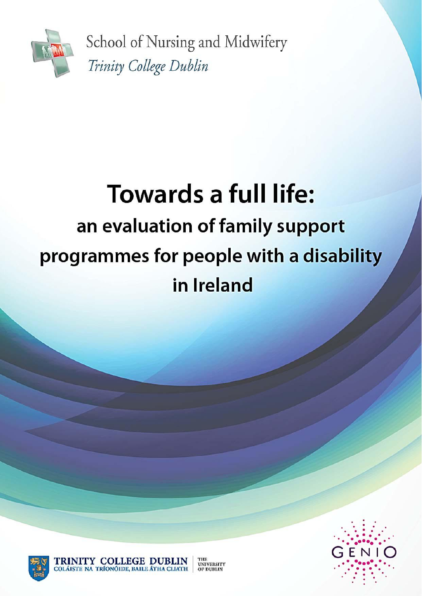

School of Nursing and Midwifery Trinity College Dublin

# **Towards a full life:** an evaluation of family support programmes for people with a disability in Ireland



TRINITY COLLEGE DUBLIN

COLÁISTE NA TRÍONÓIDE, BAILE ÁTHA CLIATH



THE THE<br>UNIVERSITY<br>OF DUBLIN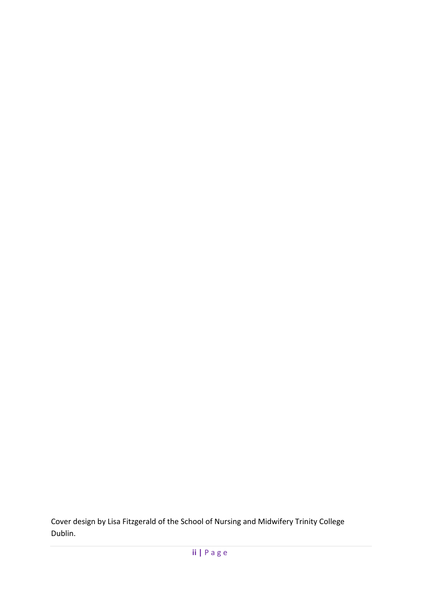Cover design by Lisa Fitzgerald of the School of Nursing and Midwifery Trinity College Dublin.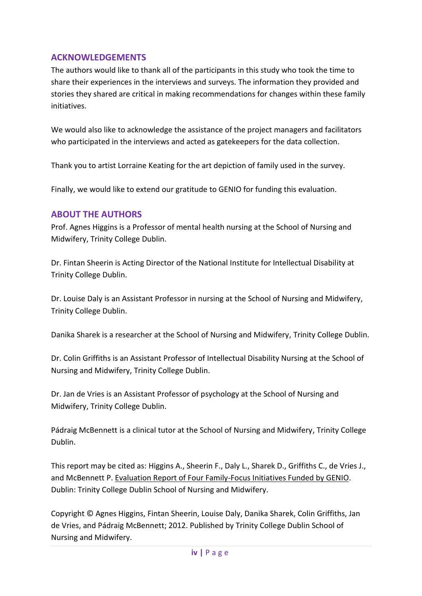## **ACKNOWLEDGEMENTS**

The authors would like to thank all of the participants in this study who took the time to share their experiences in the interviews and surveys. The information they provided and stories they shared are critical in making recommendations for changes within these family initiatives.

We would also like to acknowledge the assistance of the project managers and facilitators who participated in the interviews and acted as gatekeepers for the data collection.

Thank you to artist Lorraine Keating for the art depiction of family used in the survey.

Finally, we would like to extend our gratitude to GENIO for funding this evaluation.

## **ABOUT THE AUTHORS**

Prof. Agnes Higgins is a Professor of mental health nursing at the School of Nursing and Midwifery, Trinity College Dublin.

Dr. Fintan Sheerin is Acting Director of the National Institute for Intellectual Disability at Trinity College Dublin.

Dr. Louise Daly is an Assistant Professor in nursing at the School of Nursing and Midwifery, Trinity College Dublin.

Danika Sharek is a researcher at the School of Nursing and Midwifery, Trinity College Dublin.

Dr. Colin Griffiths is an Assistant Professor of Intellectual Disability Nursing at the School of Nursing and Midwifery, Trinity College Dublin.

Dr. Jan de Vries is an Assistant Professor of psychology at the School of Nursing and Midwifery, Trinity College Dublin.

Pádraig McBennett is a clinical tutor at the School of Nursing and Midwifery, Trinity College Dublin.

This report may be cited as: Higgins A., Sheerin F., Daly L., Sharek D., Griffiths C., de Vries J., and McBennett P. Evaluation Report of Four Family-Focus Initiatives Funded by GENIO. Dublin: Trinity College Dublin School of Nursing and Midwifery.

Copyright © Agnes Higgins, Fintan Sheerin, Louise Daly, Danika Sharek, Colin Griffiths, Jan de Vries, and Pádraig McBennett; 2012. Published by Trinity College Dublin School of Nursing and Midwifery.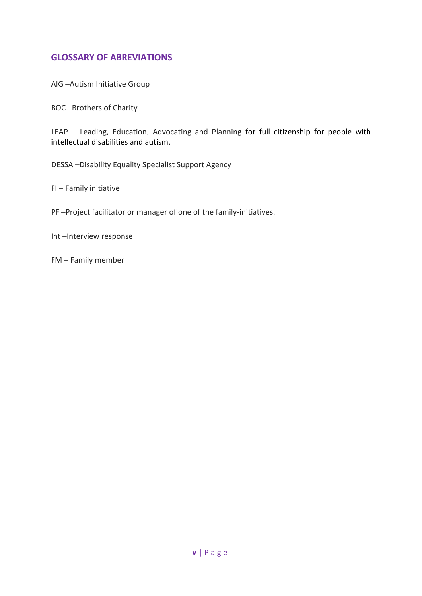## **GLOSSARY OF ABREVIATIONS**

AIG –Autism Initiative Group

BOC –Brothers of Charity

LEAP – Leading, Education, Advocating and Planning for full citizenship for people with intellectual disabilities and autism.

DESSA –Disability Equality Specialist Support Agency

FI – Family initiative

PF –Project facilitator or manager of one of the family-initiatives.

Int –Interview response

FM – Family member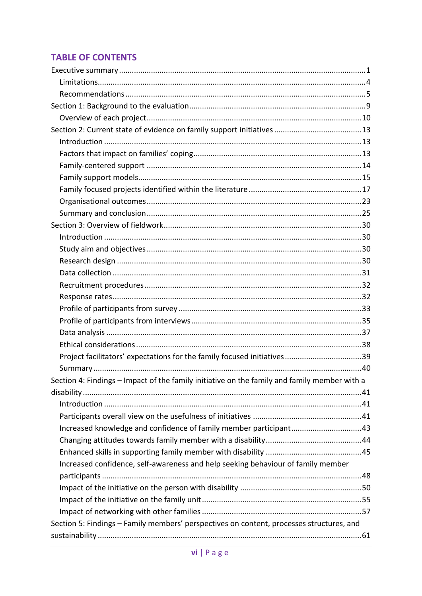## **TABLE OF CONTENTS**

| Section 4: Findings - Impact of the family initiative on the family and family member with a |  |
|----------------------------------------------------------------------------------------------|--|
|                                                                                              |  |
|                                                                                              |  |
|                                                                                              |  |
| Increased knowledge and confidence of family member participant43                            |  |
|                                                                                              |  |
|                                                                                              |  |
| Increased confidence, self-awareness and help seeking behaviour of family member             |  |
|                                                                                              |  |
|                                                                                              |  |
|                                                                                              |  |
|                                                                                              |  |
| Section 5: Findings - Family members' perspectives on content, processes structures, and     |  |
|                                                                                              |  |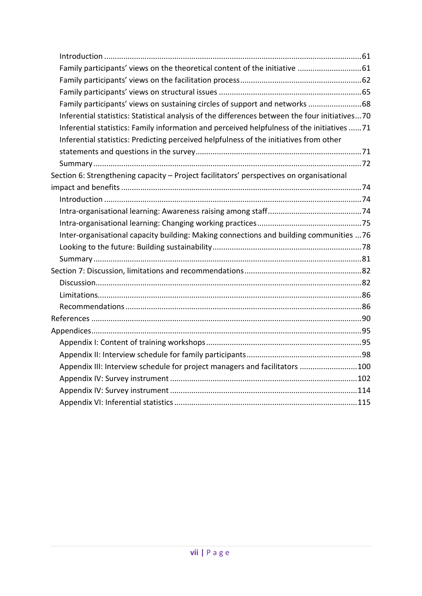| Family participants' views on the theoretical content of the initiative 61                     |
|------------------------------------------------------------------------------------------------|
|                                                                                                |
|                                                                                                |
| Family participants' views on sustaining circles of support and networks 68                    |
| Inferential statistics: Statistical analysis of the differences between the four initiatives70 |
| Inferential statistics: Family information and perceived helpfulness of the initiatives 71     |
| Inferential statistics: Predicting perceived helpfulness of the initiatives from other         |
|                                                                                                |
|                                                                                                |
| Section 6: Strengthening capacity - Project facilitators' perspectives on organisational       |
|                                                                                                |
|                                                                                                |
|                                                                                                |
|                                                                                                |
| Inter-organisational capacity building: Making connections and building communities 76         |
|                                                                                                |
|                                                                                                |
|                                                                                                |
|                                                                                                |
|                                                                                                |
|                                                                                                |
|                                                                                                |
|                                                                                                |
|                                                                                                |
|                                                                                                |
| Appendix III: Interview schedule for project managers and facilitators 100                     |
|                                                                                                |
|                                                                                                |
|                                                                                                |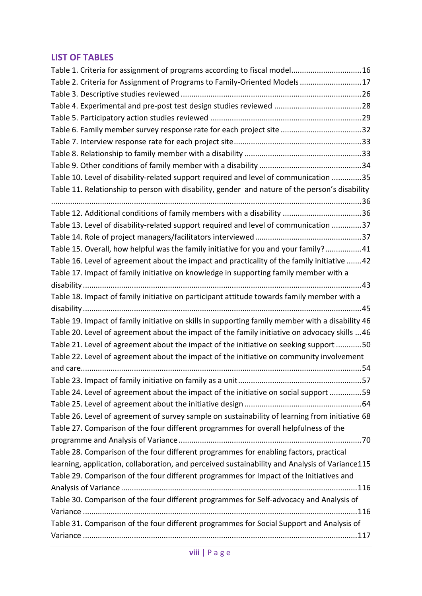## **LIST OF TABLES**

| Table 1. Criteria for assignment of programs according to fiscal model16                         |  |
|--------------------------------------------------------------------------------------------------|--|
| Table 2. Criteria for Assignment of Programs to Family-Oriented Models17                         |  |
|                                                                                                  |  |
|                                                                                                  |  |
|                                                                                                  |  |
|                                                                                                  |  |
|                                                                                                  |  |
|                                                                                                  |  |
|                                                                                                  |  |
| Table 10. Level of disability-related support required and level of communication 35             |  |
| Table 11. Relationship to person with disability, gender and nature of the person's disability   |  |
|                                                                                                  |  |
| Table 12. Additional conditions of family members with a disability 36                           |  |
| Table 13. Level of disability-related support required and level of communication 37             |  |
|                                                                                                  |  |
| Table 15. Overall, how helpful was the family initiative for you and your family?41              |  |
| Table 16. Level of agreement about the impact and practicality of the family initiative 42       |  |
| Table 17. Impact of family initiative on knowledge in supporting family member with a            |  |
|                                                                                                  |  |
| Table 18. Impact of family initiative on participant attitude towards family member with a       |  |
|                                                                                                  |  |
| Table 19. Impact of family initiative on skills in supporting family member with a disability 46 |  |
| Table 20. Level of agreement about the impact of the family initiative on advocacy skills 46     |  |
| Table 21. Level of agreement about the impact of the initiative on seeking support 50            |  |
| Table 22. Level of agreement about the impact of the initiative on community involvement         |  |
|                                                                                                  |  |
|                                                                                                  |  |
| Table 24. Level of agreement about the impact of the initiative on social support 59             |  |
|                                                                                                  |  |
| Table 26. Level of agreement of survey sample on sustainability of learning from initiative 68   |  |
| Table 27. Comparison of the four different programmes for overall helpfulness of the             |  |
|                                                                                                  |  |
| Table 28. Comparison of the four different programmes for enabling factors, practical            |  |
| learning, application, collaboration, and perceived sustainability and Analysis of Variance115   |  |
| Table 29. Comparison of the four different programmes for Impact of the Initiatives and          |  |
|                                                                                                  |  |
| Table 30. Comparison of the four different programmes for Self-advocacy and Analysis of          |  |
|                                                                                                  |  |
| Table 31. Comparison of the four different programmes for Social Support and Analysis of         |  |
|                                                                                                  |  |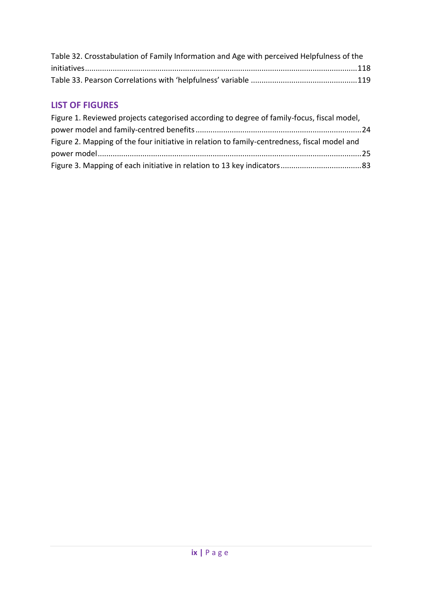| Table 32. Crosstabulation of Family Information and Age with perceived Helpfulness of the |  |
|-------------------------------------------------------------------------------------------|--|
|                                                                                           |  |
|                                                                                           |  |

## **LIST OF FIGURES**

| Figure 1. Reviewed projects categorised according to degree of family-focus, fiscal model,   |  |
|----------------------------------------------------------------------------------------------|--|
|                                                                                              |  |
| Figure 2. Mapping of the four initiative in relation to family-centredness, fiscal model and |  |
|                                                                                              |  |
|                                                                                              |  |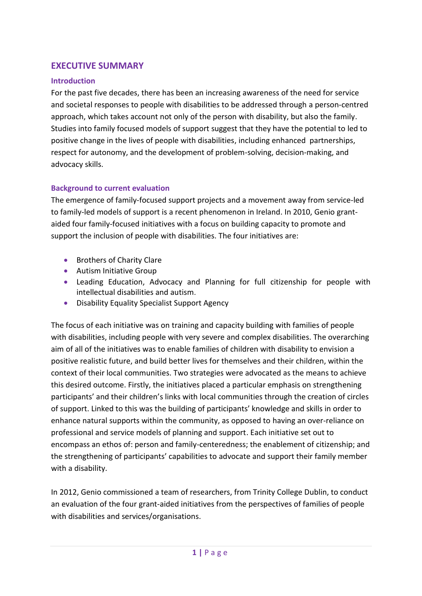## <span id="page-9-0"></span>**EXECUTIVE SUMMARY**

### **Introduction**

For the past five decades, there has been an increasing awareness of the need for service and societal responses to people with disabilities to be addressed through a person-centred approach, which takes account not only of the person with disability, but also the family. Studies into family focused models of support suggest that they have the potential to led to positive change in the lives of people with disabilities, including enhanced partnerships, respect for autonomy, and the development of problem-solving, decision-making, and advocacy skills.

### **Background to current evaluation**

The emergence of family-focused support projects and a movement away from service-led to family-led models of support is a recent phenomenon in Ireland. In 2010, Genio grantaided four family-focused initiatives with a focus on building capacity to promote and support the inclusion of people with disabilities. The four initiatives are:

- **Brothers of Charity Clare**
- **•** Autism Initiative Group
- Leading Education, Advocacy and Planning for full citizenship for people with intellectual disabilities and autism.
- Disability Equality Specialist Support Agency

The focus of each initiative was on training and capacity building with families of people with disabilities, including people with very severe and complex disabilities. The overarching aim of all of the initiatives was to enable families of children with disability to envision a positive realistic future, and build better lives for themselves and their children, within the context of their local communities. Two strategies were advocated as the means to achieve this desired outcome. Firstly, the initiatives placed a particular emphasis on strengthening participants' and their children's links with local communities through the creation of circles of support. Linked to this was the building of participants' knowledge and skills in order to enhance natural supports within the community, as opposed to having an over-reliance on professional and service models of planning and support. Each initiative set out to encompass an ethos of: person and family-centeredness; the enablement of citizenship; and the strengthening of participants' capabilities to advocate and support their family member with a disability.

In 2012, Genio commissioned a team of researchers, from Trinity College Dublin, to conduct an evaluation of the four grant-aided initiatives from the perspectives of families of people with disabilities and services/organisations.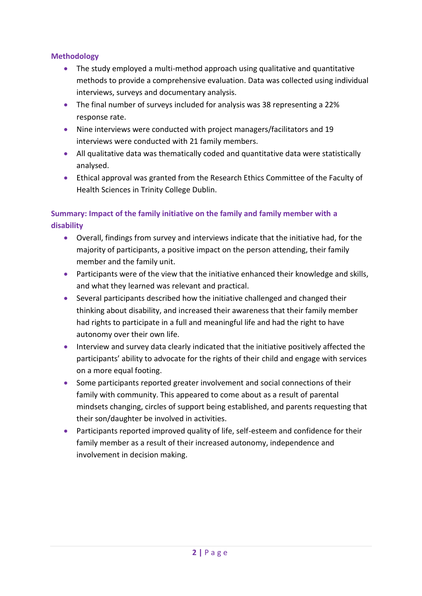#### **Methodology**

- The study employed a multi-method approach using qualitative and quantitative methods to provide a comprehensive evaluation. Data was collected using individual interviews, surveys and documentary analysis.
- The final number of surveys included for analysis was 38 representing a 22% response rate.
- Nine interviews were conducted with project managers/facilitators and 19 interviews were conducted with 21 family members.
- All qualitative data was thematically coded and quantitative data were statistically analysed.
- Ethical approval was granted from the Research Ethics Committee of the Faculty of Health Sciences in Trinity College Dublin.

## **Summary: Impact of the family initiative on the family and family member with a disability**

- Overall, findings from survey and interviews indicate that the initiative had, for the majority of participants, a positive impact on the person attending, their family member and the family unit.
- Participants were of the view that the initiative enhanced their knowledge and skills, and what they learned was relevant and practical.
- Several participants described how the initiative challenged and changed their thinking about disability, and increased their awareness that their family member had rights to participate in a full and meaningful life and had the right to have autonomy over their own life.
- Interview and survey data clearly indicated that the initiative positively affected the participants' ability to advocate for the rights of their child and engage with services on a more equal footing.
- Some participants reported greater involvement and social connections of their family with community. This appeared to come about as a result of parental mindsets changing, circles of support being established, and parents requesting that their son/daughter be involved in activities.
- Participants reported improved quality of life, self-esteem and confidence for their family member as a result of their increased autonomy, independence and involvement in decision making.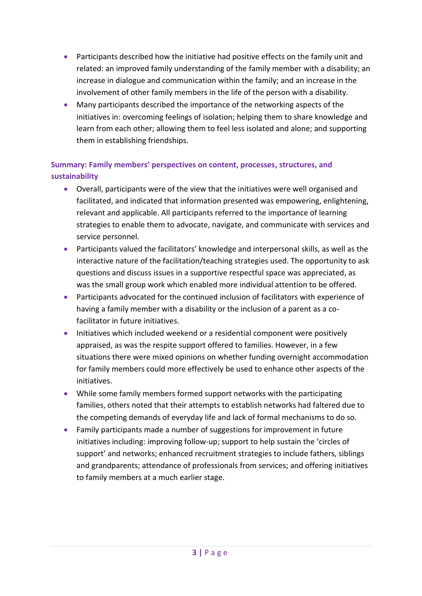- Participants described how the initiative had positive effects on the family unit and related: an improved family understanding of the family member with a disability; an increase in dialogue and communication within the family; and an increase in the involvement of other family members in the life of the person with a disability.
- Many participants described the importance of the networking aspects of the initiatives in: overcoming feelings of isolation; helping them to share knowledge and learn from each other; allowing them to feel less isolated and alone; and supporting them in establishing friendships.

## **Summary: Family members' perspectives on content, processes, structures, and sustainability**

- Overall, participants were of the view that the initiatives were well organised and facilitated, and indicated that information presented was empowering, enlightening, relevant and applicable. All participants referred to the importance of learning strategies to enable them to advocate, navigate, and communicate with services and service personnel.
- Participants valued the facilitators' knowledge and interpersonal skills, as well as the interactive nature of the facilitation/teaching strategies used. The opportunity to ask questions and discuss issues in a supportive respectful space was appreciated, as was the small group work which enabled more individual attention to be offered.
- Participants advocated for the continued inclusion of facilitators with experience of having a family member with a disability or the inclusion of a parent as a cofacilitator in future initiatives.
- Initiatives which included weekend or a residential component were positively appraised, as was the respite support offered to families. However, in a few situations there were mixed opinions on whether funding overnight accommodation for family members could more effectively be used to enhance other aspects of the initiatives.
- While some family members formed support networks with the participating families, others noted that their attempts to establish networks had faltered due to the competing demands of everyday life and lack of formal mechanisms to do so.
- Family participants made a number of suggestions for improvement in future initiatives including: improving follow-up; support to help sustain the 'circles of support' and networks; enhanced recruitment strategies to include fathers, siblings and grandparents; attendance of professionals from services; and offering initiatives to family members at a much earlier stage.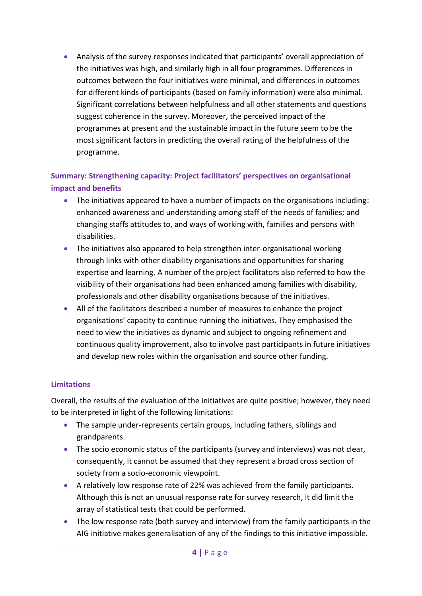Analysis of the survey responses indicated that participants' overall appreciation of the initiatives was high, and similarly high in all four programmes. Differences in outcomes between the four initiatives were minimal, and differences in outcomes for different kinds of participants (based on family information) were also minimal. Significant correlations between helpfulness and all other statements and questions suggest coherence in the survey. Moreover, the perceived impact of the programmes at present and the sustainable impact in the future seem to be the most significant factors in predicting the overall rating of the helpfulness of the programme.

## **Summary: Strengthening capacity: Project facilitators' perspectives on organisational impact and benefits**

- The initiatives appeared to have a number of impacts on the organisations including: enhanced awareness and understanding among staff of the needs of families; and changing staffs attitudes to, and ways of working with, families and persons with disabilities.
- The initiatives also appeared to help strengthen inter-organisational working through links with other disability organisations and opportunities for sharing expertise and learning. A number of the project facilitators also referred to how the visibility of their organisations had been enhanced among families with disability, professionals and other disability organisations because of the initiatives.
- All of the facilitators described a number of measures to enhance the project organisations' capacity to continue running the initiatives. They emphasised the need to view the initiatives as dynamic and subject to ongoing refinement and continuous quality improvement, also to involve past participants in future initiatives and develop new roles within the organisation and source other funding.

#### <span id="page-12-0"></span>**Limitations**

Overall, the results of the evaluation of the initiatives are quite positive; however, they need to be interpreted in light of the following limitations:

- The sample under-represents certain groups, including fathers, siblings and grandparents.
- The socio economic status of the participants (survey and interviews) was not clear, consequently, it cannot be assumed that they represent a broad cross section of society from a socio-economic viewpoint.
- A relatively low response rate of 22% was achieved from the family participants. Although this is not an unusual response rate for survey research, it did limit the array of statistical tests that could be performed.
- The low response rate (both survey and interview) from the family participants in the AIG initiative makes generalisation of any of the findings to this initiative impossible.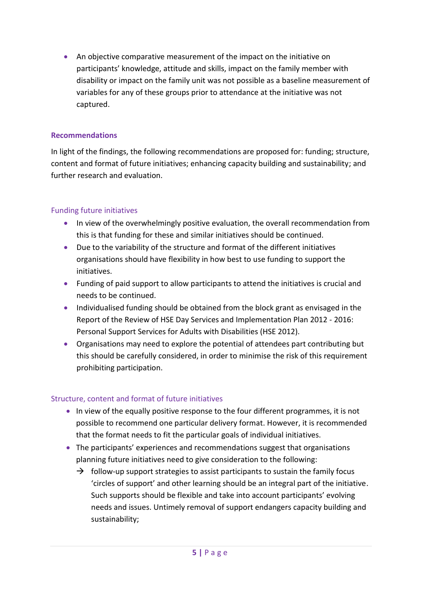An objective comparative measurement of the impact on the initiative on participants' knowledge, attitude and skills, impact on the family member with disability or impact on the family unit was not possible as a baseline measurement of variables for any of these groups prior to attendance at the initiative was not captured.

#### <span id="page-13-0"></span>**Recommendations**

In light of the findings, the following recommendations are proposed for: funding; structure, content and format of future initiatives; enhancing capacity building and sustainability; and further research and evaluation.

#### Funding future initiatives

- In view of the overwhelmingly positive evaluation, the overall recommendation from this is that funding for these and similar initiatives should be continued.
- Due to the variability of the structure and format of the different initiatives organisations should have flexibility in how best to use funding to support the initiatives.
- Funding of paid support to allow participants to attend the initiatives is crucial and needs to be continued.
- Individualised funding should be obtained from the block grant as envisaged in the Report of the Review of HSE Day Services and Implementation Plan 2012 - 2016: Personal Support Services for Adults with Disabilities (HSE 2012).
- Organisations may need to explore the potential of attendees part contributing but this should be carefully considered, in order to minimise the risk of this requirement prohibiting participation.

#### Structure, content and format of future initiatives

- In view of the equally positive response to the four different programmes, it is not possible to recommend one particular delivery format. However, it is recommended that the format needs to fit the particular goals of individual initiatives.
- The participants' experiences and recommendations suggest that organisations planning future initiatives need to give consideration to the following:
	- $\rightarrow$  follow-up support strategies to assist participants to sustain the family focus 'circles of support' and other learning should be an integral part of the initiative. Such supports should be flexible and take into account participants' evolving needs and issues. Untimely removal of support endangers capacity building and sustainability;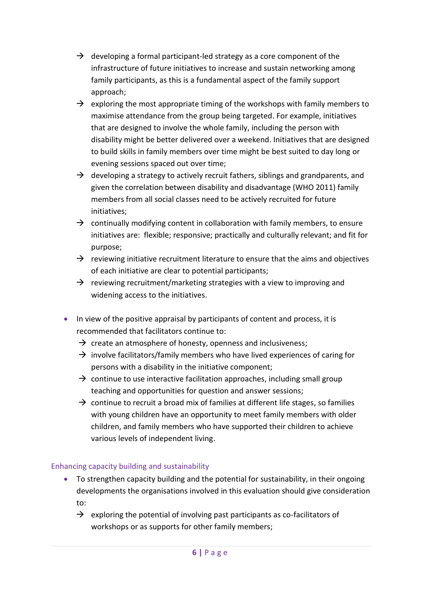- $\rightarrow$  developing a formal participant-led strategy as a core component of the infrastructure of future initiatives to increase and sustain networking among family participants, as this is a fundamental aspect of the family support approach;
- $\rightarrow$  exploring the most appropriate timing of the workshops with family members to maximise attendance from the group being targeted. For example, initiatives that are designed to involve the whole family, including the person with disability might be better delivered over a weekend. Initiatives that are designed to build skills in family members over time might be best suited to day long or evening sessions spaced out over time;
- $\rightarrow$  developing a strategy to actively recruit fathers, siblings and grandparents, and given the correlation between disability and disadvantage (WHO 2011) family members from all social classes need to be actively recruited for future initiatives;
- $\rightarrow$  continually modifying content in collaboration with family members, to ensure initiatives are: flexible; responsive; practically and culturally relevant; and fit for purpose;
- $\rightarrow$  reviewing initiative recruitment literature to ensure that the aims and objectives of each initiative are clear to potential participants;
- $\rightarrow$  reviewing recruitment/marketing strategies with a view to improving and widening access to the initiatives.
- In view of the positive appraisal by participants of content and process, it is recommended that facilitators continue to:
	- $\rightarrow$  create an atmosphere of honesty, openness and inclusiveness;
	- $\rightarrow$  involve facilitators/family members who have lived experiences of caring for persons with a disability in the initiative component;
	- $\rightarrow$  continue to use interactive facilitation approaches, including small group teaching and opportunities for question and answer sessions;
	- $\rightarrow$  continue to recruit a broad mix of families at different life stages, so families with young children have an opportunity to meet family members with older children, and family members who have supported their children to achieve various levels of independent living.

#### Enhancing capacity building and sustainability

- To strengthen capacity building and the potential for sustainability, in their ongoing developments the organisations involved in this evaluation should give consideration to:
	- $\rightarrow$  exploring the potential of involving past participants as co-facilitators of workshops or as supports for other family members;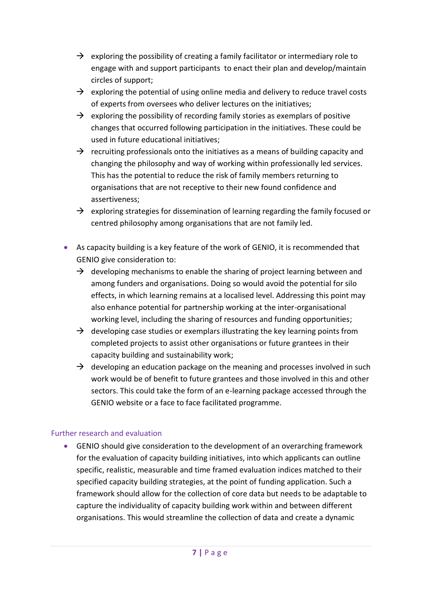- $\rightarrow$  exploring the possibility of creating a family facilitator or intermediary role to engage with and support participants to enact their plan and develop/maintain circles of support;
- $\rightarrow$  exploring the potential of using online media and delivery to reduce travel costs of experts from oversees who deliver lectures on the initiatives;
- $\rightarrow$  exploring the possibility of recording family stories as exemplars of positive changes that occurred following participation in the initiatives. These could be used in future educational initiatives;
- $\rightarrow$  recruiting professionals onto the initiatives as a means of building capacity and changing the philosophy and way of working within professionally led services. This has the potential to reduce the risk of family members returning to organisations that are not receptive to their new found confidence and assertiveness;
- $\rightarrow$  exploring strategies for dissemination of learning regarding the family focused or centred philosophy among organisations that are not family led.
- As capacity building is a key feature of the work of GENIO, it is recommended that GENIO give consideration to:
	- $\rightarrow$  developing mechanisms to enable the sharing of project learning between and among funders and organisations. Doing so would avoid the potential for silo effects, in which learning remains at a localised level. Addressing this point may also enhance potential for partnership working at the inter-organisational working level, including the sharing of resources and funding opportunities;
	- $\rightarrow$  developing case studies or exemplars illustrating the key learning points from completed projects to assist other organisations or future grantees in their capacity building and sustainability work;
	- $\rightarrow$  developing an education package on the meaning and processes involved in such work would be of benefit to future grantees and those involved in this and other sectors. This could take the form of an e-learning package accessed through the GENIO website or a face to face facilitated programme.

#### Further research and evaluation

 GENIO should give consideration to the development of an overarching framework for the evaluation of capacity building initiatives, into which applicants can outline specific, realistic, measurable and time framed evaluation indices matched to their specified capacity building strategies, at the point of funding application. Such a framework should allow for the collection of core data but needs to be adaptable to capture the individuality of capacity building work within and between different organisations. This would streamline the collection of data and create a dynamic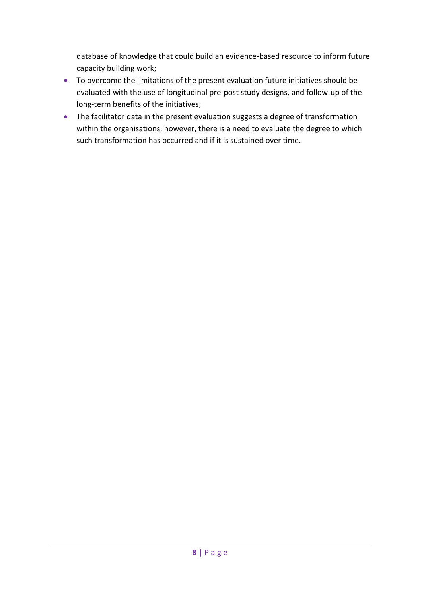database of knowledge that could build an evidence-based resource to inform future capacity building work;

- To overcome the limitations of the present evaluation future initiatives should be evaluated with the use of longitudinal pre-post study designs, and follow-up of the long-term benefits of the initiatives;
- The facilitator data in the present evaluation suggests a degree of transformation within the organisations, however, there is a need to evaluate the degree to which such transformation has occurred and if it is sustained over time.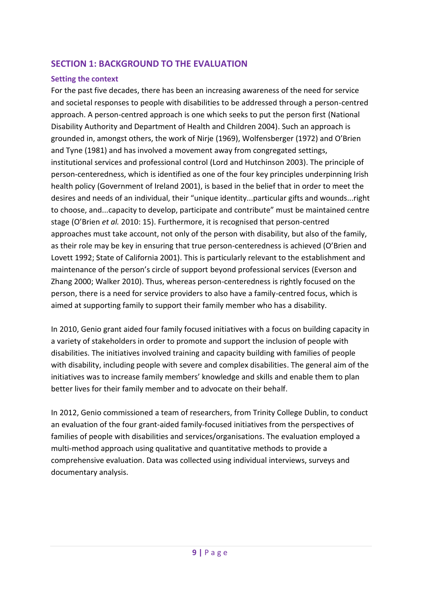## <span id="page-17-0"></span>**SECTION 1: BACKGROUND TO THE EVALUATION**

#### **Setting the context**

For the past five decades, there has been an increasing awareness of the need for service and societal responses to people with disabilities to be addressed through a person-centred approach. A person-centred approach is one which seeks to put the person first (National Disability Authority and Department of Health and Children 2004). Such an approach is grounded in, amongst others, the work of Nirje (1969), Wolfensberger (1972) and O'Brien and Tyne (1981) and has involved a movement away from congregated settings, institutional services and professional control (Lord and Hutchinson 2003). The principle of person-centeredness, which is identified as one of the four key principles underpinning Irish health policy (Government of Ireland 2001), is based in the belief that in order to meet the desires and needs of an individual, their "unique identity...particular gifts and wounds...right to choose, and...capacity to develop, participate and contribute" must be maintained centre stage (O'Brien *et al.* 2010: 15). Furthermore, it is recognised that person-centred approaches must take account, not only of the person with disability, but also of the family, as their role may be key in ensuring that true person-centeredness is achieved (O'Brien and Lovett 1992; State of California 2001). This is particularly relevant to the establishment and maintenance of the person's circle of support beyond professional services (Everson and Zhang 2000; Walker 2010). Thus, whereas person-centeredness is rightly focused on the person, there is a need for service providers to also have a family-centred focus, which is aimed at supporting family to support their family member who has a disability.

In 2010, Genio grant aided four family focused initiatives with a focus on building capacity in a variety of stakeholders in order to promote and support the inclusion of people with disabilities. The initiatives involved training and capacity building with families of people with disability, including people with severe and complex disabilities. The general aim of the initiatives was to increase family members' knowledge and skills and enable them to plan better lives for their family member and to advocate on their behalf.

In 2012, Genio commissioned a team of researchers, from Trinity College Dublin, to conduct an evaluation of the four grant-aided family-focused initiatives from the perspectives of families of people with disabilities and services/organisations. The evaluation employed a multi-method approach using qualitative and quantitative methods to provide a comprehensive evaluation. Data was collected using individual interviews, surveys and documentary analysis.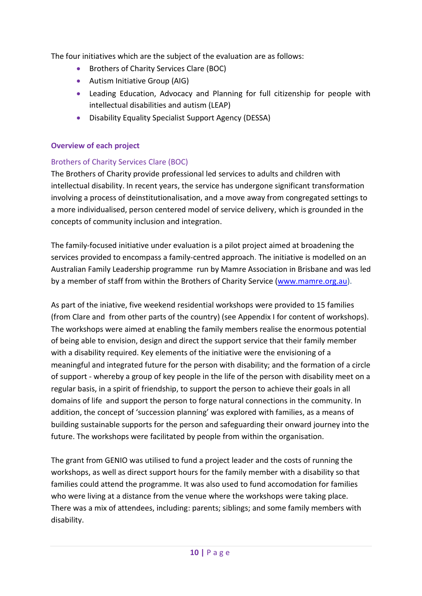The four initiatives which are the subject of the evaluation are as follows:

- **Brothers of Charity Services Clare (BOC)**
- Autism Initiative Group (AIG)
- Leading Education, Advocacy and Planning for full citizenship for people with intellectual disabilities and autism (LEAP)
- Disability Equality Specialist Support Agency (DESSA)

### <span id="page-18-0"></span>**Overview of each project**

### Brothers of Charity Services Clare (BOC)

The Brothers of Charity provide professional led services to adults and children with intellectual disability. In recent years, the service has undergone significant transformation involving a process of deinstitutionalisation, and a move away from congregated settings to a more individualised, person centered model of service delivery, which is grounded in the concepts of community inclusion and integration.

The family-focused initiative under evaluation is a pilot project aimed at broadening the services provided to encompass a family-centred approach. The initiative is modelled on an Australian Family Leadership programme run by Mamre Association in Brisbane and was led by a member of staff from within the Brothers of Charity Service [\(www.mamre.org.au\)](https://go.tcd.ie/OWA/redir.aspx?C=500b43c769d34e108ec5a2a9b4a0ae7f&URL=http%3a%2f%2fwww.mamre.org.au).

As part of the iniative, five weekend residential workshops were provided to 15 families (from Clare and from other parts of the country) (see Appendix I for content of workshops). The workshops were aimed at enabling the family members realise the enormous potential of being able to envision, design and direct the support service that their family member with a disability required. Key elements of the initiative were the envisioning of a meaningful and integrated future for the person with disability; and the formation of a circle of support - whereby a group of key people in the life of the person with disability meet on a regular basis, in a spirit of friendship, to support the person to achieve their goals in all domains of life and support the person to forge natural connections in the community. In addition, the concept of 'succession planning' was explored with families, as a means of building sustainable supports for the person and safeguarding their onward journey into the future. The workshops were facilitated by people from within the organisation.

The grant from GENIO was utilised to fund a project leader and the costs of running the workshops, as well as direct support hours for the family member with a disability so that families could attend the programme. It was also used to fund accomodation for families who were living at a distance from the venue where the workshops were taking place. There was a mix of attendees, including: parents; siblings; and some family members with disability.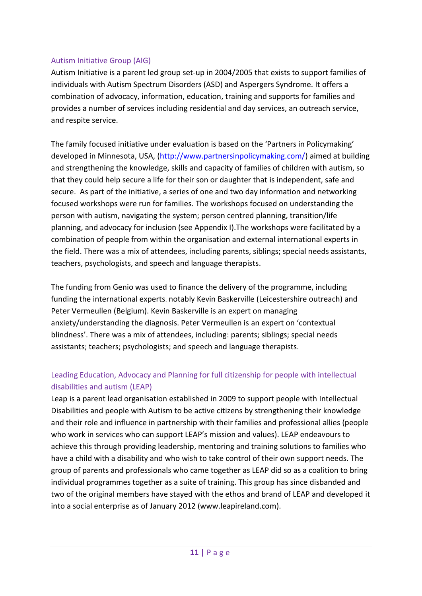#### Autism Initiative Group (AIG)

Autism Initiative is a parent led group set-up in 2004/2005 that exists to support families of individuals with Autism Spectrum Disorders (ASD) and Aspergers Syndrome. It offers a combination of advocacy, information, education, training and supports for families and provides a number of services including residential and day services, an outreach service, and respite service.

The family focused initiative under evaluation is based on the 'Partners in Policymaking' developed in Minnesota, USA, [\(http://www.partnersinpolicymaking.com/\)](http://www.partnersinpolicymaking.com/) aimed at building and strengthening the knowledge, skills and capacity of families of children with autism, so that they could help secure a life for their son or daughter that is independent, safe and secure. As part of the initiative, a series of one and two day information and networking focused workshops were run for families. The workshops focused on understanding the person with autism, navigating the system; person centred planning, transition/life planning, and advocacy for inclusion (see Appendix I).The workshops were facilitated by a combination of people from within the organisation and external international experts in the field. There was a mix of attendees, including parents, siblings; special needs assistants, teachers, psychologists, and speech and language therapists.

The funding from Genio was used to finance the delivery of the programme, including funding the international experts, notably Kevin Baskerville (Leicestershire outreach) and Peter Vermeullen (Belgium). Kevin Baskerville is an expert on managing anxiety/understanding the diagnosis. Peter Vermeullen is an expert on 'contextual blindness'. There was a mix of attendees, including: parents; siblings; special needs assistants; teachers; psychologists; and speech and language therapists.

## Leading Education, Advocacy and Planning for full citizenship for people with intellectual disabilities and autism (LEAP)

Leap is a parent lead organisation established in 2009 to support people with Intellectual Disabilities and people with Autism to be active citizens by strengthening their knowledge and their role and influence in partnership with their families and professional allies (people who work in services who can support LEAP's mission and values). LEAP endeavours to achieve this through providing leadership, mentoring and training solutions to families who have a child with a disability and who wish to take control of their own support needs. The group of parents and professionals who came together as LEAP did so as a coalition to bring individual programmes together as a suite of training. This group has since disbanded and two of the original members have stayed with the ethos and brand of LEAP and developed it into a social enterprise as of January 2012 (www.leapireland.com).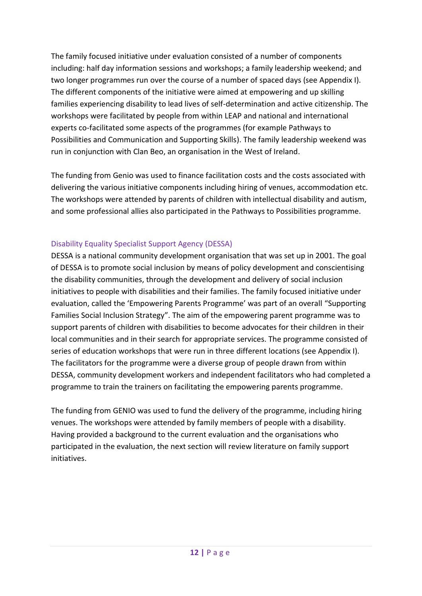The family focused initiative under evaluation consisted of a number of components including: half day information sessions and workshops; a family leadership weekend; and two longer programmes run over the course of a number of spaced days (see Appendix I). The different components of the initiative were aimed at empowering and up skilling families experiencing disability to lead lives of self-determination and active citizenship. The workshops were facilitated by people from within LEAP and national and international experts co-facilitated some aspects of the programmes (for example Pathways to Possibilities and Communication and Supporting Skills). The family leadership weekend was run in conjunction with Clan Beo, an organisation in the West of Ireland.

The funding from Genio was used to finance facilitation costs and the costs associated with delivering the various initiative components including hiring of venues, accommodation etc. The workshops were attended by parents of children with intellectual disability and autism, and some professional allies also participated in the Pathways to Possibilities programme.

### Disability Equality Specialist Support Agency (DESSA)

DESSA is a national community development organisation that was set up in 2001. The goal of DESSA is to promote social inclusion by means of policy development and conscientising the disability communities, through the development and delivery of social inclusion initiatives to people with disabilities and their families. The family focused initiative under evaluation, called the 'Empowering Parents Programme' was part of an overall "Supporting Families Social Inclusion Strategy". The aim of the empowering parent programme was to support parents of children with disabilities to become advocates for their children in their local communities and in their search for appropriate services. The programme consisted of series of education workshops that were run in three different locations (see Appendix I). The facilitators for the programme were a diverse group of people drawn from within DESSA, community development workers and independent facilitators who had completed a programme to train the trainers on facilitating the empowering parents programme.

The funding from GENIO was used to fund the delivery of the programme, including hiring venues. The workshops were attended by family members of people with a disability. Having provided a background to the current evaluation and the organisations who participated in the evaluation, the next section will review literature on family support initiatives.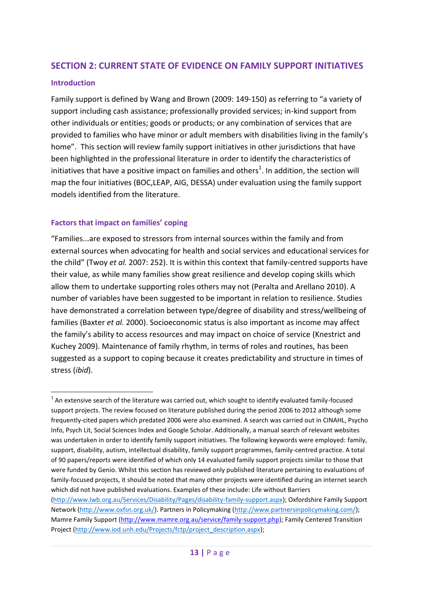## <span id="page-21-0"></span>**SECTION 2: CURRENT STATE OF EVIDENCE ON FAMILY SUPPORT INITIATIVES**

#### <span id="page-21-1"></span>**Introduction**

-

Family support is defined by Wang and Brown (2009: 149-150) as referring to "a variety of support including cash assistance; professionally provided services; in-kind support from other individuals or entities; goods or products; or any combination of services that are provided to families who have minor or adult members with disabilities living in the family's home". This section will review family support initiatives in other jurisdictions that have been highlighted in the professional literature in order to identify the characteristics of initiatives that have a positive impact on families and others<sup>1</sup>. In addition, the section will map the four initiatives (BOC,LEAP, AIG, DESSA) under evaluation using the family support models identified from the literature.

#### <span id="page-21-2"></span>**Factors that impact on families' coping**

"Families...are exposed to stressors from internal sources within the family and from external sources when advocating for health and social services and educational services for the child" (Twoy *et al.* 2007: 252). It is within this context that family-centred supports have their value, as while many families show great resilience and develop coping skills which allow them to undertake supporting roles others may not (Peralta and Arellano 2010). A number of variables have been suggested to be important in relation to resilience. Studies have demonstrated a correlation between type/degree of disability and stress/wellbeing of families (Baxter *et al.* 2000). Socioeconomic status is also important as income may affect the family's ability to access resources and may impact on choice of service (Knestrict and Kuchey 2009). Maintenance of family rhythm, in terms of roles and routines, has been suggested as a support to coping because it creates predictability and structure in times of stress (*ibid*).

 $1$  An extensive search of the literature was carried out, which sought to identify evaluated family-focused support projects. The review focused on literature published during the period 2006 to 2012 although some frequently-cited papers which predated 2006 were also examined. A search was carried out in CINAHL, Psycho Info, Psych Lit, Social Sciences Index and Google Scholar. Additionally, a manual search of relevant websites was undertaken in order to identify family support initiatives. The following keywords were employed: family, support, disability, autism, intellectual disability, family support programmes, family-centred practice. A total of 90 papers/reports were identified of which only 14 evaluated family support projects similar to those that were funded by Genio. Whilst this section has reviewed only published literature pertaining to evaluations of family-focused projects, it should be noted that many other projects were identified during an internet search which did not have published evaluations. Examples of these include: Life without Barriers [\(http://www.lwb.org.au/Services/Disability/Pages/disability-family-support.aspx\)](https://go.tcd.ie/OWA/redir.aspx?C=1f9f935b47034e1da873956d76e85e2c&URL=http%3a%2f%2fwww.lwb.org.au%2fServices%2fDisability%2fPages%2fdisability-family-support.aspx); Oxfordshire Family Support Network [\(http://www.oxfsn.org.uk/\)](https://go.tcd.ie/OWA/redir.aspx?C=1f9f935b47034e1da873956d76e85e2c&URL=http%3a%2f%2fwww.oxfsn.org.uk%2f). Partners in Policymaking [\(http://www.partnersinpolicymaking.com/\)](https://go.tcd.ie/OWA/redir.aspx?C=1f9f935b47034e1da873956d76e85e2c&URL=http%3a%2f%2fwww.partnersinpolicymaking.com%2f); Mamre Family Support [\(http://www.mamre.org.au/service/family-support.php\)](https://go.tcd.ie/OWA/redir.aspx?C=1f9f935b47034e1da873956d76e85e2c&URL=http%3a%2f%2fwww.mamre.org.au%2fservice%2ffamily-support.php); Family Centered Transition Project [\(http://www.iod.unh.edu/Projects/fctp/project\\_description.aspx\)](https://go.tcd.ie/OWA/redir.aspx?C=1f9f935b47034e1da873956d76e85e2c&URL=http%3a%2f%2fwww.iod.unh.edu%2fProjects%2ffctp%2fproject_description.aspx);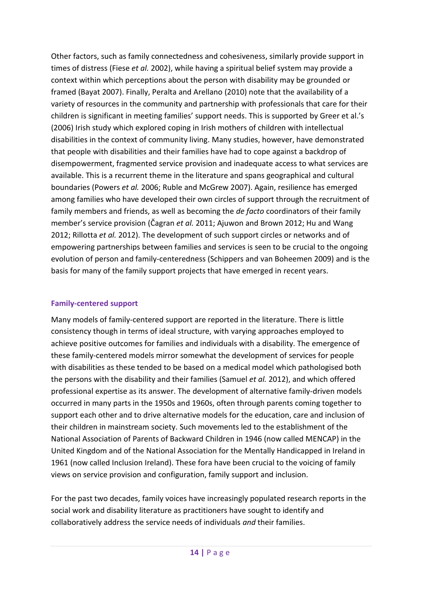Other factors, such as family connectedness and cohesiveness, similarly provide support in times of distress (Fiese *et al.* 2002), while having a spiritual belief system may provide a context within which perceptions about the person with disability may be grounded or framed (Bayat 2007). Finally, Peralta and Arellano (2010) note that the availability of a variety of resources in the community and partnership with professionals that care for their children is significant in meeting families' support needs. This is supported by Greer et al.'s (2006) Irish study which explored coping in Irish mothers of children with intellectual disabilities in the context of community living. Many studies, however, have demonstrated that people with disabilities and their families have had to cope against a backdrop of disempowerment, fragmented service provision and inadequate access to what services are available. This is a recurrent theme in the literature and spans geographical and cultural boundaries (Powers *et al.* 2006; Ruble and McGrew 2007). Again, resilience has emerged among families who have developed their own circles of support through the recruitment of family members and friends, as well as becoming the *de facto* coordinators of their family member's service provision (Čagran *et al.* 2011; Ajuwon and Brown 2012; Hu and Wang 2012; Rillotta *et al.* 2012). The development of such support circles or networks and of empowering partnerships between families and services is seen to be crucial to the ongoing evolution of person and family-centeredness (Schippers and van Boheemen 2009) and is the basis for many of the family support projects that have emerged in recent years.

#### <span id="page-22-0"></span>**Family-centered support**

Many models of family-centered support are reported in the literature. There is little consistency though in terms of ideal structure, with varying approaches employed to achieve positive outcomes for families and individuals with a disability. The emergence of these family-centered models mirror somewhat the development of services for people with disabilities as these tended to be based on a medical model which pathologised both the persons with the disability and their families (Samuel *et al.* 2012), and which offered professional expertise as its answer. The development of alternative family-driven models occurred in many parts in the 1950s and 1960s, often through parents coming together to support each other and to drive alternative models for the education, care and inclusion of their children in mainstream society. Such movements led to the establishment of the National Association of Parents of Backward Children in 1946 (now called MENCAP) in the United Kingdom and of the National Association for the Mentally Handicapped in Ireland in 1961 (now called Inclusion Ireland). These fora have been crucial to the voicing of family views on service provision and configuration, family support and inclusion.

For the past two decades, family voices have increasingly populated research reports in the social work and disability literature as practitioners have sought to identify and collaboratively address the service needs of individuals *and* their families.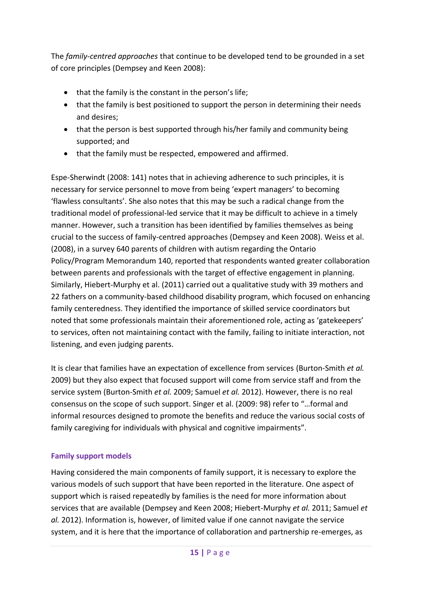The *family-centred approaches* that continue to be developed tend to be grounded in a set of core principles (Dempsey and Keen 2008):

- that the family is the constant in the person's life;
- that the family is best positioned to support the person in determining their needs and desires;
- that the person is best supported through his/her family and community being supported; and
- that the family must be respected, empowered and affirmed.

Espe-Sherwindt (2008: 141) notes that in achieving adherence to such principles, it is necessary for service personnel to move from being 'expert managers' to becoming 'flawless consultants'. She also notes that this may be such a radical change from the traditional model of professional-led service that it may be difficult to achieve in a timely manner. However, such a transition has been identified by families themselves as being crucial to the success of family-centred approaches (Dempsey and Keen 2008). Weiss et al. (2008), in a survey 640 parents of children with autism regarding the Ontario Policy/Program Memorandum 140, reported that respondents wanted greater collaboration between parents and professionals with the target of effective engagement in planning. Similarly, Hiebert-Murphy et al. (2011) carried out a qualitative study with 39 mothers and 22 fathers on a community-based childhood disability program, which focused on enhancing family centeredness. They identified the importance of skilled service coordinators but noted that some professionals maintain their aforementioned role, acting as 'gatekeepers' to services, often not maintaining contact with the family, failing to initiate interaction, not listening, and even judging parents.

It is clear that families have an expectation of excellence from services (Burton-Smith *et al.* 2009) but they also expect that focused support will come from service staff and from the service system (Burton-Smith *et al.* 2009; Samuel *et al.* 2012). However, there is no real consensus on the scope of such support. Singer et al. (2009: 98) refer to "…formal and informal resources designed to promote the benefits and reduce the various social costs of family caregiving for individuals with physical and cognitive impairments".

## <span id="page-23-0"></span>**Family support models**

Having considered the main components of family support, it is necessary to explore the various models of such support that have been reported in the literature. One aspect of support which is raised repeatedly by families is the need for more information about services that are available (Dempsey and Keen 2008; Hiebert-Murphy *et al.* 2011; Samuel *et al.* 2012). Information is, however, of limited value if one cannot navigate the service system, and it is here that the importance of collaboration and partnership re-emerges, as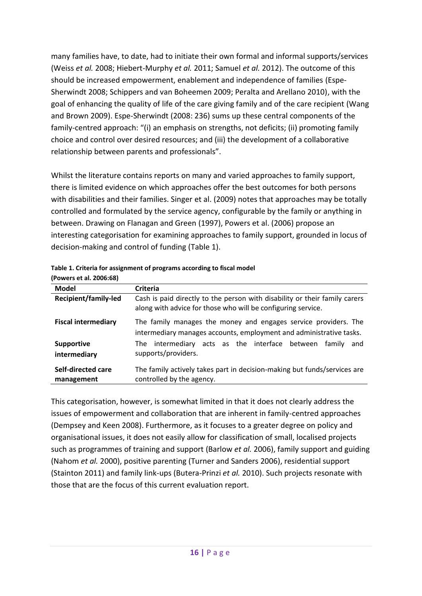many families have, to date, had to initiate their own formal and informal supports/services (Weiss *et al.* 2008; Hiebert-Murphy *et al.* 2011; Samuel *et al.* 2012). The outcome of this should be increased empowerment, enablement and independence of families (Espe-Sherwindt 2008; Schippers and van Boheemen 2009; Peralta and Arellano 2010), with the goal of enhancing the quality of life of the care giving family and of the care recipient (Wang and Brown 2009). Espe-Sherwindt (2008: 236) sums up these central components of the family-centred approach: "(i) an emphasis on strengths, not deficits; (ii) promoting family choice and control over desired resources; and (iii) the development of a collaborative relationship between parents and professionals".

Whilst the literature contains reports on many and varied approaches to family support, there is limited evidence on which approaches offer the best outcomes for both persons with disabilities and their families. Singer et al. (2009) notes that approaches may be totally controlled and formulated by the service agency, configurable by the family or anything in between. Drawing on Flanagan and Green (1997), Powers et al. (2006) propose an interesting categorisation for examining approaches to family support, grounded in locus of decision-making and control of funding [\(Table 1\)](#page-24-0).

| 11 OWC13 Ct al. 2000.007          |                                                                                                                                            |  |  |  |  |  |  |  |
|-----------------------------------|--------------------------------------------------------------------------------------------------------------------------------------------|--|--|--|--|--|--|--|
| Model                             | <b>Criteria</b>                                                                                                                            |  |  |  |  |  |  |  |
| <b>Recipient/family-led</b>       | Cash is paid directly to the person with disability or their family carers<br>along with advice for those who will be configuring service. |  |  |  |  |  |  |  |
| <b>Fiscal intermediary</b>        | The family manages the money and engages service providers. The<br>intermediary manages accounts, employment and administrative tasks.     |  |  |  |  |  |  |  |
| <b>Supportive</b><br>intermediary | The intermediary acts as the interface between<br>family and<br>supports/providers.                                                        |  |  |  |  |  |  |  |
| Self-directed care<br>management  | The family actively takes part in decision-making but funds/services are<br>controlled by the agency.                                      |  |  |  |  |  |  |  |

<span id="page-24-0"></span>**Table 1. Criteria for assignment of programs according to fiscal model (Powers et al. 2006:68)**

This categorisation, however, is somewhat limited in that it does not clearly address the issues of empowerment and collaboration that are inherent in family-centred approaches (Dempsey and Keen 2008). Furthermore, as it focuses to a greater degree on policy and organisational issues, it does not easily allow for classification of small, localised projects such as programmes of training and support (Barlow *et al.* 2006), family support and guiding (Nahom *et al.* 2000), positive parenting (Turner and Sanders 2006), residential support (Stainton 2011) and family link-ups (Butera-Prinzi *et al.* 2010). Such projects resonate with those that are the focus of this current evaluation report.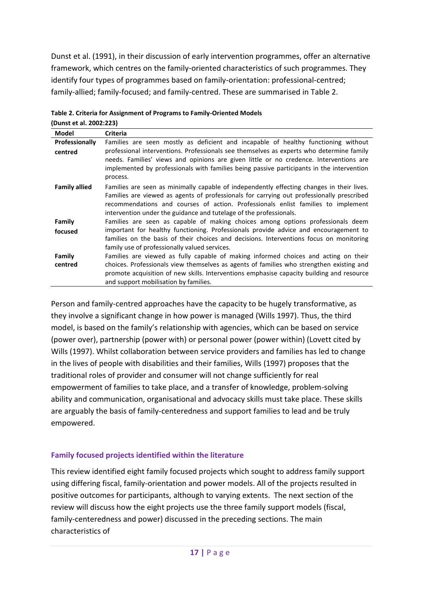Dunst et al. (1991), in their discussion of early intervention programmes, offer an alternative framework, which centres on the family-oriented characteristics of such programmes. They identify four types of programmes based on family-orientation: professional-centred; family-allied; family-focused; and family-centred. These are summarised in [Table 2.](#page-25-1)

| Model                 | <b>Criteria</b>                                                                                                                                                                                                                                                                                                                                   |
|-----------------------|---------------------------------------------------------------------------------------------------------------------------------------------------------------------------------------------------------------------------------------------------------------------------------------------------------------------------------------------------|
| <b>Professionally</b> | Families are seen mostly as deficient and incapable of healthy functioning without                                                                                                                                                                                                                                                                |
| centred               | professional interventions. Professionals see themselves as experts who determine family<br>needs. Families' views and opinions are given little or no credence. Interventions are<br>implemented by professionals with families being passive participants in the intervention<br>process.                                                       |
| <b>Family allied</b>  | Families are seen as minimally capable of independently effecting changes in their lives.<br>Families are viewed as agents of professionals for carrying out professionally prescribed<br>recommendations and courses of action. Professionals enlist families to implement<br>intervention under the guidance and tutelage of the professionals. |
| Family                | Families are seen as capable of making choices among options professionals deem                                                                                                                                                                                                                                                                   |
| focused               | important for healthy functioning. Professionals provide advice and encouragement to<br>families on the basis of their choices and decisions. Interventions focus on monitoring<br>family use of professionally valued services.                                                                                                                  |
| Family                | Families are viewed as fully capable of making informed choices and acting on their                                                                                                                                                                                                                                                               |
| centred               | choices. Professionals view themselves as agents of families who strengthen existing and<br>promote acquisition of new skills. Interventions emphasise capacity building and resource<br>and support mobilisation by families.                                                                                                                    |

<span id="page-25-1"></span>

| Table 2. Criteria for Assignment of Programs to Family-Oriented Models |  |
|------------------------------------------------------------------------|--|
|                                                                        |  |

**(Dunst et al. 2002:223)**

Person and family-centred approaches have the capacity to be hugely transformative, as they involve a significant change in how power is managed (Wills 1997). Thus, the third model, is based on the family's relationship with agencies, which can be based on service (power over), partnership (power with) or personal power (power within) (Lovett cited by Wills (1997). Whilst collaboration between service providers and families has led to change in the lives of people with disabilities and their families, Wills (1997) proposes that the traditional roles of provider and consumer will not change sufficiently for real empowerment of families to take place, and a transfer of knowledge, problem-solving ability and communication, organisational and advocacy skills must take place. These skills are arguably the basis of family-centeredness and support families to lead and be truly empowered.

#### <span id="page-25-0"></span>**Family focused projects identified within the literature**

This review identified eight family focused projects which sought to address family support using differing fiscal, family-orientation and power models. All of the projects resulted in positive outcomes for participants, although to varying extents. The next section of the review will discuss how the eight projects use the three family support models (fiscal, family-centeredness and power) discussed in the preceding sections. The main characteristics of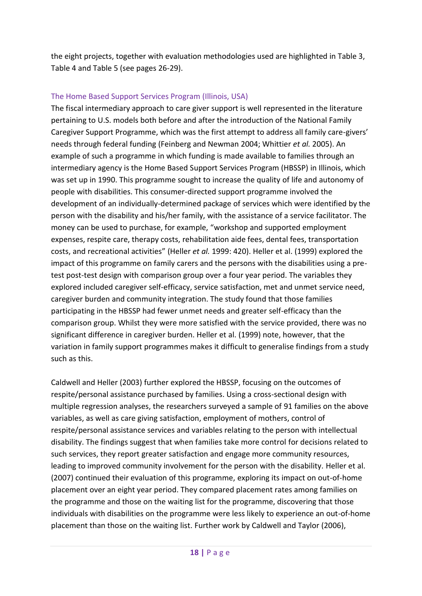the eight projects, together with evaluation methodologies used are highlighted in Table 3, Table 4 and Table 5 (see pages 26-29).

#### The Home Based Support Services Program (Illinois, USA)

The fiscal intermediary approach to care giver support is well represented in the literature pertaining to U.S. models both before and after the introduction of the National Family Caregiver Support Programme, which was the first attempt to address all family care-givers' needs through federal funding (Feinberg and Newman 2004; Whittier *et al.* 2005). An example of such a programme in which funding is made available to families through an intermediary agency is the Home Based Support Services Program (HBSSP) in Illinois, which was set up in 1990. This programme sought to increase the quality of life and autonomy of people with disabilities. This consumer-directed support programme involved the development of an individually-determined package of services which were identified by the person with the disability and his/her family, with the assistance of a service facilitator. The money can be used to purchase, for example, "workshop and supported employment expenses, respite care, therapy costs, rehabilitation aide fees, dental fees, transportation costs, and recreational activities" (Heller *et al.* 1999: 420). Heller et al. (1999) explored the impact of this programme on family carers and the persons with the disabilities using a pretest post-test design with comparison group over a four year period. The variables they explored included caregiver self-efficacy, service satisfaction, met and unmet service need, caregiver burden and community integration. The study found that those families participating in the HBSSP had fewer unmet needs and greater self-efficacy than the comparison group. Whilst they were more satisfied with the service provided, there was no significant difference in caregiver burden. Heller et al. (1999) note, however, that the variation in family support programmes makes it difficult to generalise findings from a study such as this.

Caldwell and Heller (2003) further explored the HBSSP, focusing on the outcomes of respite/personal assistance purchased by families. Using a cross-sectional design with multiple regression analyses, the researchers surveyed a sample of 91 families on the above variables, as well as care giving satisfaction, employment of mothers, control of respite/personal assistance services and variables relating to the person with intellectual disability. The findings suggest that when families take more control for decisions related to such services, they report greater satisfaction and engage more community resources, leading to improved community involvement for the person with the disability. Heller et al. (2007) continued their evaluation of this programme, exploring its impact on out-of-home placement over an eight year period. They compared placement rates among families on the programme and those on the waiting list for the programme, discovering that those individuals with disabilities on the programme were less likely to experience an out-of-home placement than those on the waiting list. Further work by Caldwell and Taylor (2006),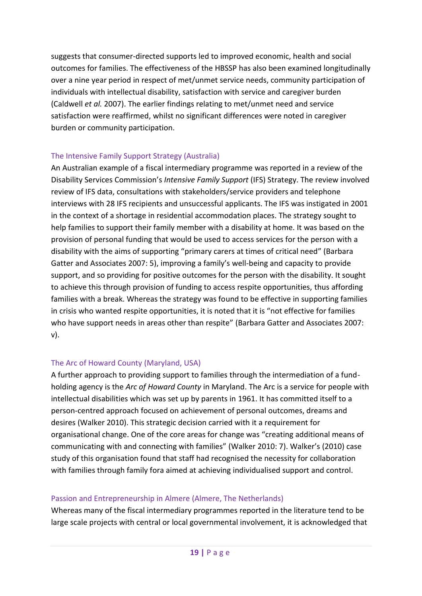suggests that consumer-directed supports led to improved economic, health and social outcomes for families. The effectiveness of the HBSSP has also been examined longitudinally over a nine year period in respect of met/unmet service needs, community participation of individuals with intellectual disability, satisfaction with service and caregiver burden (Caldwell *et al.* 2007). The earlier findings relating to met/unmet need and service satisfaction were reaffirmed, whilst no significant differences were noted in caregiver burden or community participation.

### The Intensive Family Support Strategy (Australia)

An Australian example of a fiscal intermediary programme was reported in a review of the Disability Services Commission's *Intensive Family Support* (IFS) Strategy. The review involved review of IFS data, consultations with stakeholders/service providers and telephone interviews with 28 IFS recipients and unsuccessful applicants. The IFS was instigated in 2001 in the context of a shortage in residential accommodation places. The strategy sought to help families to support their family member with a disability at home. It was based on the provision of personal funding that would be used to access services for the person with a disability with the aims of supporting "primary carers at times of critical need" (Barbara Gatter and Associates 2007: 5), improving a family's well-being and capacity to provide support, and so providing for positive outcomes for the person with the disability. It sought to achieve this through provision of funding to access respite opportunities, thus affording families with a break. Whereas the strategy was found to be effective in supporting families in crisis who wanted respite opportunities, it is noted that it is "not effective for families who have support needs in areas other than respite" (Barbara Gatter and Associates 2007: v).

#### The Arc of Howard County (Maryland, USA)

A further approach to providing support to families through the intermediation of a fundholding agency is the *Arc of Howard County* in Maryland. The Arc is a service for people with intellectual disabilities which was set up by parents in 1961. It has committed itself to a person-centred approach focused on achievement of personal outcomes, dreams and desires (Walker 2010). This strategic decision carried with it a requirement for organisational change. One of the core areas for change was "creating additional means of communicating with and connecting with families" (Walker 2010: 7). Walker's (2010) case study of this organisation found that staff had recognised the necessity for collaboration with families through family fora aimed at achieving individualised support and control.

#### Passion and Entrepreneurship in Almere (Almere, The Netherlands)

Whereas many of the fiscal intermediary programmes reported in the literature tend to be large scale projects with central or local governmental involvement, it is acknowledged that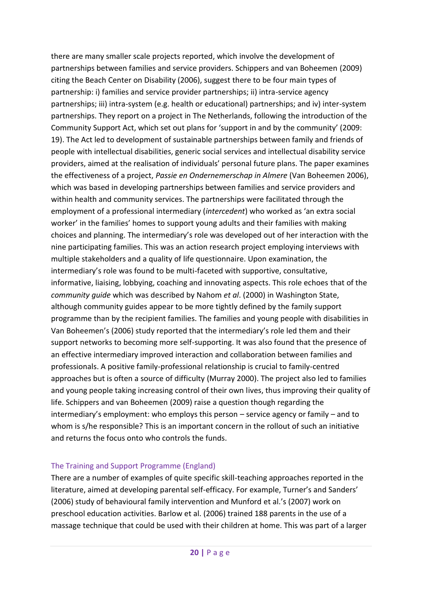there are many smaller scale projects reported, which involve the development of partnerships between families and service providers. Schippers and van Boheemen (2009) citing the Beach Center on Disability (2006), suggest there to be four main types of partnership: i) families and service provider partnerships; ii) intra-service agency partnerships; iii) intra-system (e.g. health or educational) partnerships; and iv) inter-system partnerships. They report on a project in The Netherlands, following the introduction of the Community Support Act, which set out plans for 'support in and by the community' (2009: 19). The Act led to development of sustainable partnerships between family and friends of people with intellectual disabilities, generic social services and intellectual disability service providers, aimed at the realisation of individuals' personal future plans. The paper examines the effectiveness of a project, *Passie en Ondernemerschap in Almere* (Van Boheemen 2006), which was based in developing partnerships between families and service providers and within health and community services. The partnerships were facilitated through the employment of a professional intermediary (*intercedent*) who worked as 'an extra social worker' in the families' homes to support young adults and their families with making choices and planning. The intermediary's role was developed out of her interaction with the nine participating families. This was an action research project employing interviews with multiple stakeholders and a quality of life questionnaire. Upon examination, the intermediary's role was found to be multi-faceted with supportive, consultative, informative, liaising, lobbying, coaching and innovating aspects. This role echoes that of the *community guide* which was described by Nahom *et al*. (2000) in Washington State, although community guides appear to be more tightly defined by the family support programme than by the recipient families. The families and young people with disabilities in Van Boheemen's (2006) study reported that the intermediary's role led them and their support networks to becoming more self-supporting. It was also found that the presence of an effective intermediary improved interaction and collaboration between families and professionals. A positive family-professional relationship is crucial to family-centred approaches but is often a source of difficulty (Murray 2000). The project also led to families and young people taking increasing control of their own lives, thus improving their quality of life. Schippers and van Boheemen (2009) raise a question though regarding the intermediary's employment: who employs this person – service agency or family – and to whom is s/he responsible? This is an important concern in the rollout of such an initiative and returns the focus onto who controls the funds.

#### The Training and Support Programme (England)

There are a number of examples of quite specific skill-teaching approaches reported in the literature, aimed at developing parental self-efficacy. For example, Turner's and Sanders' (2006) study of behavioural family intervention and Munford et al.'s (2007) work on preschool education activities. Barlow et al. (2006) trained 188 parents in the use of a massage technique that could be used with their children at home. This was part of a larger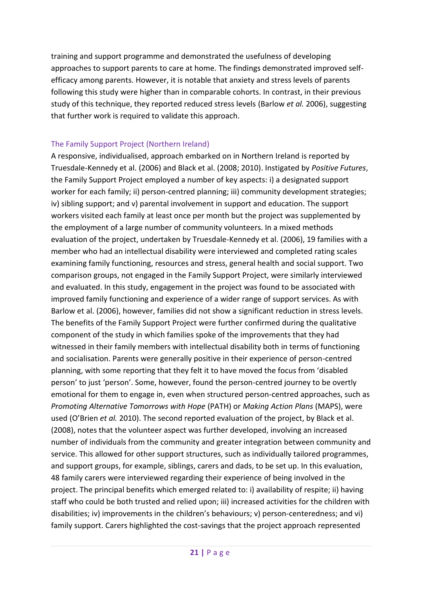training and support programme and demonstrated the usefulness of developing approaches to support parents to care at home. The findings demonstrated improved selfefficacy among parents. However, it is notable that anxiety and stress levels of parents following this study were higher than in comparable cohorts. In contrast, in their previous study of this technique, they reported reduced stress levels (Barlow *et al.* 2006), suggesting that further work is required to validate this approach.

#### The Family Support Project (Northern Ireland)

A responsive, individualised, approach embarked on in Northern Ireland is reported by Truesdale-Kennedy et al. (2006) and Black et al. (2008; 2010). Instigated by *Positive Futures*, the Family Support Project employed a number of key aspects: i) a designated support worker for each family; ii) person-centred planning; iii) community development strategies; iv) sibling support; and v) parental involvement in support and education. The support workers visited each family at least once per month but the project was supplemented by the employment of a large number of community volunteers. In a mixed methods evaluation of the project, undertaken by Truesdale-Kennedy et al. (2006), 19 families with a member who had an intellectual disability were interviewed and completed rating scales examining family functioning, resources and stress, general health and social support. Two comparison groups, not engaged in the Family Support Project, were similarly interviewed and evaluated. In this study, engagement in the project was found to be associated with improved family functioning and experience of a wider range of support services. As with Barlow et al. (2006), however, families did not show a significant reduction in stress levels. The benefits of the Family Support Project were further confirmed during the qualitative component of the study in which families spoke of the improvements that they had witnessed in their family members with intellectual disability both in terms of functioning and socialisation. Parents were generally positive in their experience of person-centred planning, with some reporting that they felt it to have moved the focus from 'disabled person' to just 'person'. Some, however, found the person-centred journey to be overtly emotional for them to engage in, even when structured person-centred approaches, such as *Promoting Alternative Tomorrows with Hope* (PATH) or *Making Action Plans* (MAPS), were used (O'Brien *et al.* 2010). The second reported evaluation of the project, by Black et al. (2008), notes that the volunteer aspect was further developed, involving an increased number of individuals from the community and greater integration between community and service. This allowed for other support structures, such as individually tailored programmes, and support groups, for example, siblings, carers and dads, to be set up. In this evaluation, 48 family carers were interviewed regarding their experience of being involved in the project. The principal benefits which emerged related to: i) availability of respite; ii) having staff who could be both trusted and relied upon; iii) increased activities for the children with disabilities; iv) improvements in the children's behaviours; v) person-centeredness; and vi) family support. Carers highlighted the cost-savings that the project approach represented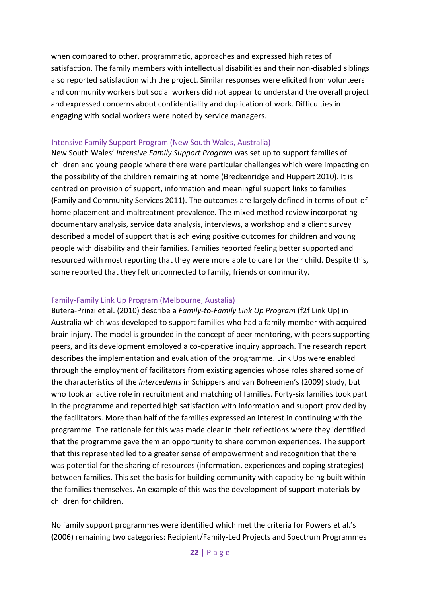when compared to other, programmatic, approaches and expressed high rates of satisfaction. The family members with intellectual disabilities and their non-disabled siblings also reported satisfaction with the project. Similar responses were elicited from volunteers and community workers but social workers did not appear to understand the overall project and expressed concerns about confidentiality and duplication of work. Difficulties in engaging with social workers were noted by service managers.

#### Intensive Family Support Program (New South Wales, Australia)

New South Wales' *Intensive Family Support Program* was set up to support families of children and young people where there were particular challenges which were impacting on the possibility of the children remaining at home (Breckenridge and Huppert 2010). It is centred on provision of support, information and meaningful support links to families (Family and Community Services 2011). The outcomes are largely defined in terms of out-ofhome placement and maltreatment prevalence. The mixed method review incorporating documentary analysis, service data analysis, interviews, a workshop and a client survey described a model of support that is achieving positive outcomes for children and young people with disability and their families. Families reported feeling better supported and resourced with most reporting that they were more able to care for their child. Despite this, some reported that they felt unconnected to family, friends or community.

#### Family-Family Link Up Program (Melbourne, Austalia)

Butera-Prinzi et al. (2010) describe a *Family-to-Family Link Up Program* (f2f Link Up) in Australia which was developed to support families who had a family member with acquired brain injury. The model is grounded in the concept of peer mentoring, with peers supporting peers, and its development employed a co-operative inquiry approach. The research report describes the implementation and evaluation of the programme. Link Ups were enabled through the employment of facilitators from existing agencies whose roles shared some of the characteristics of the *intercedents* in Schippers and van Boheemen's (2009) study, but who took an active role in recruitment and matching of families. Forty-six families took part in the programme and reported high satisfaction with information and support provided by the facilitators. More than half of the families expressed an interest in continuing with the programme. The rationale for this was made clear in their reflections where they identified that the programme gave them an opportunity to share common experiences. The support that this represented led to a greater sense of empowerment and recognition that there was potential for the sharing of resources (information, experiences and coping strategies) between families. This set the basis for building community with capacity being built within the families themselves. An example of this was the development of support materials by children for children.

No family support programmes were identified which met the criteria for Powers et al.'s (2006) remaining two categories: Recipient/Family-Led Projects and Spectrum Programmes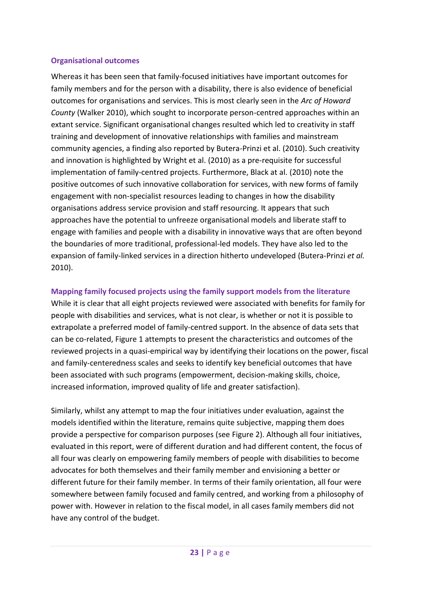#### <span id="page-31-0"></span>**Organisational outcomes**

Whereas it has been seen that family-focused initiatives have important outcomes for family members and for the person with a disability, there is also evidence of beneficial outcomes for organisations and services. This is most clearly seen in the *Arc of Howard County* (Walker 2010), which sought to incorporate person-centred approaches within an extant service. Significant organisational changes resulted which led to creativity in staff training and development of innovative relationships with families and mainstream community agencies, a finding also reported by Butera-Prinzi et al. (2010). Such creativity and innovation is highlighted by Wright et al. (2010) as a pre-requisite for successful implementation of family-centred projects. Furthermore, Black at al. (2010) note the positive outcomes of such innovative collaboration for services, with new forms of family engagement with non-specialist resources leading to changes in how the disability organisations address service provision and staff resourcing. It appears that such approaches have the potential to unfreeze organisational models and liberate staff to engage with families and people with a disability in innovative ways that are often beyond the boundaries of more traditional, professional-led models. They have also led to the expansion of family-linked services in a direction hitherto undeveloped (Butera-Prinzi *et al.* 2010).

### **Mapping family focused projects using the family support models from the literature**

While it is clear that all eight projects reviewed were associated with benefits for family for people with disabilities and services, what is not clear, is whether or not it is possible to extrapolate a preferred model of family-centred support. In the absence of data sets that can be co-related, [Figure 1](#page-32-0) attempts to present the characteristics and outcomes of the reviewed projects in a quasi-empirical way by identifying their locations on the power, fiscal and family-centeredness scales and seeks to identify key beneficial outcomes that have been associated with such programs (empowerment, decision-making skills, choice, increased information, improved quality of life and greater satisfaction).

Similarly, whilst any attempt to map the four initiatives under evaluation, against the models identified within the literature, remains quite subjective, mapping them does provide a perspective for comparison purposes (see [Figure 2\)](#page-33-1). Although all four initiatives, evaluated in this report, were of different duration and had different content, the focus of all four was clearly on empowering family members of people with disabilities to become advocates for both themselves and their family member and envisioning a better or different future for their family member. In terms of their family orientation, all four were somewhere between family focused and family centred, and working from a philosophy of power with. However in relation to the fiscal model, in all cases family members did not have any control of the budget.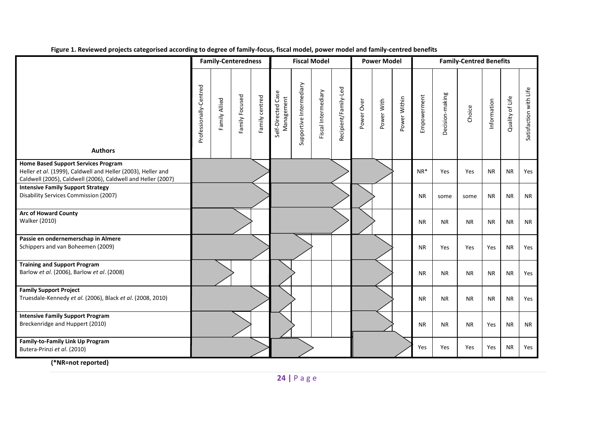|                                                                                                                                                                            | <b>Family-Centeredness</b> |               | <b>Fiscal Model</b> |                |                                  | <b>Power Model</b>      |                     |                      | <b>Family-Centred Benefits</b> |            |              |             |                 |           |             |                 |                        |
|----------------------------------------------------------------------------------------------------------------------------------------------------------------------------|----------------------------|---------------|---------------------|----------------|----------------------------------|-------------------------|---------------------|----------------------|--------------------------------|------------|--------------|-------------|-----------------|-----------|-------------|-----------------|------------------------|
| <b>Authors</b>                                                                                                                                                             | Professionally-Centred     | Family Allied | Family Focused      | Family centred | Self-Directed Case<br>Management | Supportive Intermediary | Fiscal Intermediary | Recipient/Family-Led | Power Over                     | Power With | Power Within | Empowerment | Decision-making | Choice    | Information | Quality of Life | Satisfaction with Life |
| <b>Home Based Support Services Program</b><br>Heller et al. (1999), Caldwell and Heller (2003), Heller and<br>Caldwell (2005), Caldwell (2006), Caldwell and Heller (2007) |                            |               |                     |                |                                  |                         |                     |                      |                                |            |              | $NR*$       | Yes             | Yes       | <b>NR</b>   | <b>NR</b>       | Yes                    |
| <b>Intensive Family Support Strategy</b><br>Disability Services Commission (2007)                                                                                          |                            |               |                     |                |                                  |                         |                     |                      |                                |            |              | <b>NR</b>   | some            | some      | <b>NR</b>   | <b>NR</b>       | <b>NR</b>              |
| <b>Arc of Howard County</b><br><b>Walker (2010)</b>                                                                                                                        |                            |               |                     |                |                                  |                         |                     |                      |                                |            |              | <b>NR</b>   | <b>NR</b>       | <b>NR</b> | <b>NR</b>   | <b>NR</b>       | <b>NR</b>              |
| Passie en ondernemerschap in Almere<br>Schippers and van Boheemen (2009)                                                                                                   |                            |               |                     |                |                                  |                         |                     |                      |                                |            |              | <b>NR</b>   | Yes             | Yes       | Yes         | <b>NR</b>       | Yes                    |
| <b>Training and Support Program</b><br>Barlow et al. (2006), Barlow et al. (2008)                                                                                          |                            |               |                     |                |                                  |                         |                     |                      |                                |            |              | <b>NR</b>   | <b>NR</b>       | <b>NR</b> | <b>NR</b>   | <b>NR</b>       | Yes                    |
| <b>Family Support Project</b><br>Truesdale-Kennedy et al. (2006), Black et al. (2008, 2010)                                                                                |                            |               |                     |                |                                  |                         |                     |                      |                                |            |              | <b>NR</b>   | <b>NR</b>       | <b>NR</b> | <b>NR</b>   | <b>NR</b>       | Yes                    |
| <b>Intensive Family Support Program</b><br>Breckenridge and Huppert (2010)                                                                                                 |                            |               |                     |                |                                  |                         |                     |                      |                                |            |              | <b>NR</b>   | <b>NR</b>       | <b>NR</b> | Yes         | <b>NR</b>       | <b>NR</b>              |
| Family-to-Family Link Up Program<br>Butera-Prinzi et al. (2010)                                                                                                            |                            |               |                     |                |                                  |                         |                     |                      |                                |            |              | Yes         | Yes             | Yes       | Yes         | <b>NR</b>       | Yes                    |

**Figure 1. Reviewed projects categorised according to degree of family-focus, fiscal model, power model and family-centred benefits** 

<span id="page-32-0"></span>**(\*NR=not reported)**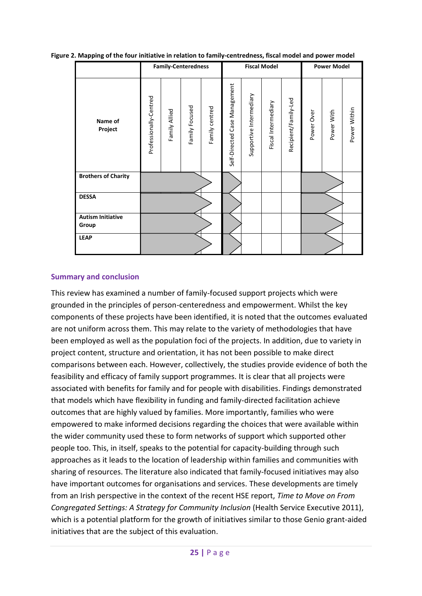<span id="page-33-1"></span>**Figure 2. Mapping of the four initiative in relation to family-centredness, fiscal model and power model**

|                                   | <b>Family-Centeredness</b> |               |                |                |                                  | <b>Fiscal Model</b>     |                     |                      |            | <b>Power Model</b> |              |  |  |
|-----------------------------------|----------------------------|---------------|----------------|----------------|----------------------------------|-------------------------|---------------------|----------------------|------------|--------------------|--------------|--|--|
| Name of<br>Project                | Professionally-Centred     | Family Allied | Family Focused | Family centred | Case Management<br>Self-Directed | Supportive Intermediary | Fiscal Intermediary | Recipient/Family-Led | Power Over | Power With         | Power Within |  |  |
| <b>Brothers of Charity</b>        |                            |               |                |                |                                  |                         |                     |                      |            |                    |              |  |  |
| <b>DESSA</b>                      |                            |               |                |                |                                  |                         |                     |                      |            |                    |              |  |  |
| <b>Autism Initiative</b><br>Group |                            |               |                |                |                                  |                         |                     |                      |            |                    |              |  |  |
| <b>LEAP</b>                       |                            |               |                |                |                                  |                         |                     |                      |            |                    |              |  |  |

#### <span id="page-33-0"></span>**Summary and conclusion**

This review has examined a number of family-focused support projects which were grounded in the principles of person-centeredness and empowerment. Whilst the key components of these projects have been identified, it is noted that the outcomes evaluated are not uniform across them. This may relate to the variety of methodologies that have been employed as well as the population foci of the projects. In addition, due to variety in project content, structure and orientation, it has not been possible to make direct comparisons between each. However, collectively, the studies provide evidence of both the feasibility and efficacy of family support programmes. It is clear that all projects were associated with benefits for family and for people with disabilities. Findings demonstrated that models which have flexibility in funding and family-directed facilitation achieve outcomes that are highly valued by families. More importantly, families who were empowered to make informed decisions regarding the choices that were available within the wider community used these to form networks of support which supported other people too. This, in itself, speaks to the potential for capacity-building through such approaches as it leads to the location of leadership within families and communities with sharing of resources. The literature also indicated that family-focused initiatives may also have important outcomes for organisations and services. These developments are timely from an Irish perspective in the context of the recent HSE report, *Time to Move on From Congregated Settings: A Strategy for Community Inclusion* (Health Service Executive 2011), which is a potential platform for the growth of initiatives similar to those Genio grant-aided initiatives that are the subject of this evaluation.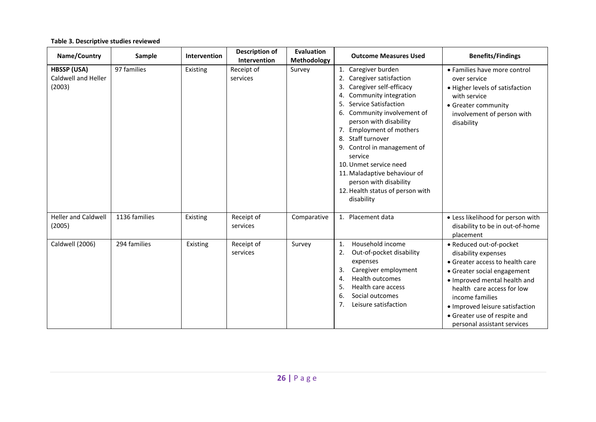#### **Table 3. Descriptive studies reviewed**

<span id="page-34-0"></span>

| Name/Country                                               | Sample        | Intervention | <b>Description of</b><br>Intervention | Evaluation<br>Methodology | <b>Outcome Measures Used</b>                                                                                                                                                                                                                                                                                                                                                                                                    | <b>Benefits/Findings</b>                                                                                                                                                                                                                                                                            |
|------------------------------------------------------------|---------------|--------------|---------------------------------------|---------------------------|---------------------------------------------------------------------------------------------------------------------------------------------------------------------------------------------------------------------------------------------------------------------------------------------------------------------------------------------------------------------------------------------------------------------------------|-----------------------------------------------------------------------------------------------------------------------------------------------------------------------------------------------------------------------------------------------------------------------------------------------------|
| <b>HBSSP (USA)</b><br><b>Caldwell and Heller</b><br>(2003) | 97 families   | Existing     | Receipt of<br>services                | Survey                    | 1. Caregiver burden<br>2. Caregiver satisfaction<br>3. Caregiver self-efficacy<br>4. Community integration<br>5. Service Satisfaction<br>6. Community involvement of<br>person with disability<br>7. Employment of mothers<br>8. Staff turnover<br>9. Control in management of<br>service<br>10. Unmet service need<br>11. Maladaptive behaviour of<br>person with disability<br>12. Health status of person with<br>disability | • Families have more control<br>over service<br>• Higher levels of satisfaction<br>with service<br>• Greater community<br>involvement of person with<br>disability                                                                                                                                  |
| <b>Heller and Caldwell</b><br>(2005)                       | 1136 families | Existing     | Receipt of<br>services                | Comparative               | 1. Placement data                                                                                                                                                                                                                                                                                                                                                                                                               | • Less likelihood for person with<br>disability to be in out-of-home<br>placement                                                                                                                                                                                                                   |
| Caldwell (2006)                                            | 294 families  | Existing     | Receipt of<br>services                | Survey                    | Household income<br>1.<br>Out-of-pocket disability<br>2.<br>expenses<br>Caregiver employment<br>3.<br>Health outcomes<br>4.<br>Health care access<br>5.<br>Social outcomes<br>6.<br>7 <sub>1</sub><br>Leisure satisfaction                                                                                                                                                                                                      | • Reduced out-of-pocket<br>disability expenses<br>• Greater access to health care<br>• Greater social engagement<br>· Improved mental health and<br>health care access for low<br>income families<br>• Improved leisure satisfaction<br>• Greater use of respite and<br>personal assistant services |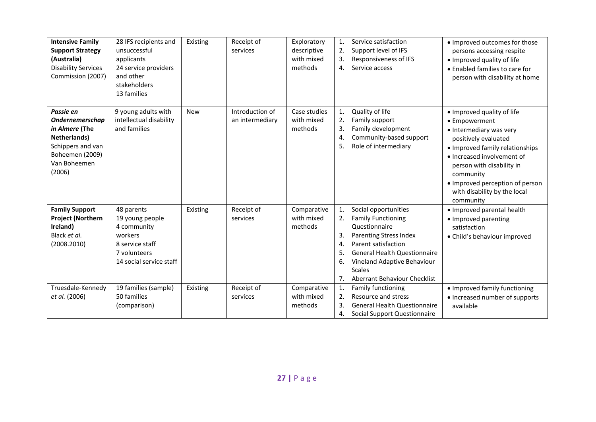| <b>Intensive Family</b><br><b>Support Strategy</b><br>(Australia)<br><b>Disability Services</b><br>Commission (2007)                    | 28 IFS recipients and<br>unsuccessful<br>applicants<br>24 service providers<br>and other<br>stakeholders<br>13 families | Existing   | Receipt of<br>services             | Exploratory<br>descriptive<br>with mixed<br>methods | Service satisfaction<br>$\mathbf{1}$ .<br>• Improved outcomes for those<br>Support level of IFS<br>2.<br>persons accessing respite<br>3.<br>Responsiveness of IFS<br>• Improved quality of life<br>Service access<br>4.<br>• Enabled families to care for<br>person with disability at home                                                                                                                                           |
|-----------------------------------------------------------------------------------------------------------------------------------------|-------------------------------------------------------------------------------------------------------------------------|------------|------------------------------------|-----------------------------------------------------|---------------------------------------------------------------------------------------------------------------------------------------------------------------------------------------------------------------------------------------------------------------------------------------------------------------------------------------------------------------------------------------------------------------------------------------|
| Passie en<br><b>Ondernemerschap</b><br>in Almere (The<br>Netherlands)<br>Schippers and van<br>Boheemen (2009)<br>Van Boheemen<br>(2006) | 9 young adults with<br>intellectual disability<br>and families                                                          | <b>New</b> | Introduction of<br>an intermediary | Case studies<br>with mixed<br>methods               | Quality of life<br>1.<br>. Improved quality of life<br>Family support<br>2.<br>• Empowerment<br>3.<br>Family development<br>• Intermediary was very<br>Community-based support<br>4.<br>positively evaluated<br>Role of intermediary<br>5.<br>• Improved family relationships<br>• Increased involvement of<br>person with disability in<br>community<br>· Improved perception of person<br>with disability by the local<br>community |
| <b>Family Support</b><br><b>Project (Northern</b><br>Ireland)<br>Black et al.<br>(2008.2010)                                            | 48 parents<br>19 young people<br>4 community<br>workers<br>8 service staff<br>7 volunteers<br>14 social service staff   | Existing   | Receipt of<br>services             | Comparative<br>with mixed<br>methods                | Social opportunities<br>1.<br>• Improved parental health<br><b>Family Functioning</b><br>2.<br>• Improved parenting<br>Questionnaire<br>satisfaction<br>3.<br><b>Parenting Stress Index</b><br>· Child's behaviour improved<br>Parent satisfaction<br>4.<br><b>General Health Questionnaire</b><br>5.<br>Vineland Adaptive Behaviour<br>6.<br><b>Scales</b><br>Aberrant Behaviour Checklist<br>7.                                     |
| Truesdale-Kennedy<br>et al. (2006)                                                                                                      | 19 families (sample)<br>50 families<br>(comparison)                                                                     | Existing   | Receipt of<br>services             | Comparative<br>with mixed<br>methods                | 1.<br>Family functioning<br>• Improved family functioning<br>Resource and stress<br>2.<br>• Increased number of supports<br><b>General Health Questionnaire</b><br>3.<br>available<br>Social Support Questionnaire<br>4.                                                                                                                                                                                                              |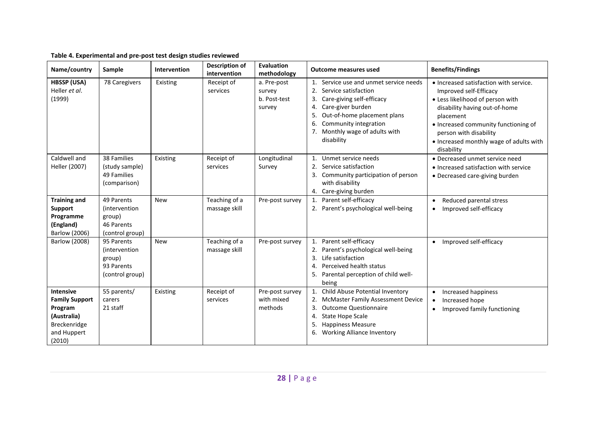| Name/country                                                                                          | Sample                                                                         | Intervention | <b>Description of</b><br>intervention | Evaluation<br>methodology                       | <b>Outcome measures used</b>                                                                                                                                                                                                                           | <b>Benefits/Findings</b>                                                                                                                                                                                                                                                      |
|-------------------------------------------------------------------------------------------------------|--------------------------------------------------------------------------------|--------------|---------------------------------------|-------------------------------------------------|--------------------------------------------------------------------------------------------------------------------------------------------------------------------------------------------------------------------------------------------------------|-------------------------------------------------------------------------------------------------------------------------------------------------------------------------------------------------------------------------------------------------------------------------------|
| <b>HBSSP (USA)</b><br>Heller et al.<br>(1999)                                                         | 78 Caregivers                                                                  | Existing     | Receipt of<br>services                | a. Pre-post<br>survey<br>b. Post-test<br>survey | 1. Service use and unmet service needs<br>2.<br>Service satisfaction<br>Care-giving self-efficacy<br>3.<br>Care-giver burden<br>4.<br>Out-of-home placement plans<br>5.<br>Community integration<br>6.<br>7. Monthly wage of adults with<br>disability | • Increased satisfaction with service.<br>Improved self-Efficacy<br>• Less likelihood of person with<br>disability having out-of-home<br>placement<br>• Increased community functioning of<br>person with disability<br>• Increased monthly wage of adults with<br>disability |
| Caldwell and<br>Heller (2007)                                                                         | 38 Families<br>(study sample)<br>49 Families<br>(comparison)                   | Existing     | Receipt of<br>services                | Longitudinal<br>Survey                          | 1. Unmet service needs<br>Service satisfaction<br>2.<br>3. Community participation of person<br>with disability<br>4. Care-giving burden                                                                                                               | • Decreased unmet service need<br>• Increased satisfaction with service<br>• Decreased care-giving burden                                                                                                                                                                     |
| <b>Training and</b><br><b>Support</b><br>Programme<br>(England)<br>Barlow (2006)                      | 49 Parents<br><i>(intervention)</i><br>group)<br>46 Parents<br>(control group) | <b>New</b>   | Teaching of a<br>massage skill        | Pre-post survey                                 | 1. Parent self-efficacy<br>2. Parent's psychological well-being                                                                                                                                                                                        | Reduced parental stress<br>$\bullet$<br>Improved self-efficacy<br>$\bullet$                                                                                                                                                                                                   |
| <b>Barlow (2008)</b>                                                                                  | 95 Parents<br><i>(intervention)</i><br>group)<br>93 Parents<br>(control group) | <b>New</b>   | Teaching of a<br>massage skill        | Pre-post survey                                 | 1. Parent self-efficacy<br>Parent's psychological well-being<br>3.<br>Life satisfaction<br>Perceived health status<br>4.<br>Parental perception of child well-<br>5.<br>being                                                                          | Improved self-efficacy<br>$\bullet$                                                                                                                                                                                                                                           |
| Intensive<br><b>Family Support</b><br>Program<br>(Australia)<br>Breckenridge<br>and Huppert<br>(2010) | 55 parents/<br>carers<br>21 staff                                              | Existing     | Receipt of<br>services                | Pre-post survey<br>with mixed<br>methods        | 1. Child Abuse Potential Inventory<br>2. McMaster Family Assessment Device<br><b>Outcome Questionnaire</b><br>3.<br><b>State Hope Scale</b><br>4.<br><b>Happiness Measure</b><br>5.<br><b>Working Alliance Inventory</b><br>6.                         | Increased happiness<br>$\bullet$<br>Increased hope<br>$\bullet$<br>Improved family functioning<br>$\bullet$                                                                                                                                                                   |

#### **Table 4. Experimental and pre-post test design studies reviewed**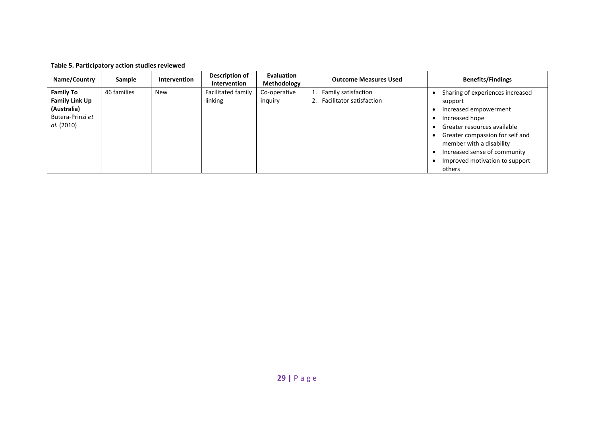| Name/Country                                                                               | Sample      | Intervention | Description of<br>Intervention | Evaluation<br>Methodology | <b>Outcome Measures Used</b>                          | <b>Benefits/Findings</b>                                                                                                                                                                                                                                         |
|--------------------------------------------------------------------------------------------|-------------|--------------|--------------------------------|---------------------------|-------------------------------------------------------|------------------------------------------------------------------------------------------------------------------------------------------------------------------------------------------------------------------------------------------------------------------|
| <b>Family To</b><br><b>Family Link Up</b><br>(Australia)<br>Butera-Prinzi et<br>al. (2010) | 46 families | <b>New</b>   | Facilitated family<br>linking  | Co-operative<br>inquiry   | 1. Family satisfaction<br>2. Facilitator satisfaction | Sharing of experiences increased<br>support<br>Increased empowerment<br>Increased hope<br>Greater resources available<br>Greater compassion for self and<br>member with a disability<br>Increased sense of community<br>Improved motivation to support<br>others |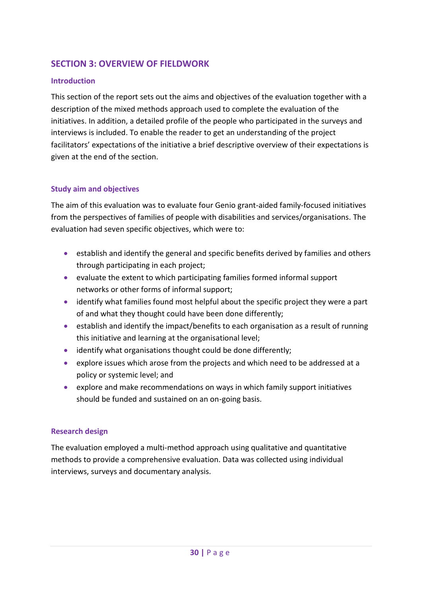## **SECTION 3: OVERVIEW OF FIELDWORK**

### **Introduction**

This section of the report sets out the aims and objectives of the evaluation together with a description of the mixed methods approach used to complete the evaluation of the initiatives. In addition, a detailed profile of the people who participated in the surveys and interviews is included. To enable the reader to get an understanding of the project facilitators' expectations of the initiative a brief descriptive overview of their expectations is given at the end of the section.

### **Study aim and objectives**

The aim of this evaluation was to evaluate four Genio grant-aided family-focused initiatives from the perspectives of families of people with disabilities and services/organisations. The evaluation had seven specific objectives, which were to:

- establish and identify the general and specific benefits derived by families and others through participating in each project;
- evaluate the extent to which participating families formed informal support networks or other forms of informal support;
- identify what families found most helpful about the specific project they were a part of and what they thought could have been done differently;
- establish and identify the impact/benefits to each organisation as a result of running this initiative and learning at the organisational level;
- identify what organisations thought could be done differently;
- explore issues which arose from the projects and which need to be addressed at a policy or systemic level; and
- **•** explore and make recommendations on ways in which family support initiatives should be funded and sustained on an on-going basis.

### **Research design**

The evaluation employed a multi-method approach using qualitative and quantitative methods to provide a comprehensive evaluation. Data was collected using individual interviews, surveys and documentary analysis.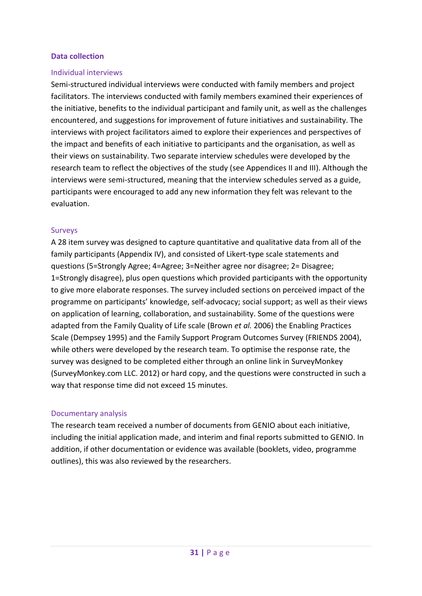### **Data collection**

### Individual interviews

Semi-structured individual interviews were conducted with family members and project facilitators. The interviews conducted with family members examined their experiences of the initiative, benefits to the individual participant and family unit, as well as the challenges encountered, and suggestions for improvement of future initiatives and sustainability. The interviews with project facilitators aimed to explore their experiences and perspectives of the impact and benefits of each initiative to participants and the organisation, as well as their views on sustainability. Two separate interview schedules were developed by the research team to reflect the objectives of the study (see Appendices II and III). Although the interviews were semi-structured, meaning that the interview schedules served as a guide, participants were encouraged to add any new information they felt was relevant to the evaluation.

### Surveys

A 28 item survey was designed to capture quantitative and qualitative data from all of the family participants (Appendix IV), and consisted of Likert-type scale statements and questions (5=Strongly Agree; 4=Agree; 3=Neither agree nor disagree; 2= Disagree; 1=Strongly disagree), plus open questions which provided participants with the opportunity to give more elaborate responses. The survey included sections on perceived impact of the programme on participants' knowledge, self-advocacy; social support; as well as their views on application of learning, collaboration, and sustainability. Some of the questions were adapted from the Family Quality of Life scale (Brown *et al.* 2006) the Enabling Practices Scale (Dempsey 1995) and the Family Support Program Outcomes Survey (FRIENDS 2004), while others were developed by the research team. To optimise the response rate, the survey was designed to be completed either through an online link in SurveyMonkey (SurveyMonkey.com LLC. 2012) or hard copy, and the questions were constructed in such a way that response time did not exceed 15 minutes.

### Documentary analysis

The research team received a number of documents from GENIO about each initiative, including the initial application made, and interim and final reports submitted to GENIO. In addition, if other documentation or evidence was available (booklets, video, programme outlines), this was also reviewed by the researchers.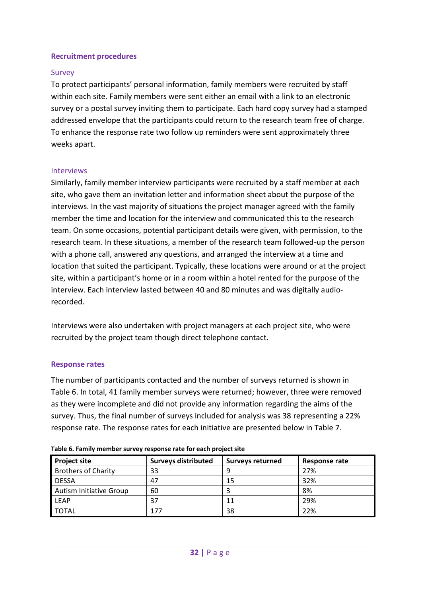### **Recruitment procedures**

### Survey

To protect participants' personal information, family members were recruited by staff within each site. Family members were sent either an email with a link to an electronic survey or a postal survey inviting them to participate. Each hard copy survey had a stamped addressed envelope that the participants could return to the research team free of charge. To enhance the response rate two follow up reminders were sent approximately three weeks apart.

### Interviews

Similarly, family member interview participants were recruited by a staff member at each site, who gave them an invitation letter and information sheet about the purpose of the interviews. In the vast majority of situations the project manager agreed with the family member the time and location for the interview and communicated this to the research team. On some occasions, potential participant details were given, with permission, to the research team. In these situations, a member of the research team followed-up the person with a phone call, answered any questions, and arranged the interview at a time and location that suited the participant. Typically, these locations were around or at the project site, within a participant's home or in a room within a hotel rented for the purpose of the interview. Each interview lasted between 40 and 80 minutes and was digitally audiorecorded.

Interviews were also undertaken with project managers at each project site, who were recruited by the project team though direct telephone contact.

### **Response rates**

The number of participants contacted and the number of surveys returned is shown in [Table 6.](#page-40-0) In total, 41 family member surveys were returned; however, three were removed as they were incomplete and did not provide any information regarding the aims of the survey. Thus, the final number of surveys included for analysis was 38 representing a 22% response rate. The response rates for each initiative are presented below in [Table 7.](#page-41-0)

| <b>Project site</b>            | <b>Surveys distributed</b> | <b>Surveys returned</b> | Response rate |  |  |  |  |
|--------------------------------|----------------------------|-------------------------|---------------|--|--|--|--|
| <b>Brothers of Charity</b>     | 33                         |                         | 27%           |  |  |  |  |
| <b>DESSA</b>                   | 47                         | 15                      | 32%           |  |  |  |  |
| <b>Autism Initiative Group</b> | 60                         |                         | 8%            |  |  |  |  |
| <b>LEAP</b>                    | 37                         | 11                      | 29%           |  |  |  |  |
| <b>TOTAL</b>                   | 177                        | 38                      | 22%           |  |  |  |  |

<span id="page-40-0"></span>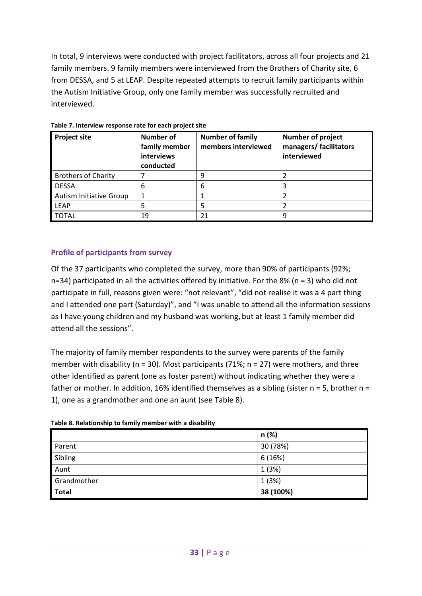In total, 9 interviews were conducted with project facilitators, across all four projects and 21 family members. 9 family members were interviewed from the Brothers of Charity site, 6 from DESSA, and 5 at LEAP. Despite repeated attempts to recruit family participants within the Autism Initiative Group, only one family member was successfully recruited and interviewed.

| <b>Project site</b>            | <b>Number of</b><br>family member<br>interviews<br>conducted | <b>Number of family</b><br>members interviewed | Number of project<br>managers/ facilitators<br>interviewed |
|--------------------------------|--------------------------------------------------------------|------------------------------------------------|------------------------------------------------------------|
| <b>Brothers of Charity</b>     |                                                              |                                                |                                                            |
| <b>DESSA</b>                   | 6                                                            | 6                                              | 3                                                          |
| <b>Autism Initiative Group</b> |                                                              |                                                |                                                            |
| <b>LEAP</b>                    |                                                              |                                                | 2                                                          |
| <b>TOTAL</b>                   | 19                                                           | 21                                             | 9                                                          |

#### <span id="page-41-0"></span>**Table 7. Interview response rate for each project site**

### **Profile of participants from survey**

Of the 37 participants who completed the survey, more than 90% of participants (92%;  $n=34$ ) participated in all the activities offered by initiative. For the 8% (n = 3) who did not participate in full, reasons given were: "not relevant", "did not realise it was a 4 part thing and I attended one part (Saturday)", and "I was unable to attend all the information sessions as I have young children and my husband was working, but at least 1 family member did attend all the sessions".

The majority of family member respondents to the survey were parents of the family member with disability ( $n = 30$ ). Most participants (71%;  $n = 27$ ) were mothers, and three other identified as parent (one as foster parent) without indicating whether they were a father or mother. In addition, 16% identified themselves as a sibling (sister  $n = 5$ , brother  $n =$ 1), one as a grandmother and one an aunt (see [Table 8\)](#page-41-1).

<span id="page-41-1"></span>

|  |  |  | Table 8. Relationship to family member with a disability |
|--|--|--|----------------------------------------------------------|
|  |  |  |                                                          |

|             | n (%)     |
|-------------|-----------|
| Parent      | 30 (78%)  |
| Sibling     | 6(16%)    |
| Aunt        | 1(3%)     |
| Grandmother | 1(3%)     |
| Total       | 38 (100%) |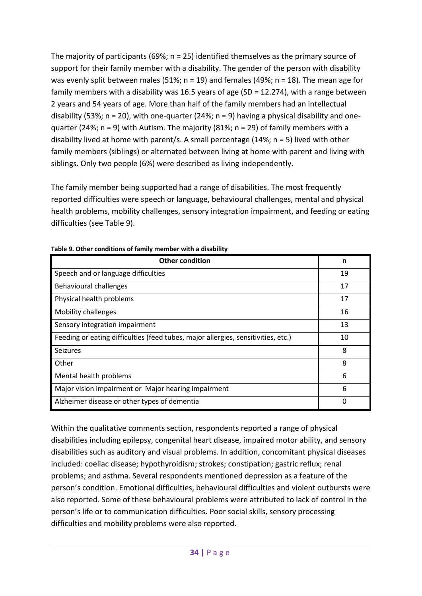The majority of participants (69%;  $n = 25$ ) identified themselves as the primary source of support for their family member with a disability. The gender of the person with disability was evenly split between males (51%;  $n = 19$ ) and females (49%;  $n = 18$ ). The mean age for family members with a disability was 16.5 years of age (SD = 12.274), with a range between 2 years and 54 years of age. More than half of the family members had an intellectual disability (53%;  $n = 20$ ), with one-quarter (24%;  $n = 9$ ) having a physical disability and onequarter (24%; n = 9) with Autism. The majority (81%; n = 29) of family members with a disability lived at home with parent/s. A small percentage (14%;  $n = 5$ ) lived with other family members (siblings) or alternated between living at home with parent and living with siblings. Only two people (6%) were described as living independently.

The family member being supported had a range of disabilities. The most frequently reported difficulties were speech or language, behavioural challenges, mental and physical health problems, mobility challenges, sensory integration impairment, and feeding or eating difficulties (see [Table 9\)](#page-42-0).

| <b>Other condition</b>                                                            | n  |
|-----------------------------------------------------------------------------------|----|
| Speech and or language difficulties                                               | 19 |
| Behavioural challenges                                                            | 17 |
| Physical health problems                                                          | 17 |
| Mobility challenges                                                               | 16 |
| Sensory integration impairment                                                    | 13 |
| Feeding or eating difficulties (feed tubes, major allergies, sensitivities, etc.) | 10 |
| Seizures                                                                          | 8  |
| Other                                                                             | 8  |
| Mental health problems                                                            | 6  |
| Major vision impairment or Major hearing impairment                               | 6  |
| Alzheimer disease or other types of dementia                                      | 0  |

<span id="page-42-0"></span>**Table 9. Other conditions of family member with a disability**

Within the qualitative comments section, respondents reported a range of physical disabilities including epilepsy, congenital heart disease, impaired motor ability, and sensory disabilities such as auditory and visual problems. In addition, concomitant physical diseases included: coeliac disease; hypothyroidism; strokes; constipation; gastric reflux; renal problems; and asthma. Several respondents mentioned depression as a feature of the person's condition. Emotional difficulties, behavioural difficulties and violent outbursts were also reported. Some of these behavioural problems were attributed to lack of control in the person's life or to communication difficulties. Poor social skills, sensory processing difficulties and mobility problems were also reported.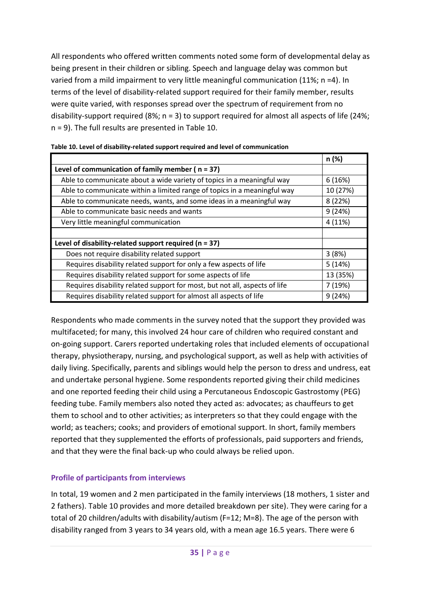All respondents who offered written comments noted some form of developmental delay as being present in their children or sibling. Speech and language delay was common but varied from a mild impairment to very little meaningful communication (11%; n =4). In terms of the level of disability-related support required for their family member, results were quite varied, with responses spread over the spectrum of requirement from no disability-support required (8%;  $n = 3$ ) to support required for almost all aspects of life (24%; n = 9). The full results are presented in [Table 10.](#page-43-0)

|                                                                            | n (%)    |  |  |  |
|----------------------------------------------------------------------------|----------|--|--|--|
| Level of communication of family member ( $n = 37$ )                       |          |  |  |  |
| Able to communicate about a wide variety of topics in a meaningful way     | 6(16%)   |  |  |  |
| Able to communicate within a limited range of topics in a meaningful way   | 10 (27%) |  |  |  |
| Able to communicate needs, wants, and some ideas in a meaningful way       | 8(22%)   |  |  |  |
| Able to communicate basic needs and wants                                  | 9(24%)   |  |  |  |
| Very little meaningful communication                                       | 4 (11%)  |  |  |  |
|                                                                            |          |  |  |  |
| Level of disability-related support required ( $n = 37$ )                  |          |  |  |  |
| Does not require disability related support                                | 3(8%)    |  |  |  |
| Requires disability related support for only a few aspects of life         | 5(14%)   |  |  |  |
| Requires disability related support for some aspects of life               | 13 (35%) |  |  |  |
| Requires disability related support for most, but not all, aspects of life | 7 (19%)  |  |  |  |
| Requires disability related support for almost all aspects of life         | 9(24%)   |  |  |  |

### <span id="page-43-0"></span>**Table 10. Level of disability-related support required and level of communication**

Respondents who made comments in the survey noted that the support they provided was multifaceted; for many, this involved 24 hour care of children who required constant and on-going support. Carers reported undertaking roles that included elements of occupational therapy, physiotherapy, nursing, and psychological support, as well as help with activities of daily living. Specifically, parents and siblings would help the person to dress and undress, eat and undertake personal hygiene. Some respondents reported giving their child medicines and one reported feeding their child using a Percutaneous Endoscopic Gastrostomy (PEG) feeding tube. Family members also noted they acted as: advocates; as chauffeurs to get them to school and to other activities; as interpreters so that they could engage with the world; as teachers; cooks; and providers of emotional support. In short, family members reported that they supplemented the efforts of professionals, paid supporters and friends, and that they were the final back-up who could always be relied upon.

## **Profile of participants from interviews**

In total, 19 women and 2 men participated in the family interviews (18 mothers, 1 sister and 2 fathers). [Table 10](#page-43-0) provides and more detailed breakdown per site). They were caring for a total of 20 children/adults with disability/autism (F=12; M=8). The age of the person with disability ranged from 3 years to 34 years old, with a mean age 16.5 years. There were 6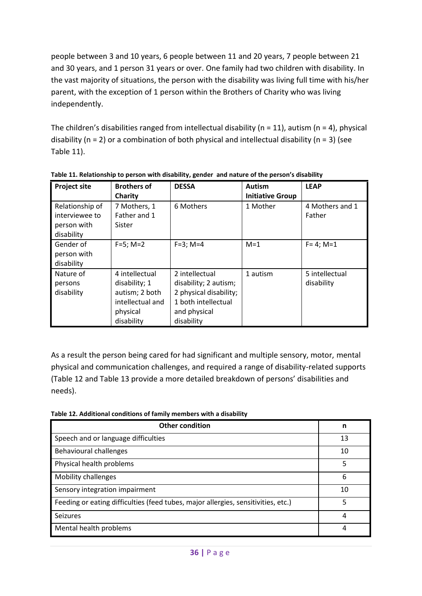people between 3 and 10 years, 6 people between 11 and 20 years, 7 people between 21 and 30 years, and 1 person 31 years or over. One family had two children with disability. In the vast majority of situations, the person with the disability was living full time with his/her parent, with the exception of 1 person within the Brothers of Charity who was living independently.

The children's disabilities ranged from intellectual disability ( $n = 11$ ), autism ( $n = 4$ ), physical disability ( $n = 2$ ) or a combination of both physical and intellectual disability ( $n = 3$ ) (see [Table 11\)](#page-44-0).

| <b>Project site</b>                                            | <b>Brothers of</b><br>Charity                                                                   | <b>DESSA</b>                                                                                                           | <b>Autism</b><br><b>Initiative Group</b> | <b>LEAP</b>                  |
|----------------------------------------------------------------|-------------------------------------------------------------------------------------------------|------------------------------------------------------------------------------------------------------------------------|------------------------------------------|------------------------------|
| Relationship of<br>interviewee to<br>person with<br>disability | 7 Mothers, 1<br>Father and 1<br>Sister                                                          | 6 Mothers                                                                                                              | 1 Mother                                 | 4 Mothers and 1<br>Father    |
| Gender of<br>person with<br>disability                         | $F=5$ ; M=2                                                                                     | $F=3$ ; M=4                                                                                                            | $M=1$                                    | $F = 4$ ; M=1                |
| Nature of<br>persons<br>disability                             | 4 intellectual<br>disability; 1<br>autism; 2 both<br>intellectual and<br>physical<br>disability | 2 intellectual<br>disability; 2 autism;<br>2 physical disability;<br>1 both intellectual<br>and physical<br>disability | 1 autism                                 | 5 intellectual<br>disability |

<span id="page-44-0"></span>**Table 11. Relationship to person with disability, gender and nature of the person's disability**

As a result the person being cared for had significant and multiple sensory, motor, mental physical and communication challenges, and required a range of disability-related supports [\(Table 12](#page-44-1) and [Table 13](#page-45-0) provide a more detailed breakdown of persons' disabilities and needs).

<span id="page-44-1"></span>

| <b>Other condition</b>                                                            | n  |
|-----------------------------------------------------------------------------------|----|
| Speech and or language difficulties                                               | 13 |
| Behavioural challenges                                                            | 10 |
| Physical health problems                                                          | 5  |
| <b>Mobility challenges</b>                                                        | 6  |
| Sensory integration impairment                                                    | 10 |
| Feeding or eating difficulties (feed tubes, major allergies, sensitivities, etc.) | 5  |
| Seizures                                                                          | 4  |
| Mental health problems                                                            | 4  |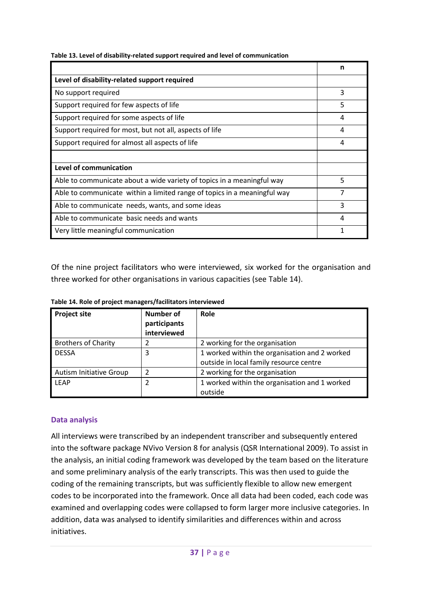|                                                                          | n |
|--------------------------------------------------------------------------|---|
| Level of disability-related support required                             |   |
| No support required                                                      | 3 |
| Support required for few aspects of life                                 | 5 |
| Support required for some aspects of life                                | 4 |
| Support required for most, but not all, aspects of life                  | 4 |
| Support required for almost all aspects of life                          | 4 |
|                                                                          |   |
| Level of communication                                                   |   |
| Able to communicate about a wide variety of topics in a meaningful way   | 5 |
| Able to communicate within a limited range of topics in a meaningful way | 7 |
| Able to communicate needs, wants, and some ideas                         | 3 |
| Able to communicate basic needs and wants                                | 4 |
| Very little meaningful communication                                     |   |

<span id="page-45-0"></span>**Table 13. Level of disability-related support required and level of communication**

Of the nine project facilitators who were interviewed, six worked for the organisation and three worked for other organisations in various capacities (see [Table 14\)](#page-45-1).

| <b>Project site</b>            | Number of<br>participants | Role                                          |
|--------------------------------|---------------------------|-----------------------------------------------|
|                                | interviewed               |                                               |
| <b>Brothers of Charity</b>     |                           | 2 working for the organisation                |
| <b>DESSA</b>                   | 3                         | 1 worked within the organisation and 2 worked |
|                                |                           | outside in local family resource centre       |
| <b>Autism Initiative Group</b> | 2                         | 2 working for the organisation                |
| <b>LEAP</b>                    |                           | 1 worked within the organisation and 1 worked |
|                                |                           | outside                                       |

<span id="page-45-1"></span>**Table 14. Role of project managers/facilitators interviewed** 

### **Data analysis**

All interviews were transcribed by an independent transcriber and subsequently entered into the software package NVivo Version 8 for analysis (QSR International 2009). To assist in the analysis, an initial coding framework was developed by the team based on the literature and some preliminary analysis of the early transcripts. This was then used to guide the coding of the remaining transcripts, but was sufficiently flexible to allow new emergent codes to be incorporated into the framework. Once all data had been coded, each code was examined and overlapping codes were collapsed to form larger more inclusive categories. In addition, data was analysed to identify similarities and differences within and across initiatives.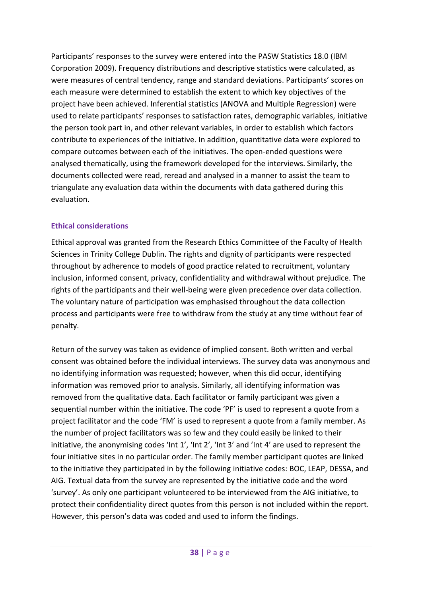Participants' responses to the survey were entered into the PASW Statistics 18.0 (IBM Corporation 2009). Frequency distributions and descriptive statistics were calculated, as were measures of central tendency, range and standard deviations. Participants' scores on each measure were determined to establish the extent to which key objectives of the project have been achieved. Inferential statistics (ANOVA and Multiple Regression) were used to relate participants' responses to satisfaction rates, demographic variables, initiative the person took part in, and other relevant variables, in order to establish which factors contribute to experiences of the initiative. In addition, quantitative data were explored to compare outcomes between each of the initiatives. The open-ended questions were analysed thematically, using the framework developed for the interviews. Similarly, the documents collected were read, reread and analysed in a manner to assist the team to triangulate any evaluation data within the documents with data gathered during this evaluation.

## **Ethical considerations**

Ethical approval was granted from the Research Ethics Committee of the Faculty of Health Sciences in Trinity College Dublin. The rights and dignity of participants were respected throughout by adherence to models of good practice related to recruitment, voluntary inclusion, informed consent, privacy, confidentiality and withdrawal without prejudice. The rights of the participants and their well-being were given precedence over data collection. The voluntary nature of participation was emphasised throughout the data collection process and participants were free to withdraw from the study at any time without fear of penalty.

Return of the survey was taken as evidence of implied consent. Both written and verbal consent was obtained before the individual interviews. The survey data was anonymous and no identifying information was requested; however, when this did occur, identifying information was removed prior to analysis. Similarly, all identifying information was removed from the qualitative data. Each facilitator or family participant was given a sequential number within the initiative. The code 'PF' is used to represent a quote from a project facilitator and the code 'FM' is used to represent a quote from a family member. As the number of project facilitators was so few and they could easily be linked to their initiative, the anonymising codes 'Int 1', 'Int 2', 'Int 3' and 'Int 4' are used to represent the four initiative sites in no particular order. The family member participant quotes are linked to the initiative they participated in by the following initiative codes: BOC, LEAP, DESSA, and AIG. Textual data from the survey are represented by the initiative code and the word 'survey'. As only one participant volunteered to be interviewed from the AIG initiative, to protect their confidentiality direct quotes from this person is not included within the report. However, this person's data was coded and used to inform the findings.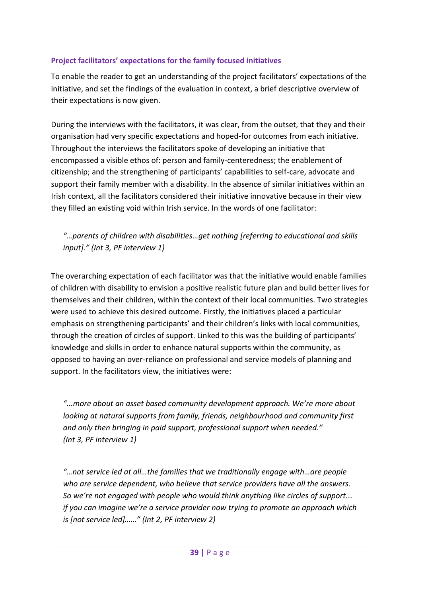## **Project facilitators' expectations for the family focused initiatives**

To enable the reader to get an understanding of the project facilitators' expectations of the initiative, and set the findings of the evaluation in context, a brief descriptive overview of their expectations is now given.

During the interviews with the facilitators, it was clear, from the outset, that they and their organisation had very specific expectations and hoped-for outcomes from each initiative. Throughout the interviews the facilitators spoke of developing an initiative that encompassed a visible ethos of: person and family-centeredness; the enablement of citizenship; and the strengthening of participants' capabilities to self-care, advocate and support their family member with a disability. In the absence of similar initiatives within an Irish context, all the facilitators considered their initiative innovative because in their view they filled an existing void within Irish service. In the words of one facilitator:

## *"…parents of children with disabilities…get nothing [referring to educational and skills input]." (Int 3, PF interview 1)*

The overarching expectation of each facilitator was that the initiative would enable families of children with disability to envision a positive realistic future plan and build better lives for themselves and their children, within the context of their local communities. Two strategies were used to achieve this desired outcome. Firstly, the initiatives placed a particular emphasis on strengthening participants' and their children's links with local communities, through the creation of circles of support. Linked to this was the building of participants' knowledge and skills in order to enhance natural supports within the community, as opposed to having an over-reliance on professional and service models of planning and support. In the facilitators view, the initiatives were:

*"...more about an asset based community development approach. We're more about looking at natural supports from family, friends, neighbourhood and community first and only then bringing in paid support, professional support when needed." (Int 3, PF interview 1)*

*"…not service led at all…the families that we traditionally engage with…are people who are service dependent, who believe that service providers have all the answers. So we're not engaged with people who would think anything like circles of support... if you can imagine we're a service provider now trying to promote an approach which is [not service led]……" (Int 2, PF interview 2)*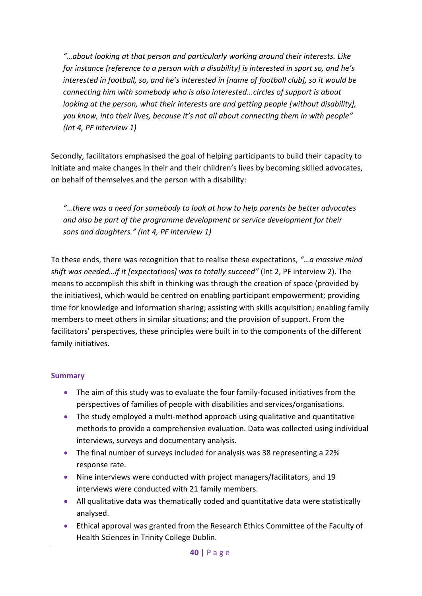*"…about looking at that person and particularly working around their interests. Like for instance [reference to a person with a disability] is interested in sport so, and he's interested in football, so, and he's interested in [name of football club], so it would be connecting him with somebody who is also interested...circles of support is about looking at the person, what their interests are and getting people [without disability], you know, into their lives, because it's not all about connecting them in with people" (Int 4, PF interview 1)*

Secondly, facilitators emphasised the goal of helping participants to build their capacity to initiate and make changes in their and their children's lives by becoming skilled advocates, on behalf of themselves and the person with a disability:

*"…there was a need for somebody to look at how to help parents be better advocates and also be part of the programme development or service development for their sons and daughters." (Int 4, PF interview 1)*

To these ends, there was recognition that to realise these expectations, *"…a massive mind shift was needed…if it [expectations] was to totally succeed"* (Int 2, PF interview 2). The means to accomplish this shift in thinking was through the creation of space (provided by the initiatives), which would be centred on enabling participant empowerment; providing time for knowledge and information sharing; assisting with skills acquisition; enabling family members to meet others in similar situations; and the provision of support. From the facilitators' perspectives, these principles were built in to the components of the different family initiatives.

## **Summary**

- The aim of this study was to evaluate the four family-focused initiatives from the perspectives of families of people with disabilities and services/organisations.
- The study employed a multi-method approach using qualitative and quantitative methods to provide a comprehensive evaluation. Data was collected using individual interviews, surveys and documentary analysis.
- The final number of surveys included for analysis was 38 representing a 22% response rate.
- Nine interviews were conducted with project managers/facilitators, and 19 interviews were conducted with 21 family members.
- All qualitative data was thematically coded and quantitative data were statistically analysed.
- Ethical approval was granted from the Research Ethics Committee of the Faculty of Health Sciences in Trinity College Dublin.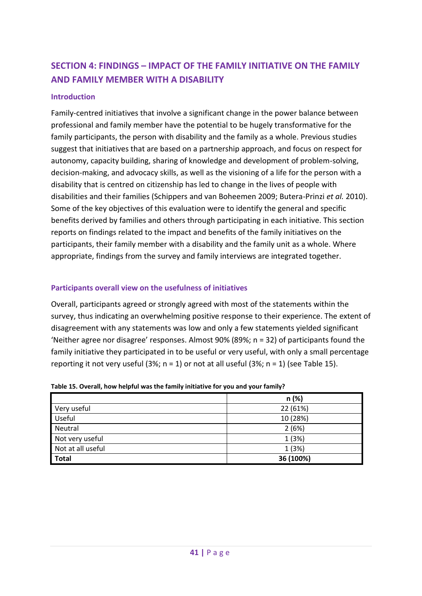# **SECTION 4: FINDINGS – IMPACT OF THE FAMILY INITIATIVE ON THE FAMILY AND FAMILY MEMBER WITH A DISABILITY**

### **Introduction**

Family-centred initiatives that involve a significant change in the power balance between professional and family member have the potential to be hugely transformative for the family participants, the person with disability and the family as a whole. Previous studies suggest that initiatives that are based on a partnership approach, and focus on respect for autonomy, capacity building, sharing of knowledge and development of problem-solving, decision-making, and advocacy skills, as well as the visioning of a life for the person with a disability that is centred on citizenship has led to change in the lives of people with disabilities and their families (Schippers and van Boheemen 2009; Butera-Prinzi *et al.* 2010). Some of the key objectives of this evaluation were to identify the general and specific benefits derived by families and others through participating in each initiative. This section reports on findings related to the impact and benefits of the family initiatives on the participants, their family member with a disability and the family unit as a whole. Where appropriate, findings from the survey and family interviews are integrated together.

### **Participants overall view on the usefulness of initiatives**

Overall, participants agreed or strongly agreed with most of the statements within the survey, thus indicating an overwhelming positive response to their experience. The extent of disagreement with any statements was low and only a few statements yielded significant 'Neither agree nor disagree' responses. Almost 90% (89%; n = 32) of participants found the family initiative they participated in to be useful or very useful, with only a small percentage reporting it not very useful (3%;  $n = 1$ ) or not at all useful (3%;  $n = 1$ ) (see [Table 15\)](#page-49-0).

|                   | n (%)     |
|-------------------|-----------|
| Very useful       | 22 (61%)  |
| Useful            | 10 (28%)  |
| Neutral           | 2(6%)     |
| Not very useful   | 1(3%)     |
| Not at all useful | 1(3%)     |
| <b>Total</b>      | 36 (100%) |

<span id="page-49-0"></span>**Table 15. Overall, how helpful was the family initiative for you and your family?**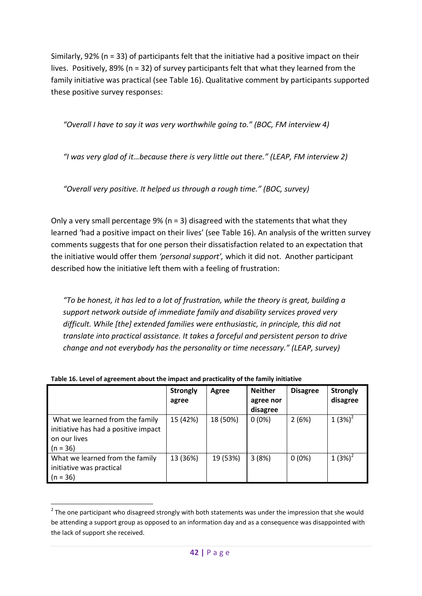Similarly, 92% (n = 33) of participants felt that the initiative had a positive impact on their lives. Positively, 89% (n = 32) of survey participants felt that what they learned from the family initiative was practical (see [Table 16\)](#page-50-0). Qualitative comment by participants supported these positive survey responses:

*"Overall I have to say it was very worthwhile going to." (BOC, FM interview 4)*

*"I was very glad of it…because there is very little out there." (LEAP, FM interview 2)* 

*"Overall very positive. It helped us through a rough time." (BOC, survey)*

Only a very small percentage 9% ( $n = 3$ ) disagreed with the statements that what they learned 'had a positive impact on their lives' (see [Table 16\)](#page-50-0). An analysis of the written survey comments suggests that for one person their dissatisfaction related to an expectation that the initiative would offer them *'personal support',* which it did not. Another participant described how the initiative left them with a feeling of frustration:

*"To be honest, it has led to a lot of frustration, while the theory is great, building a support network outside of immediate family and disability services proved very difficult. While [the] extended families were enthusiastic, in principle, this did not translate into practical assistance. It takes a forceful and persistent person to drive change and not everybody has the personality or time necessary." (LEAP, survey)*

|                                                                                                       | <b>Strongly</b><br>agree | Agree    | <b>Neither</b><br>agree nor<br>disagree | <b>Disagree</b> | <b>Strongly</b><br>disagree |
|-------------------------------------------------------------------------------------------------------|--------------------------|----------|-----------------------------------------|-----------------|-----------------------------|
| What we learned from the family<br>initiative has had a positive impact<br>on our lives<br>$(n = 36)$ | 15 (42%)                 | 18 (50%) | $0(0\%)$                                | 2(6%)           | $1(3%)^2$                   |
| What we learned from the family<br>initiative was practical<br>$(n = 36)$                             | 13 (36%)                 | 19 (53%) | 3(8%)                                   | $0(0\%)$        | 1 $(3%)^2$                  |

<span id="page-50-0"></span>**Table 16. Level of agreement about the impact and practicality of the family initiative**

**THE STAN TO SET SETTS THE STAND TO SET 1.1**<br>The one participant who disagreed strongly with both statements was under the impression that she would be attending a support group as opposed to an information day and as a consequence was disappointed with the lack of support she received.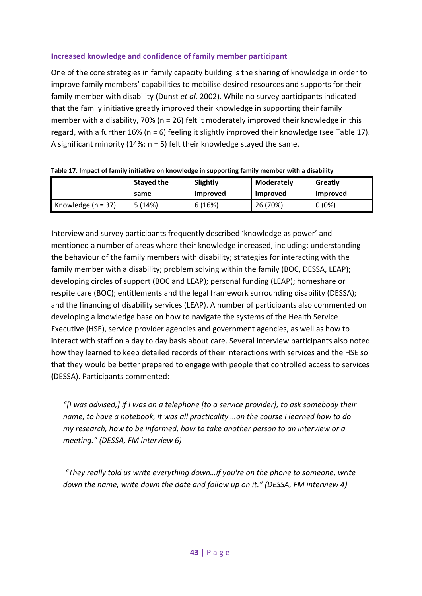## **Increased knowledge and confidence of family member participant**

One of the core strategies in family capacity building is the sharing of knowledge in order to improve family members' capabilities to mobilise desired resources and supports for their family member with disability (Dunst *et al.* 2002). While no survey participants indicated that the family initiative greatly improved their knowledge in supporting their family member with a disability, 70% (n = 26) felt it moderately improved their knowledge in this regard, with a further  $16\%$  (n = 6) feeling it slightly improved their knowledge (see [Table 17\)](#page-51-0). A significant minority (14%; n = 5) felt their knowledge stayed the same.

|                        | Stayed the | Slightly | <b>Moderately</b> | Greatly  |
|------------------------|------------|----------|-------------------|----------|
|                        | same       | improved | improved          | improved |
| Knowledge ( $n = 37$ ) | 5(14%)     | 6(16%)   | 26 (70%)          | $0(0\%)$ |

<span id="page-51-0"></span>

Interview and survey participants frequently described 'knowledge as power' and mentioned a number of areas where their knowledge increased, including: understanding the behaviour of the family members with disability; strategies for interacting with the family member with a disability; problem solving within the family (BOC, DESSA, LEAP); developing circles of support (BOC and LEAP); personal funding (LEAP); homeshare or respite care (BOC); entitlements and the legal framework surrounding disability (DESSA); and the financing of disability services (LEAP). A number of participants also commented on developing a knowledge base on how to navigate the systems of the Health Service Executive (HSE), service provider agencies and government agencies, as well as how to interact with staff on a day to day basis about care. Several interview participants also noted how they learned to keep detailed records of their interactions with services and the HSE so that they would be better prepared to engage with people that controlled access to services (DESSA). Participants commented:

*"[I was advised,] if I was on a telephone [to a service provider], to ask somebody their name, to have a notebook, it was all practicality …on the course I learned how to do my research, how to be informed, how to take another person to an interview or a meeting." (DESSA, FM interview 6)*

*"They really told us write everything down…if you're on the phone to someone, write down the name, write down the date and follow up on it." (DESSA, FM interview 4)*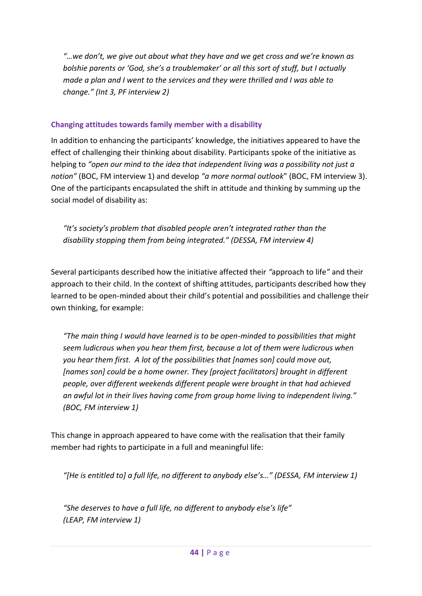*"…we don't, we give out about what they have and we get cross and we're known as bolshie parents or 'God, she's a troublemaker' or all this sort of stuff, but I actually made a plan and I went to the services and they were thrilled and I was able to change." (Int 3, PF interview 2)*

## **Changing attitudes towards family member with a disability**

In addition to enhancing the participants' knowledge, the initiatives appeared to have the effect of challenging their thinking about disability. Participants spoke of the initiative as helping to *"open our mind to the idea that independent living was a possibility not just a notion"* (BOC, FM interview 1) and develop *"a more normal outlook*" (BOC, FM interview 3). One of the participants encapsulated the shift in attitude and thinking by summing up the social model of disability as:

*"It's society's problem that disabled people aren't integrated rather than the disability stopping them from being integrated." (DESSA, FM interview 4)*

Several participants described how the initiative affected their *"*approach to life*"* and their approach to their child. In the context of shifting attitudes, participants described how they learned to be open-minded about their child's potential and possibilities and challenge their own thinking, for example:

*"The main thing I would have learned is to be open-minded to possibilities that might seem ludicrous when you hear them first, because a lot of them were ludicrous when you hear them first. A lot of the possibilities that [names son] could move out, [names son] could be a home owner. They [project facilitators] brought in different people, over different weekends different people were brought in that had achieved an awful lot in their lives having come from group home living to independent living." (BOC, FM interview 1)* 

This change in approach appeared to have come with the realisation that their family member had rights to participate in a full and meaningful life:

*"[He is entitled to] a full life, no different to anybody else's…" (DESSA, FM interview 1)*

*"She deserves to have a full life, no different to anybody else's life" (LEAP, FM interview 1)*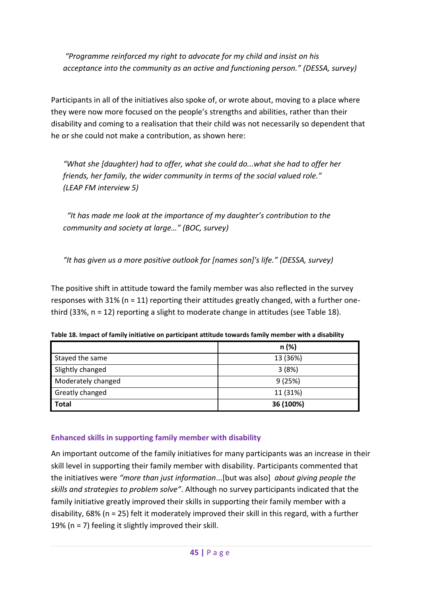*"Programme reinforced my right to advocate for my child and insist on his acceptance into the community as an active and functioning person." (DESSA, survey)*

Participants in all of the initiatives also spoke of, or wrote about, moving to a place where they were now more focused on the people's strengths and abilities, rather than their disability and coming to a realisation that their child was not necessarily so dependent that he or she could not make a contribution, as shown here:

*"What she [daughter) had to offer, what she could do...what she had to offer her friends, her family, the wider community in terms of the social valued role." (LEAP FM interview 5)*

 *"It has made me look at the importance of my daughter's contribution to the community and society at large…" (BOC, survey)*

*"It has given us a more positive outlook for [names son]'s life." (DESSA, survey)*

The positive shift in attitude toward the family member was also reflected in the survey responses with 31% (n = 11) reporting their attitudes greatly changed, with a further onethird (33%, n = 12) reporting a slight to moderate change in attitudes (see [Table 18\)](#page-53-0).

|                        | n(%)      |
|------------------------|-----------|
| Stayed the same        | 13 (36%)  |
| Slightly changed       | 3(8%)     |
| Moderately changed     | 9(25%)    |
| <b>Greatly changed</b> | 11 (31%)  |
| <b>Total</b>           | 36 (100%) |

<span id="page-53-0"></span>**Table 18. Impact of family initiative on participant attitude towards family member with a disability**

## **Enhanced skills in supporting family member with disability**

An important outcome of the family initiatives for many participants was an increase in their skill level in supporting their family member with disability. Participants commented that the initiatives were *"more than just information*...[but was also] *about giving people the skills and strategies to problem solve"*. Although no survey participants indicated that the family initiative greatly improved their skills in supporting their family member with a disability, 68% (n = 25) felt it moderately improved their skill in this regard, with a further 19% (n = 7) feeling it slightly improved their skill.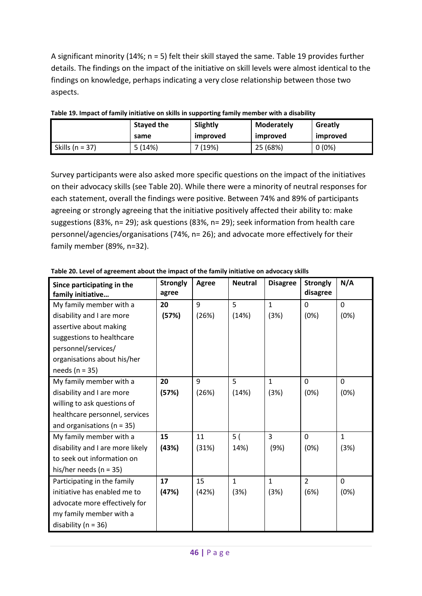A significant minority (14%; n = 5) felt their skill stayed the same. [Table 19](#page-54-0) provides further details. The findings on the impact of the initiative on skill levels were almost identical to the findings on knowledge, perhaps indicating a very close relationship between those two aspects.

|                     | <b>Stayed the</b> | Slightly | Moderately | Greatly  |
|---------------------|-------------------|----------|------------|----------|
|                     | same              | improved | improved   | improved |
| Skills ( $n = 37$ ) | 5(14%)            | 7 (19%)  | 25 (68%)   | $0(0\%)$ |

<span id="page-54-0"></span>

Survey participants were also asked more specific questions on the impact of the initiatives on their advocacy skills (see [Table 20\)](#page-54-1). While there were a minority of neutral responses for each statement, overall the findings were positive. Between 74% and 89% of participants agreeing or strongly agreeing that the initiative positively affected their ability to: make suggestions (83%, n= 29); ask questions (83%, n= 29); seek information from health care personnel/agencies/organisations (74%, n= 26); and advocate more effectively for their family member (89%, n=32).

| Since participating in the<br>family initiative | <b>Strongly</b><br>agree | <b>Agree</b> | <b>Neutral</b> | <b>Disagree</b> | <b>Strongly</b><br>disagree | N/A          |
|-------------------------------------------------|--------------------------|--------------|----------------|-----------------|-----------------------------|--------------|
| My family member with a                         | 20                       | 9            | 5              | $\mathbf{1}$    | $\mathbf 0$                 | $\mathbf{0}$ |
| disability and I are more                       | (57%)                    | (26%)        | (14%)          | (3%)            | (0%)                        | (0%)         |
| assertive about making                          |                          |              |                |                 |                             |              |
| suggestions to healthcare                       |                          |              |                |                 |                             |              |
| personnel/services/                             |                          |              |                |                 |                             |              |
| organisations about his/her                     |                          |              |                |                 |                             |              |
| needs ( $n = 35$ )                              |                          |              |                |                 |                             |              |
| My family member with a                         | 20                       | 9            | 5              | $\mathbf{1}$    | $\overline{0}$              | $\Omega$     |
| disability and I are more                       | (57%)                    | (26%)        | (14%)          | (3%)            | (0%)                        | (0%)         |
| willing to ask questions of                     |                          |              |                |                 |                             |              |
| healthcare personnel, services                  |                          |              |                |                 |                             |              |
| and organisations ( $n = 35$ )                  |                          |              |                |                 |                             |              |
| My family member with a                         | 15                       | 11           | 5(             | 3               | $\mathbf 0$                 | $\mathbf{1}$ |
| disability and I are more likely                | (43%)                    | (31%)        | 14%)           | (9%)            | (0%)                        | (3%)         |
| to seek out information on                      |                          |              |                |                 |                             |              |
| his/her needs ( $n = 35$ )                      |                          |              |                |                 |                             |              |
| Participating in the family                     | 17                       | 15           | $\mathbf{1}$   | $\mathbf{1}$    | $\overline{2}$              | $\mathbf{0}$ |
| initiative has enabled me to                    | (47%)                    | (42%)        | (3%)           | (3%)            | (6%)                        | (0%)         |
| advocate more effectively for                   |                          |              |                |                 |                             |              |
| my family member with a                         |                          |              |                |                 |                             |              |
| disability ( $n = 36$ )                         |                          |              |                |                 |                             |              |

<span id="page-54-1"></span>**Table 20. Level of agreement about the impact of the family initiative on advocacy skills**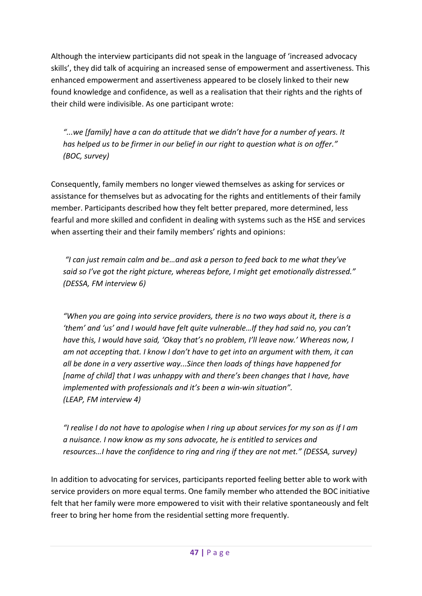Although the interview participants did not speak in the language of 'increased advocacy skills', they did talk of acquiring an increased sense of empowerment and assertiveness. This enhanced empowerment and assertiveness appeared to be closely linked to their new found knowledge and confidence, as well as a realisation that their rights and the rights of their child were indivisible. As one participant wrote:

*"...we [family] have a can do attitude that we didn't have for a number of years. It has helped us to be firmer in our belief in our right to question what is on offer." (BOC, survey)*

Consequently, family members no longer viewed themselves as asking for services or assistance for themselves but as advocating for the rights and entitlements of their family member. Participants described how they felt better prepared, more determined, less fearful and more skilled and confident in dealing with systems such as the HSE and services when asserting their and their family members' rights and opinions:

*"I can just remain calm and be…and ask a person to feed back to me what they've said so I've got the right picture, whereas before, I might get emotionally distressed." (DESSA, FM interview 6)*

*"When you are going into service providers, there is no two ways about it, there is a 'them' and 'us' and I would have felt quite vulnerable…If they had said no, you can't have this, I would have said, 'Okay that's no problem, I'll leave now.' Whereas now, I am not accepting that. I know I don't have to get into an argument with them, it can all be done in a very assertive way...Since then loads of things have happened for [name of child] that I was unhappy with and there's been changes that I have, have implemented with professionals and it's been a win-win situation". (LEAP, FM interview 4)* 

*"I realise I do not have to apologise when I ring up about services for my son as if I am a nuisance. I now know as my sons advocate, he is entitled to services and resources…I have the confidence to ring and ring if they are not met." (DESSA, survey)*

In addition to advocating for services, participants reported feeling better able to work with service providers on more equal terms. One family member who attended the BOC initiative felt that her family were more empowered to visit with their relative spontaneously and felt freer to bring her home from the residential setting more frequently.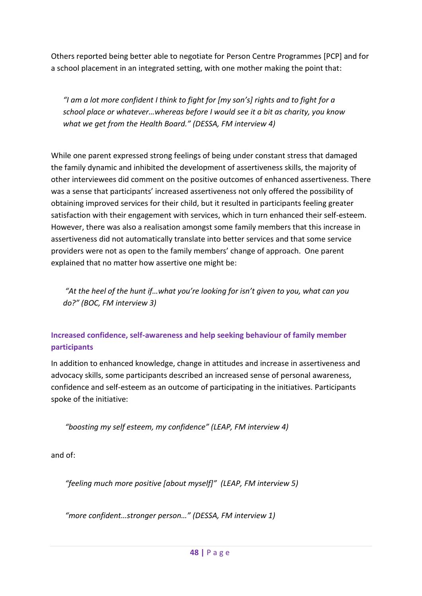Others reported being better able to negotiate for Person Centre Programmes [PCP] and for a school placement in an integrated setting, with one mother making the point that:

*"I am a lot more confident I think to fight for [my son's] rights and to fight for a school place or whatever…whereas before I would see it a bit as charity, you know what we get from the Health Board." (DESSA, FM interview 4)*

While one parent expressed strong feelings of being under constant stress that damaged the family dynamic and inhibited the development of assertiveness skills, the majority of other interviewees did comment on the positive outcomes of enhanced assertiveness. There was a sense that participants' increased assertiveness not only offered the possibility of obtaining improved services for their child, but it resulted in participants feeling greater satisfaction with their engagement with services, which in turn enhanced their self-esteem. However, there was also a realisation amongst some family members that this increase in assertiveness did not automatically translate into better services and that some service providers were not as open to the family members' change of approach. One parent explained that no matter how assertive one might be:

*"At the heel of the hunt if…what you're looking for isn't given to you, what can you do?" (BOC, FM interview 3)*

## **Increased confidence, self-awareness and help seeking behaviour of family member participants**

In addition to enhanced knowledge, change in attitudes and increase in assertiveness and advocacy skills, some participants described an increased sense of personal awareness, confidence and self-esteem as an outcome of participating in the initiatives. Participants spoke of the initiative:

*"boosting my self esteem, my confidence" (LEAP, FM interview 4)*

and of:

*"feeling much more positive [about myself]" (LEAP, FM interview 5)*

*"more confident…stronger person…" (DESSA, FM interview 1)*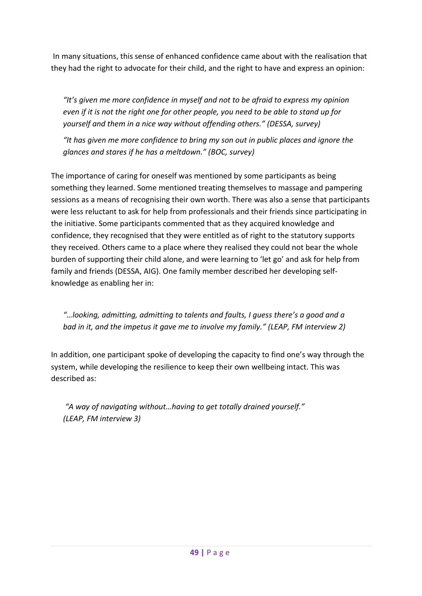In many situations, this sense of enhanced confidence came about with the realisation that they had the right to advocate for their child, and the right to have and express an opinion:

*"It's given me more confidence in myself and not to be afraid to express my opinion even if it is not the right one for other people, you need to be able to stand up for yourself and them in a nice way without offending others." (DESSA, survey)*

*"It has given me more confidence to bring my son out in public places and ignore the glances and stares if he has a meltdown." (BOC, survey)*

The importance of caring for oneself was mentioned by some participants as being something they learned. Some mentioned treating themselves to massage and pampering sessions as a means of recognising their own worth. There was also a sense that participants were less reluctant to ask for help from professionals and their friends since participating in the initiative. Some participants commented that as they acquired knowledge and confidence, they recognised that they were entitled as of right to the statutory supports they received. Others came to a place where they realised they could not bear the whole burden of supporting their child alone, and were learning to 'let go' and ask for help from family and friends (DESSA, AIG). One family member described her developing selfknowledge as enabling her in:

*"…looking, admitting, admitting to talents and faults, I guess there's a good and a bad in it, and the impetus it gave me to involve my family." (LEAP, FM interview 2)*

In addition, one participant spoke of developing the capacity to find one's way through the system, while developing the resilience to keep their own wellbeing intact. This was described as:

*"A way of navigating without…having to get totally drained yourself." (LEAP, FM interview 3)*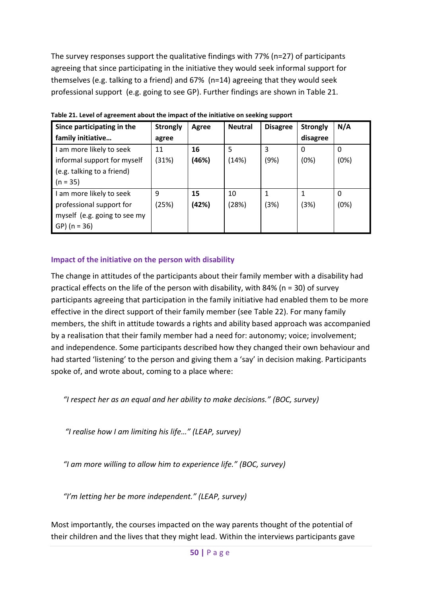The survey responses support the qualitative findings with 77% (n=27) of participants agreeing that since participating in the initiative they would seek informal support for themselves (e.g. talking to a friend) and 67% (n=14) agreeing that they would seek professional support (e.g. going to see GP). Further findings are shown i[n Table 21.](#page-58-0)

| Since participating in the   | <b>Strongly</b> | Agree | <b>Neutral</b> | <b>Disagree</b> | <b>Strongly</b> | N/A  |
|------------------------------|-----------------|-------|----------------|-----------------|-----------------|------|
| family initiative            | agree           |       |                |                 | disagree        |      |
| I am more likely to seek     | 11              | 16    | 5              | 3               | 0               | 0    |
| informal support for myself  | (31%)           | (46%) | (14%)          | (9%)            | (0%)            | (0%) |
| (e.g. talking to a friend)   |                 |       |                |                 |                 |      |
| $(n = 35)$                   |                 |       |                |                 |                 |      |
| I am more likely to seek     | 9               | 15    | 10             |                 |                 | 0    |
| professional support for     | (25%)           | (42%) | (28%)          | (3%)            | (3%)            | (0%) |
| myself (e.g. going to see my |                 |       |                |                 |                 |      |
| GP) ( $n = 36$ )             |                 |       |                |                 |                 |      |

<span id="page-58-0"></span>**Table 21. Level of agreement about the impact of the initiative on seeking support** 

## **Impact of the initiative on the person with disability**

The change in attitudes of the participants about their family member with a disability had practical effects on the life of the person with disability, with 84% ( $n = 30$ ) of survey participants agreeing that participation in the family initiative had enabled them to be more effective in the direct support of their family member (see [Table 22\)](#page-62-0). For many family members, the shift in attitude towards a rights and ability based approach was accompanied by a realisation that their family member had a need for: autonomy; voice; involvement; and independence. Some participants described how they changed their own behaviour and had started 'listening' to the person and giving them a 'say' in decision making. Participants spoke of, and wrote about, coming to a place where:

*"I respect her as an equal and her ability to make decisions." (BOC, survey)*

*"I realise how I am limiting his life…" (LEAP, survey)*

*"I am more willing to allow him to experience life." (BOC, survey)*

*"I'm letting her be more independent." (LEAP, survey)*

Most importantly, the courses impacted on the way parents thought of the potential of their children and the lives that they might lead. Within the interviews participants gave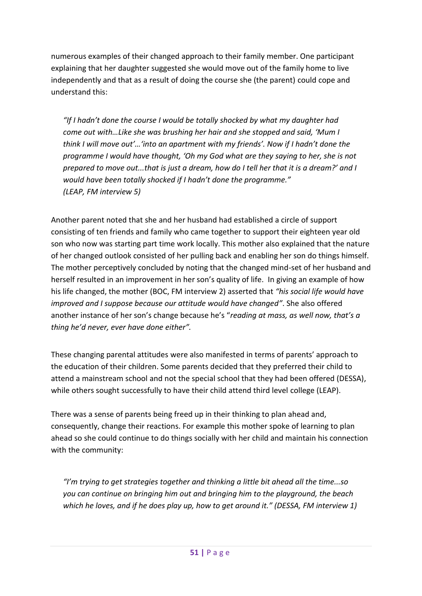numerous examples of their changed approach to their family member. One participant explaining that her daughter suggested she would move out of the family home to live independently and that as a result of doing the course she (the parent) could cope and understand this:

*"If I hadn't done the course I would be totally shocked by what my daughter had come out with…Like she was brushing her hair and she stopped and said, 'Mum I think I will move out'…'into an apartment with my friends'. Now if I hadn't done the programme I would have thought, 'Oh my God what are they saying to her, she is not prepared to move out...that is just a dream, how do I tell her that it is a dream?' and I would have been totally shocked if I hadn't done the programme." (LEAP, FM interview 5)*

Another parent noted that she and her husband had established a circle of support consisting of ten friends and family who came together to support their eighteen year old son who now was starting part time work locally. This mother also explained that the nature of her changed outlook consisted of her pulling back and enabling her son do things himself. The mother perceptively concluded by noting that the changed mind-set of her husband and herself resulted in an improvement in her son's quality of life. In giving an example of how his life changed, the mother (BOC, FM interview 2) asserted that *"his social life would have improved and I suppose because our attitude would have changed"*. She also offered another instance of her son's change because he's "*reading at mass, as well now, that's a thing he'd never, ever have done either".*

These changing parental attitudes were also manifested in terms of parents' approach to the education of their children. Some parents decided that they preferred their child to attend a mainstream school and not the special school that they had been offered (DESSA), while others sought successfully to have their child attend third level college (LEAP).

There was a sense of parents being freed up in their thinking to plan ahead and, consequently, change their reactions. For example this mother spoke of learning to plan ahead so she could continue to do things socially with her child and maintain his connection with the community:

*"I'm trying to get strategies together and thinking a little bit ahead all the time...so you can continue on bringing him out and bringing him to the playground, the beach which he loves, and if he does play up, how to get around it." (DESSA, FM interview 1)*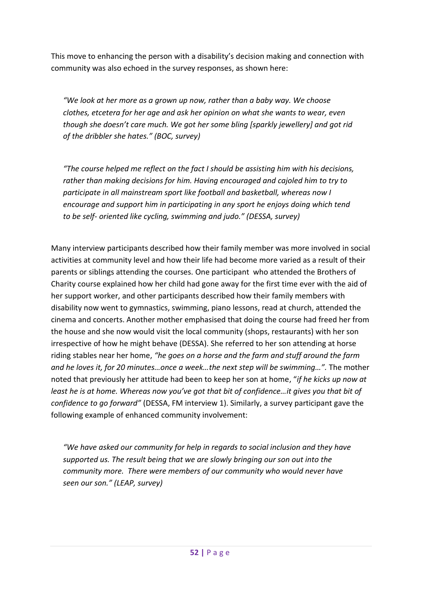This move to enhancing the person with a disability's decision making and connection with community was also echoed in the survey responses, as shown here:

*"We look at her more as a grown up now, rather than a baby way. We choose clothes, etcetera for her age and ask her opinion on what she wants to wear, even though she doesn't care much. We got her some bling [sparkly jewellery] and got rid of the dribbler she hates." (BOC, survey)*

*"The course helped me reflect on the fact I should be assisting him with his decisions, rather than making decisions for him. Having encouraged and cajoled him to try to participate in all mainstream sport like football and basketball, whereas now I encourage and support him in participating in any sport he enjoys doing which tend to be self- oriented like cycling, swimming and judo." (DESSA, survey)*

Many interview participants described how their family member was more involved in social activities at community level and how their life had become more varied as a result of their parents or siblings attending the courses. One participant who attended the Brothers of Charity course explained how her child had gone away for the first time ever with the aid of her support worker, and other participants described how their family members with disability now went to gymnastics, swimming, piano lessons, read at church, attended the cinema and concerts. Another mother emphasised that doing the course had freed her from the house and she now would visit the local community (shops, restaurants) with her son irrespective of how he might behave (DESSA). She referred to her son attending at horse riding stables near her home, *"he goes on a horse and the farm and stuff around the farm and he loves it, for 20 minutes…once a week…the next step will be swimming…".* The mother noted that previously her attitude had been to keep her son at home, "*if he kicks up now at least he is at home. Whereas now you've got that bit of confidence…it gives you that bit of confidence to go forward"* (DESSA, FM interview 1). Similarly, a survey participant gave the following example of enhanced community involvement:

*"We have asked our community for help in regards to social inclusion and they have supported us. The result being that we are slowly bringing our son out into the community more. There were members of our community who would never have seen our son." (LEAP, survey)*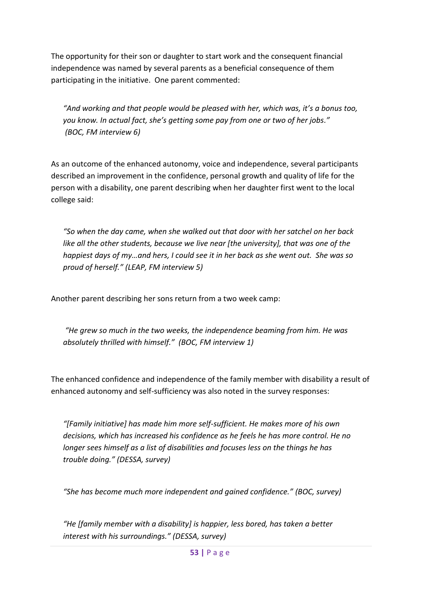The opportunity for their son or daughter to start work and the consequent financial independence was named by several parents as a beneficial consequence of them participating in the initiative. One parent commented:

*"And working and that people would be pleased with her, which was, it's a bonus too, you know. In actual fact, she's getting some pay from one or two of her jobs." (BOC, FM interview 6)*

As an outcome of the enhanced autonomy, voice and independence, several participants described an improvement in the confidence, personal growth and quality of life for the person with a disability, one parent describing when her daughter first went to the local college said:

*"So when the day came, when she walked out that door with her satchel on her back like all the other students, because we live near [the university], that was one of the happiest days of my…and hers, I could see it in her back as she went out. She was so proud of herself." (LEAP, FM interview 5)*

Another parent describing her sons return from a two week camp:

*"He grew so much in the two weeks, the independence beaming from him. He was absolutely thrilled with himself." (BOC, FM interview 1)*

The enhanced confidence and independence of the family member with disability a result of enhanced autonomy and self-sufficiency was also noted in the survey responses:

*"[Family initiative] has made him more self-sufficient. He makes more of his own decisions, which has increased his confidence as he feels he has more control. He no longer sees himself as a list of disabilities and focuses less on the things he has trouble doing." (DESSA, survey)*

*"She has become much more independent and gained confidence." (BOC, survey)*

*"He [family member with a disability] is happier, less bored, has taken a better interest with his surroundings." (DESSA, survey)*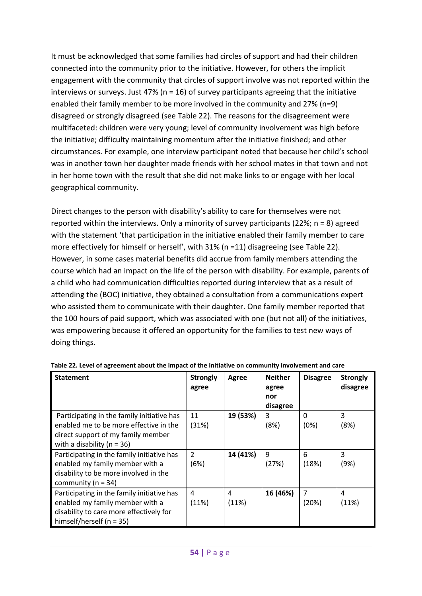It must be acknowledged that some families had circles of support and had their children connected into the community prior to the initiative. However, for others the implicit engagement with the community that circles of support involve was not reported within the interviews or surveys. Just 47% ( $n = 16$ ) of survey participants agreeing that the initiative enabled their family member to be more involved in the community and 27% (n=9) disagreed or strongly disagreed (see [Table 22\)](#page-62-0). The reasons for the disagreement were multifaceted: children were very young; level of community involvement was high before the initiative; difficulty maintaining momentum after the initiative finished; and other circumstances. For example, one interview participant noted that because her child's school was in another town her daughter made friends with her school mates in that town and not in her home town with the result that she did not make links to or engage with her local geographical community.

Direct changes to the person with disability's ability to care for themselves were not reported within the interviews. Only a minority of survey participants (22%; n = 8) agreed with the statement 'that participation in the initiative enabled their family member to care more effectively for himself or herself', with 31% (n =11) disagreeing (see [Table 22\)](#page-62-0). However, in some cases material benefits did accrue from family members attending the course which had an impact on the life of the person with disability. For example, parents of a child who had communication difficulties reported during interview that as a result of attending the (BOC) initiative, they obtained a consultation from a communications expert who assisted them to communicate with their daughter. One family member reported that the 100 hours of paid support, which was associated with one (but not all) of the initiatives, was empowering because it offered an opportunity for the families to test new ways of doing things.

| <b>Statement</b>                                                                                                                                             | <b>Strongly</b><br>agree | Agree      | <b>Neither</b><br>agree<br>nor<br>disagree | <b>Disagree</b>         | <b>Strongly</b><br>disagree |
|--------------------------------------------------------------------------------------------------------------------------------------------------------------|--------------------------|------------|--------------------------------------------|-------------------------|-----------------------------|
| Participating in the family initiative has<br>enabled me to be more effective in the<br>direct support of my family member<br>with a disability ( $n = 36$ ) | 11<br>(31%)              | 19 (53%)   | 3<br>(8%)                                  | $\Omega$<br>(0%)        | 3<br>(8%)                   |
| Participating in the family initiative has<br>enabled my family member with a<br>disability to be more involved in the<br>community ( $n = 34$ )             | 2<br>(6%)                | 14 (41%)   | 9<br>(27%)                                 | 6<br>(18%)              | 3<br>(9%)                   |
| Participating in the family initiative has<br>enabled my family member with a<br>disability to care more effectively for<br>himself/herself ( $n = 35$ )     | 4<br>(11%)               | 4<br>(11%) | 16 (46%)                                   | $\overline{7}$<br>(20%) | 4<br>(11%)                  |

<span id="page-62-0"></span>**Table 22. Level of agreement about the impact of the initiative on community involvement and care**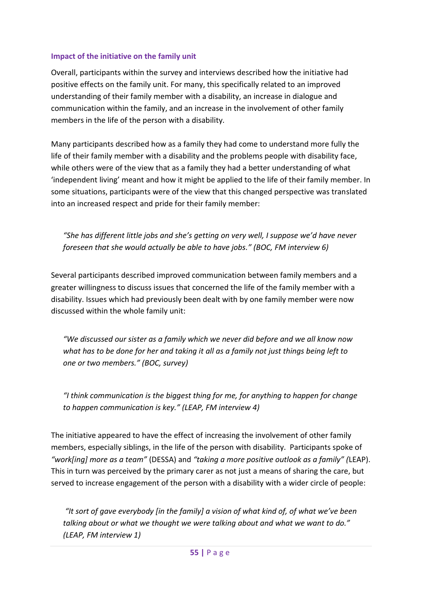### **Impact of the initiative on the family unit**

Overall, participants within the survey and interviews described how the initiative had positive effects on the family unit. For many, this specifically related to an improved understanding of their family member with a disability, an increase in dialogue and communication within the family, and an increase in the involvement of other family members in the life of the person with a disability.

Many participants described how as a family they had come to understand more fully the life of their family member with a disability and the problems people with disability face, while others were of the view that as a family they had a better understanding of what 'independent living' meant and how it might be applied to the life of their family member. In some situations, participants were of the view that this changed perspective was translated into an increased respect and pride for their family member:

*"She has different little jobs and she's getting on very well, I suppose we'd have never foreseen that she would actually be able to have jobs." (BOC, FM interview 6)*

Several participants described improved communication between family members and a greater willingness to discuss issues that concerned the life of the family member with a disability. Issues which had previously been dealt with by one family member were now discussed within the whole family unit:

*"We discussed our sister as a family which we never did before and we all know now what has to be done for her and taking it all as a family not just things being left to one or two members." (BOC, survey)*

*"I think communication is the biggest thing for me, for anything to happen for change to happen communication is key." (LEAP, FM interview 4)*

The initiative appeared to have the effect of increasing the involvement of other family members, especially siblings, in the life of the person with disability. Participants spoke of *"work[ing] more as a team"* (DESSA) and *"taking a more positive outlook as a family" (*LEAP). This in turn was perceived by the primary carer as not just a means of sharing the care, but served to increase engagement of the person with a disability with a wider circle of people:

*"It sort of gave everybody [in the family] a vision of what kind of, of what we've been talking about or what we thought we were talking about and what we want to do." (LEAP, FM interview 1)*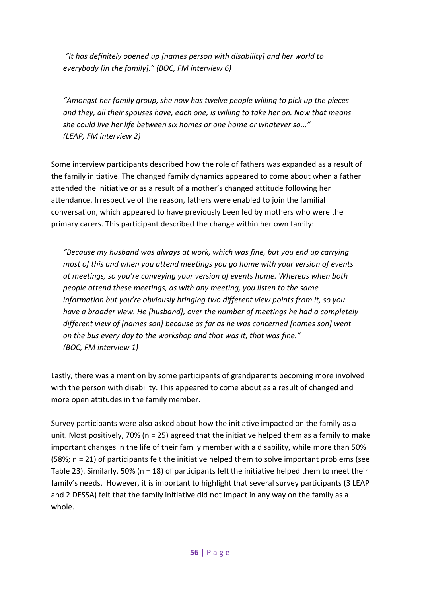*"It has definitely opened up [names person with disability] and her world to everybody [in the family]." (BOC, FM interview 6)*

*"Amongst her family group, she now has twelve people willing to pick up the pieces and they, all their spouses have, each one, is willing to take her on. Now that means she could live her life between six homes or one home or whatever so..." (LEAP, FM interview 2)*

Some interview participants described how the role of fathers was expanded as a result of the family initiative. The changed family dynamics appeared to come about when a father attended the initiative or as a result of a mother's changed attitude following her attendance. Irrespective of the reason, fathers were enabled to join the familial conversation, which appeared to have previously been led by mothers who were the primary carers. This participant described the change within her own family:

*"Because my husband was always at work, which was fine, but you end up carrying most of this and when you attend meetings you go home with your version of events at meetings, so you're conveying your version of events home. Whereas when both people attend these meetings, as with any meeting, you listen to the same information but you're obviously bringing two different view points from it, so you have a broader view. He [husband], over the number of meetings he had a completely different view of [names son] because as far as he was concerned [names son] went on the bus every day to the workshop and that was it, that was fine." (BOC, FM interview 1)*

Lastly, there was a mention by some participants of grandparents becoming more involved with the person with disability. This appeared to come about as a result of changed and more open attitudes in the family member.

Survey participants were also asked about how the initiative impacted on the family as a unit. Most positively, 70% (n = 25) agreed that the initiative helped them as a family to make important changes in the life of their family member with a disability, while more than 50% (58%; n = 21) of participants felt the initiative helped them to solve important problems (see [Table 23\)](#page-65-0). Similarly, 50% (n = 18) of participants felt the initiative helped them to meet their family's needs. However, it is important to highlight that several survey participants (3 LEAP and 2 DESSA) felt that the family initiative did not impact in any way on the family as a whole.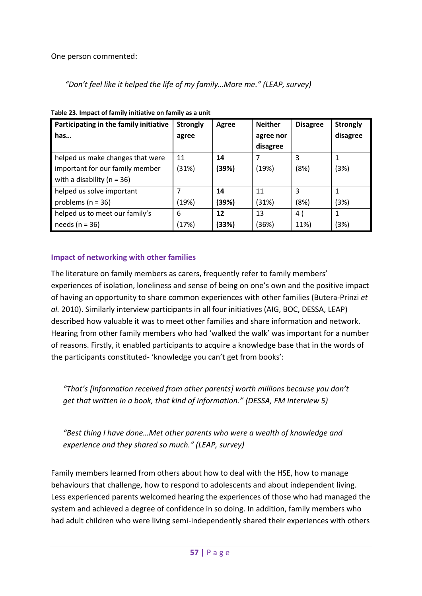One person commented:

*"Don't feel like it helped the life of my family…More me." (LEAP, survey)*

| Participating in the family initiative | <b>Strongly</b> | Agree | <b>Neither</b> | <b>Disagree</b> | <b>Strongly</b> |
|----------------------------------------|-----------------|-------|----------------|-----------------|-----------------|
| has                                    | agree           |       | agree nor      |                 | disagree        |
|                                        |                 |       | disagree       |                 |                 |
| helped us make changes that were       | 11              | 14    |                | 3               |                 |
| important for our family member        | (31%)           | (39%) | (19%)          | (8%)            | (3%)            |
| with a disability ( $n = 36$ )         |                 |       |                |                 |                 |
| helped us solve important              |                 | 14    | 11             | 3               |                 |
| problems ( $n = 36$ )                  | (19%)           | (39%) | (31%)          | (8%)            | (3%)            |
| helped us to meet our family's         | 6               | 12    | 13             | 4 (             | 1               |
| needs ( $n = 36$ )                     | (17%)           | (33%) | (36%)          | 11%)            | (3%)            |

<span id="page-65-0"></span>**Table 23. Impact of family initiative on family as a unit**

## **Impact of networking with other families**

The literature on family members as carers, frequently refer to family members' experiences of isolation, loneliness and sense of being on one's own and the positive impact of having an opportunity to share common experiences with other families (Butera-Prinzi *et al.* 2010). Similarly interview participants in all four initiatives (AIG, BOC, DESSA, LEAP) described how valuable it was to meet other families and share information and network. Hearing from other family members who had 'walked the walk' was important for a number of reasons. Firstly, it enabled participants to acquire a knowledge base that in the words of the participants constituted- 'knowledge you can't get from books':

*"That's [information received from other parents] worth millions because you don't get that written in a book, that kind of information." (DESSA, FM interview 5)* 

*"Best thing I have done…Met other parents who were a wealth of knowledge and experience and they shared so much." (LEAP, survey)*

Family members learned from others about how to deal with the HSE, how to manage behaviours that challenge, how to respond to adolescents and about independent living. Less experienced parents welcomed hearing the experiences of those who had managed the system and achieved a degree of confidence in so doing. In addition, family members who had adult children who were living semi-independently shared their experiences with others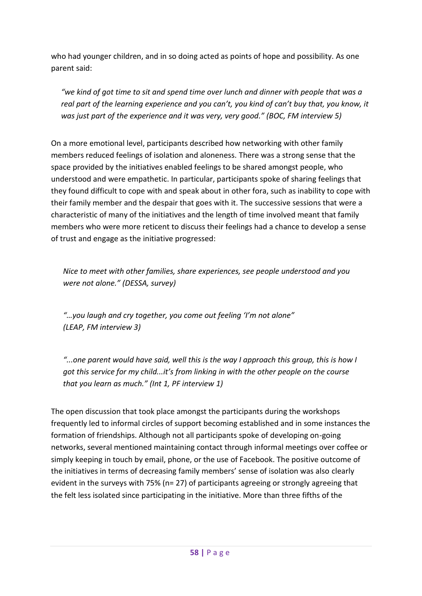who had younger children, and in so doing acted as points of hope and possibility. As one parent said:

*"we kind of got time to sit and spend time over lunch and dinner with people that was a real part of the learning experience and you can't, you kind of can't buy that, you know, it was just part of the experience and it was very, very good." (BOC, FM interview 5)*

On a more emotional level, participants described how networking with other family members reduced feelings of isolation and aloneness. There was a strong sense that the space provided by the initiatives enabled feelings to be shared amongst people, who understood and were empathetic. In particular, participants spoke of sharing feelings that they found difficult to cope with and speak about in other fora, such as inability to cope with their family member and the despair that goes with it. The successive sessions that were a characteristic of many of the initiatives and the length of time involved meant that family members who were more reticent to discuss their feelings had a chance to develop a sense of trust and engage as the initiative progressed:

*Nice to meet with other families, share experiences, see people understood and you were not alone." (DESSA, survey)*

*"…you laugh and cry together, you come out feeling 'I'm not alone" (LEAP, FM interview 3)*

*"...one parent would have said, well this is the way I approach this group, this is how I got this service for my child...it's from linking in with the other people on the course that you learn as much." (Int 1, PF interview 1)*

The open discussion that took place amongst the participants during the workshops frequently led to informal circles of support becoming established and in some instances the formation of friendships. Although not all participants spoke of developing on-going networks, several mentioned maintaining contact through informal meetings over coffee or simply keeping in touch by email, phone, or the use of Facebook. The positive outcome of the initiatives in terms of decreasing family members' sense of isolation was also clearly evident in the surveys with 75% (n= 27) of participants agreeing or strongly agreeing that the felt less isolated since participating in the initiative. More than three fifths of the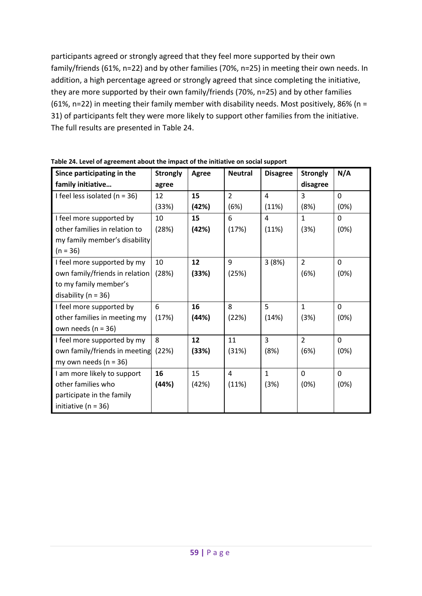participants agreed or strongly agreed that they feel more supported by their own family/friends (61%, n=22) and by other families (70%, n=25) in meeting their own needs. In addition, a high percentage agreed or strongly agreed that since completing the initiative, they are more supported by their own family/friends (70%, n=25) and by other families (61%, n=22) in meeting their family member with disability needs. Most positively, 86% (n = 31) of participants felt they were more likely to support other families from the initiative. The full results are presented in [Table 24.](#page-67-0)

| Since participating in the        | <b>Strongly</b> | Agree | <b>Neutral</b> | <b>Disagree</b> | <b>Strongly</b> | N/A          |
|-----------------------------------|-----------------|-------|----------------|-----------------|-----------------|--------------|
| family initiative                 | agree           |       |                |                 | disagree        |              |
| I feel less isolated ( $n = 36$ ) | 12              | 15    | $\overline{2}$ | $\overline{4}$  | 3               | $\Omega$     |
|                                   | (33%)           | (42%) | (6%)           | (11%)           | (8%)            | (0%)         |
| I feel more supported by          | 10              | 15    | 6              | 4               | $\mathbf{1}$    | $\Omega$     |
| other families in relation to     | (28%)           | (42%) | (17%)          | (11%)           | (3%)            | (0%)         |
| my family member's disability     |                 |       |                |                 |                 |              |
| $(n = 36)$                        |                 |       |                |                 |                 |              |
| I feel more supported by my       | 10              | 12    | 9              | 3(8%)           | $\overline{2}$  | $\mathbf{0}$ |
| own family/friends in relation    | (28%)           | (33%) | (25%)          |                 | (6%)            | (0%)         |
| to my family member's             |                 |       |                |                 |                 |              |
| disability ( $n = 36$ )           |                 |       |                |                 |                 |              |
| I feel more supported by          | 6               | 16    | 8              | 5               | $\mathbf{1}$    | $\Omega$     |
| other families in meeting my      | (17%)           | (44%) | (22%)          | (14%)           | (3%)            | (0%)         |
| own needs ( $n = 36$ )            |                 |       |                |                 |                 |              |
| I feel more supported by my       | 8               | 12    | 11             | $\overline{3}$  | $\overline{2}$  | $\Omega$     |
| own family/friends in meeting     | (22%)           | (33%) | (31%)          | (8%)            | (6%)            | (0%)         |
| my own needs ( $n = 36$ )         |                 |       |                |                 |                 |              |
| I am more likely to support       | 16              | 15    | 4              | $\mathbf{1}$    | $\Omega$        | $\Omega$     |
| other families who                | (44%)           | (42%) | (11%)          | (3%)            | (0%)            | (0%)         |
| participate in the family         |                 |       |                |                 |                 |              |
| initiative ( $n = 36$ )           |                 |       |                |                 |                 |              |

<span id="page-67-0"></span>**Table 24. Level of agreement about the impact of the initiative on social support**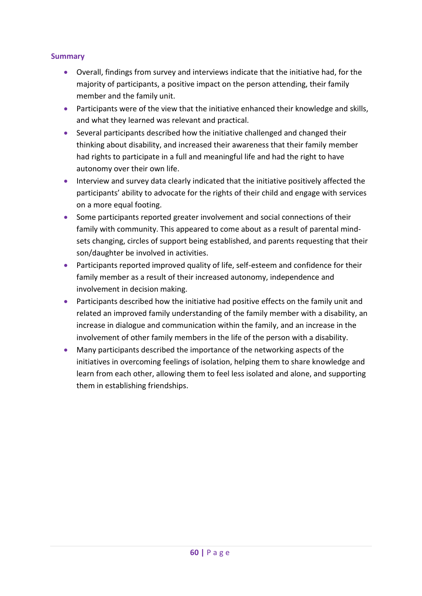## **Summary**

- Overall, findings from survey and interviews indicate that the initiative had, for the majority of participants, a positive impact on the person attending, their family member and the family unit.
- Participants were of the view that the initiative enhanced their knowledge and skills, and what they learned was relevant and practical.
- Several participants described how the initiative challenged and changed their thinking about disability, and increased their awareness that their family member had rights to participate in a full and meaningful life and had the right to have autonomy over their own life.
- **Interview and survey data clearly indicated that the initiative positively affected the** participants' ability to advocate for the rights of their child and engage with services on a more equal footing.
- Some participants reported greater involvement and social connections of their family with community. This appeared to come about as a result of parental mindsets changing, circles of support being established, and parents requesting that their son/daughter be involved in activities.
- Participants reported improved quality of life, self-esteem and confidence for their family member as a result of their increased autonomy, independence and involvement in decision making.
- Participants described how the initiative had positive effects on the family unit and related an improved family understanding of the family member with a disability, an increase in dialogue and communication within the family, and an increase in the involvement of other family members in the life of the person with a disability.
- Many participants described the importance of the networking aspects of the initiatives in overcoming feelings of isolation, helping them to share knowledge and learn from each other, allowing them to feel less isolated and alone, and supporting them in establishing friendships.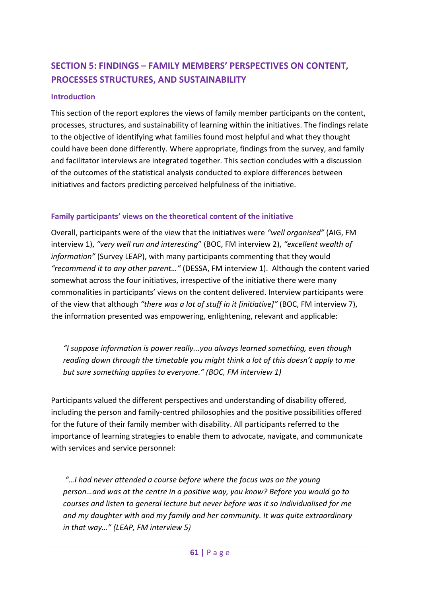# **SECTION 5: FINDINGS – FAMILY MEMBERS' PERSPECTIVES ON CONTENT, PROCESSES STRUCTURES, AND SUSTAINABILITY**

### **Introduction**

This section of the report explores the views of family member participants on the content, processes, structures, and sustainability of learning within the initiatives. The findings relate to the objective of identifying what families found most helpful and what they thought could have been done differently. Where appropriate, findings from the survey, and family and facilitator interviews are integrated together. This section concludes with a discussion of the outcomes of the statistical analysis conducted to explore differences between initiatives and factors predicting perceived helpfulness of the initiative.

## **Family participants' views on the theoretical content of the initiative**

Overall, participants were of the view that the initiatives were *"well organised"* (AIG, FM interview 1), *"very well run and interesting*" (BOC, FM interview 2), *"excellent wealth of information"* (Survey LEAP), with many participants commenting that they would *"recommend it to any other parent…"* (DESSA, FM interview 1). Although the content varied somewhat across the four initiatives, irrespective of the initiative there were many commonalities in participants' views on the content delivered. Interview participants were of the view that although *"there was a lot of stuff in it [initiative]"* (BOC, FM interview 7), the information presented was empowering, enlightening, relevant and applicable:

*"I suppose information is power really...you always learned something, even though reading down through the timetable you might think a lot of this doesn't apply to me but sure something applies to everyone." (BOC, FM interview 1)*

Participants valued the different perspectives and understanding of disability offered, including the person and family-centred philosophies and the positive possibilities offered for the future of their family member with disability. All participants referred to the importance of learning strategies to enable them to advocate, navigate, and communicate with services and service personnel:

*"…I had never attended a course before where the focus was on the young person…and was at the centre in a positive way, you know? Before you would go to courses and listen to general lecture but never before was it so individualised for me and my daughter with and my family and her community. It was quite extraordinary in that way…" (LEAP, FM interview 5)*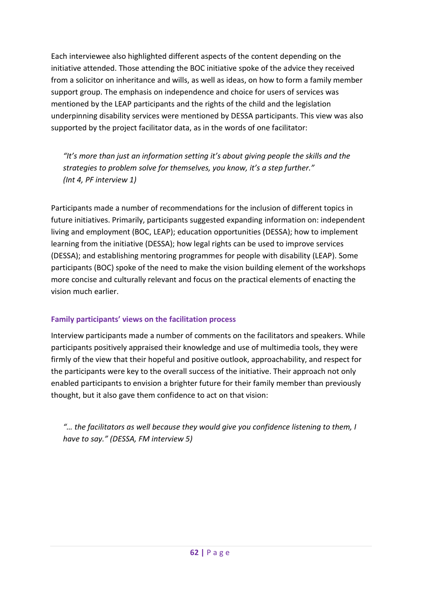Each interviewee also highlighted different aspects of the content depending on the initiative attended. Those attending the BOC initiative spoke of the advice they received from a solicitor on inheritance and wills, as well as ideas, on how to form a family member support group. The emphasis on independence and choice for users of services was mentioned by the LEAP participants and the rights of the child and the legislation underpinning disability services were mentioned by DESSA participants. This view was also supported by the project facilitator data, as in the words of one facilitator:

*"It's more than just an information setting it's about giving people the skills and the strategies to problem solve for themselves, you know, it's a step further." (Int 4, PF interview 1)*

Participants made a number of recommendations for the inclusion of different topics in future initiatives. Primarily, participants suggested expanding information on: independent living and employment (BOC, LEAP); education opportunities (DESSA); how to implement learning from the initiative (DESSA); how legal rights can be used to improve services (DESSA); and establishing mentoring programmes for people with disability (LEAP). Some participants (BOC) spoke of the need to make the vision building element of the workshops more concise and culturally relevant and focus on the practical elements of enacting the vision much earlier.

## **Family participants' views on the facilitation process**

Interview participants made a number of comments on the facilitators and speakers. While participants positively appraised their knowledge and use of multimedia tools, they were firmly of the view that their hopeful and positive outlook, approachability, and respect for the participants were key to the overall success of the initiative. Their approach not only enabled participants to envision a brighter future for their family member than previously thought, but it also gave them confidence to act on that vision:

*"… the facilitators as well because they would give you confidence listening to them, I have to say." (DESSA, FM interview 5)*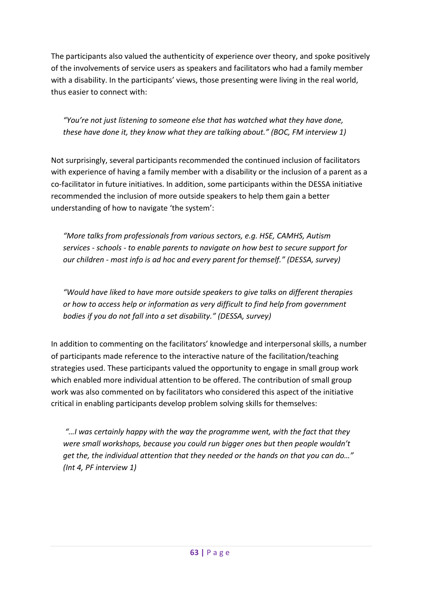The participants also valued the authenticity of experience over theory, and spoke positively of the involvements of service users as speakers and facilitators who had a family member with a disability. In the participants' views, those presenting were living in the real world, thus easier to connect with:

*"You're not just listening to someone else that has watched what they have done, these have done it, they know what they are talking about." (BOC, FM interview 1)*

Not surprisingly, several participants recommended the continued inclusion of facilitators with experience of having a family member with a disability or the inclusion of a parent as a co-facilitator in future initiatives. In addition, some participants within the DESSA initiative recommended the inclusion of more outside speakers to help them gain a better understanding of how to navigate 'the system':

*"More talks from professionals from various sectors, e.g. HSE, CAMHS, Autism services - schools - to enable parents to navigate on how best to secure support for our children - most info is ad hoc and every parent for themself." (DESSA, survey)*

*"Would have liked to have more outside speakers to give talks on different therapies or how to access help or information as very difficult to find help from government bodies if you do not fall into a set disability." (DESSA, survey)*

In addition to commenting on the facilitators' knowledge and interpersonal skills, a number of participants made reference to the interactive nature of the facilitation/teaching strategies used. These participants valued the opportunity to engage in small group work which enabled more individual attention to be offered. The contribution of small group work was also commented on by facilitators who considered this aspect of the initiative critical in enabling participants develop problem solving skills for themselves:

*"…I was certainly happy with the way the programme went, with the fact that they were small workshops, because you could run bigger ones but then people wouldn't get the, the individual attention that they needed or the hands on that you can do…" (Int 4, PF interview 1)*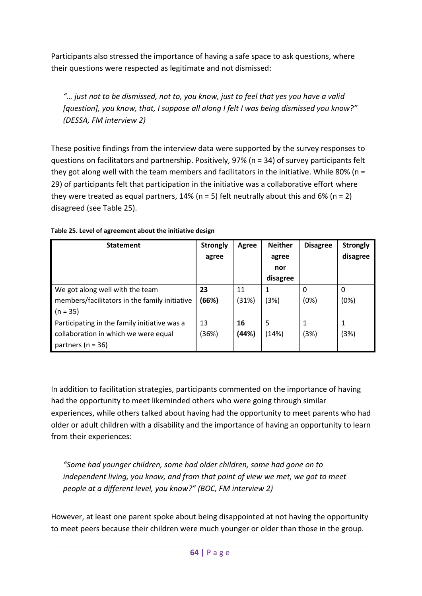Participants also stressed the importance of having a safe space to ask questions, where their questions were respected as legitimate and not dismissed:

*"… just not to be dismissed, not to, you know, just to feel that yes you have a valid [question], you know, that, I suppose all along I felt I was being dismissed you know?" (DESSA, FM interview 2)*

These positive findings from the interview data were supported by the survey responses to questions on facilitators and partnership. Positively, 97% (n = 34) of survey participants felt they got along well with the team members and facilitators in the initiative. While 80% ( $n =$ 29) of participants felt that participation in the initiative was a collaborative effort where they were treated as equal partners, 14% ( $n = 5$ ) felt neutrally about this and 6% ( $n = 2$ ) disagreed (see [Table 25\)](#page-72-0).

| <b>Statement</b>                              | <b>Strongly</b> | Agree | <b>Neither</b> | <b>Disagree</b> | <b>Strongly</b> |  |
|-----------------------------------------------|-----------------|-------|----------------|-----------------|-----------------|--|
|                                               | agree           |       | agree          |                 | disagree        |  |
|                                               |                 |       | nor            |                 |                 |  |
|                                               |                 |       | disagree       |                 |                 |  |
| We got along well with the team               | 23              | 11    |                | $\Omega$        | 0               |  |
| members/facilitators in the family initiative | (66%)           | (31%) | (3%)           | (0%)            | (0%)            |  |
| $(n = 35)$                                    |                 |       |                |                 |                 |  |
| Participating in the family initiative was a  | 13              | 16    | 5              |                 | 1               |  |
| collaboration in which we were equal          | (36%)           | (44%) | (14%)          | (3%)            | (3%)            |  |
| partners ( $n = 36$ )                         |                 |       |                |                 |                 |  |

<span id="page-72-0"></span>**Table 25. Level of agreement about the initiative design**

In addition to facilitation strategies, participants commented on the importance of having had the opportunity to meet likeminded others who were going through similar experiences, while others talked about having had the opportunity to meet parents who had older or adult children with a disability and the importance of having an opportunity to learn from their experiences:

*"Some had younger children, some had older children, some had gone on to independent living, you know, and from that point of view we met, we got to meet people at a different level, you know?" (BOC, FM interview 2)*

However, at least one parent spoke about being disappointed at not having the opportunity to meet peers because their children were much younger or older than those in the group.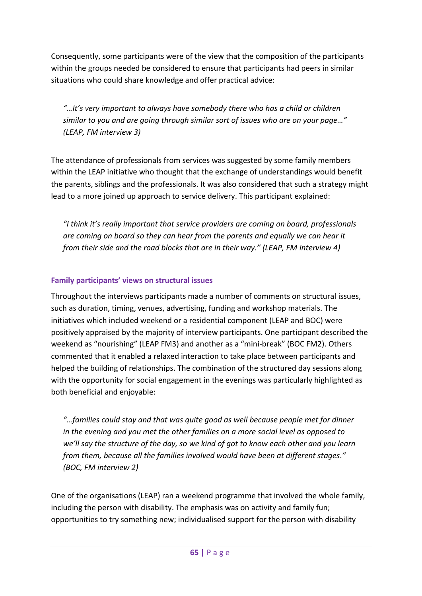Consequently, some participants were of the view that the composition of the participants within the groups needed be considered to ensure that participants had peers in similar situations who could share knowledge and offer practical advice:

*"…It's very important to always have somebody there who has a child or children similar to you and are going through similar sort of issues who are on your page…" (LEAP, FM interview 3)*

The attendance of professionals from services was suggested by some family members within the LEAP initiative who thought that the exchange of understandings would benefit the parents, siblings and the professionals. It was also considered that such a strategy might lead to a more joined up approach to service delivery. This participant explained:

*"I think it's really important that service providers are coming on board, professionals are coming on board so they can hear from the parents and equally we can hear it from their side and the road blocks that are in their way." (LEAP, FM interview 4)*

## **Family participants' views on structural issues**

Throughout the interviews participants made a number of comments on structural issues, such as duration, timing, venues, advertising, funding and workshop materials. The initiatives which included weekend or a residential component (LEAP and BOC) were positively appraised by the majority of interview participants. One participant described the weekend as "nourishing" (LEAP FM3) and another as a "mini-break" (BOC FM2). Others commented that it enabled a relaxed interaction to take place between participants and helped the building of relationships. The combination of the structured day sessions along with the opportunity for social engagement in the evenings was particularly highlighted as both beneficial and enjoyable:

*"…families could stay and that was quite good as well because people met for dinner in the evening and you met the other families on a more social level as opposed to we'll say the structure of the day, so we kind of got to know each other and you learn from them, because all the families involved would have been at different stages." (BOC, FM interview 2)*

One of the organisations (LEAP) ran a weekend programme that involved the whole family, including the person with disability. The emphasis was on activity and family fun; opportunities to try something new; individualised support for the person with disability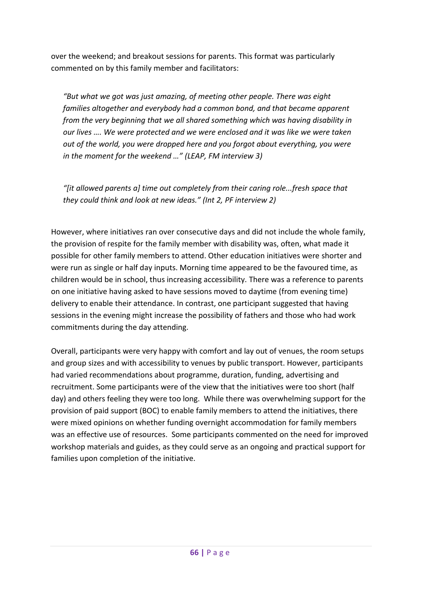over the weekend; and breakout sessions for parents. This format was particularly commented on by this family member and facilitators:

*"But what we got was just amazing, of meeting other people. There was eight families altogether and everybody had a common bond, and that became apparent from the very beginning that we all shared something which was having disability in our lives …. We were protected and we were enclosed and it was like we were taken out of the world, you were dropped here and you forgot about everything, you were in the moment for the weekend …" (LEAP, FM interview 3)*

*"[it allowed parents a] time out completely from their caring role...fresh space that they could think and look at new ideas." (Int 2, PF interview 2)* 

However, where initiatives ran over consecutive days and did not include the whole family, the provision of respite for the family member with disability was, often, what made it possible for other family members to attend. Other education initiatives were shorter and were run as single or half day inputs. Morning time appeared to be the favoured time, as children would be in school, thus increasing accessibility. There was a reference to parents on one initiative having asked to have sessions moved to daytime (from evening time) delivery to enable their attendance. In contrast, one participant suggested that having sessions in the evening might increase the possibility of fathers and those who had work commitments during the day attending.

Overall, participants were very happy with comfort and lay out of venues, the room setups and group sizes and with accessibility to venues by public transport. However, participants had varied recommendations about programme, duration, funding, advertising and recruitment. Some participants were of the view that the initiatives were too short (half day) and others feeling they were too long. While there was overwhelming support for the provision of paid support (BOC) to enable family members to attend the initiatives, there were mixed opinions on whether funding overnight accommodation for family members was an effective use of resources. Some participants commented on the need for improved workshop materials and guides, as they could serve as an ongoing and practical support for families upon completion of the initiative.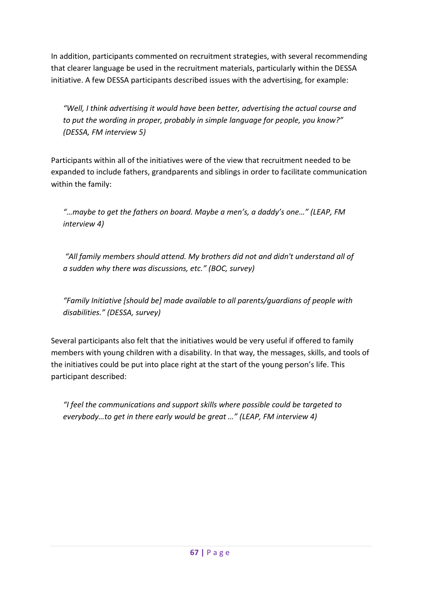In addition, participants commented on recruitment strategies, with several recommending that clearer language be used in the recruitment materials, particularly within the DESSA initiative. A few DESSA participants described issues with the advertising, for example:

*"Well, I think advertising it would have been better, advertising the actual course and to put the wording in proper, probably in simple language for people, you know?" (DESSA, FM interview 5)*

Participants within all of the initiatives were of the view that recruitment needed to be expanded to include fathers, grandparents and siblings in order to facilitate communication within the family:

*"…maybe to get the fathers on board. Maybe a men's, a daddy's one…" (LEAP, FM interview 4)*

*"All family members should attend. My brothers did not and didn't understand all of a sudden why there was discussions, etc." (BOC, survey)*

*"Family Initiative [should be] made available to all parents/guardians of people with disabilities." (DESSA, survey)*

Several participants also felt that the initiatives would be very useful if offered to family members with young children with a disability. In that way, the messages, skills, and tools of the initiatives could be put into place right at the start of the young person's life. This participant described:

*"I feel the communications and support skills where possible could be targeted to everybody…to get in there early would be great …" (LEAP, FM interview 4)*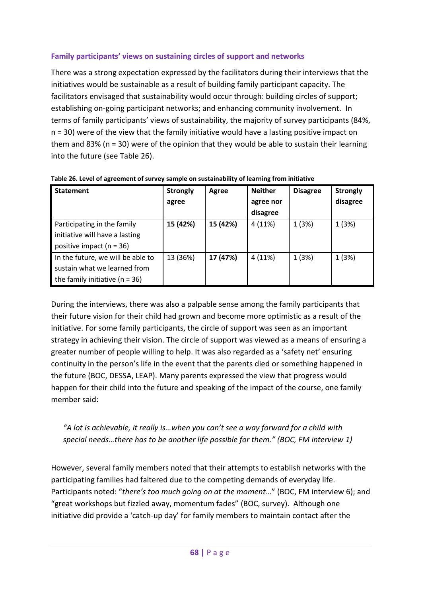## **Family participants' views on sustaining circles of support and networks**

There was a strong expectation expressed by the facilitators during their interviews that the initiatives would be sustainable as a result of building family participant capacity. The facilitators envisaged that sustainability would occur through: building circles of support; establishing on-going participant networks; and enhancing community involvement. In terms of family participants' views of sustainability, the majority of survey participants (84%, n = 30) were of the view that the family initiative would have a lasting positive impact on them and 83% (n = 30) were of the opinion that they would be able to sustain their learning into the future (see [Table 26\)](#page-76-0).

| <b>Statement</b>                                                                                        | <b>Strongly</b><br>agree | Agree    | <b>Neither</b><br>agree nor<br>disagree | <b>Disagree</b> | <b>Strongly</b><br>disagree |
|---------------------------------------------------------------------------------------------------------|--------------------------|----------|-----------------------------------------|-----------------|-----------------------------|
| Participating in the family<br>initiative will have a lasting<br>positive impact ( $n = 36$ )           | 15 (42%)                 | 15 (42%) | 4(11%)                                  | 1(3%)           | 1 (3%)                      |
| In the future, we will be able to<br>sustain what we learned from<br>the family initiative ( $n = 36$ ) | 13 (36%)                 | 17 (47%) | 4(11%)                                  | 1(3%)           | 1(3%)                       |

<span id="page-76-0"></span>**Table 26. Level of agreement of survey sample on sustainability of learning from initiative** 

During the interviews, there was also a palpable sense among the family participants that their future vision for their child had grown and become more optimistic as a result of the initiative. For some family participants, the circle of support was seen as an important strategy in achieving their vision. The circle of support was viewed as a means of ensuring a greater number of people willing to help. It was also regarded as a 'safety net' ensuring continuity in the person's life in the event that the parents died or something happened in the future (BOC, DESSA, LEAP). Many parents expressed the view that progress would happen for their child into the future and speaking of the impact of the course, one family member said:

## *"A lot is achievable, it really is…when you can't see a way forward for a child with special needs…there has to be another life possible for them." (BOC, FM interview 1)*

However, several family members noted that their attempts to establish networks with the participating families had faltered due to the competing demands of everyday life. Participants noted: "*there's too much going on at the moment*…" (BOC, FM interview 6); and "great workshops but fizzled away, momentum fades" (BOC, survey). Although one initiative did provide a 'catch-up day' for family members to maintain contact after the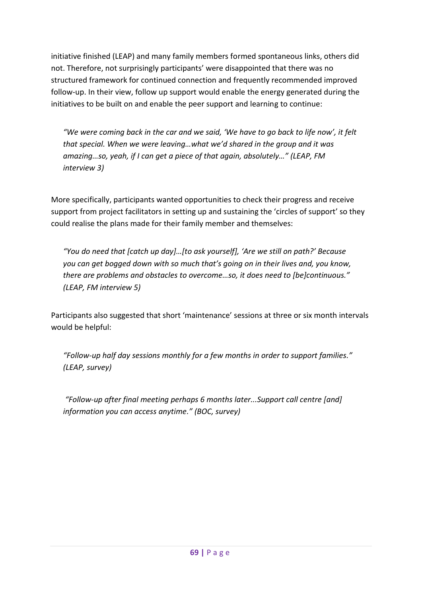initiative finished (LEAP) and many family members formed spontaneous links, others did not. Therefore, not surprisingly participants' were disappointed that there was no structured framework for continued connection and frequently recommended improved follow-up. In their view, follow up support would enable the energy generated during the initiatives to be built on and enable the peer support and learning to continue:

*"We were coming back in the car and we said, 'We have to go back to life now', it felt that special. When we were leaving…what we'd shared in the group and it was amazing…so, yeah, if I can get a piece of that again, absolutely…" (LEAP, FM interview 3)*

More specifically, participants wanted opportunities to check their progress and receive support from project facilitators in setting up and sustaining the 'circles of support' so they could realise the plans made for their family member and themselves:

*"You do need that [catch up day]…[to ask yourself], 'Are we still on path?' Because you can get bogged down with so much that's going on in their lives and, you know, there are problems and obstacles to overcome…so, it does need to [be]continuous." (LEAP, FM interview 5)*

Participants also suggested that short 'maintenance' sessions at three or six month intervals would be helpful:

*"Follow-up half day sessions monthly for a few months in order to support families." (LEAP, survey)*

*"Follow-up after final meeting perhaps 6 months later...Support call centre [and] information you can access anytime." (BOC, survey)*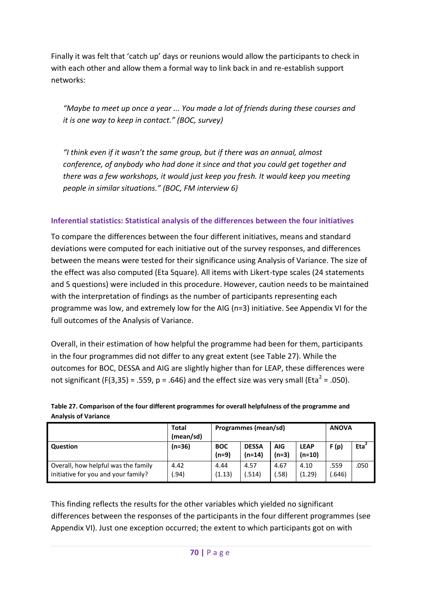Finally it was felt that 'catch up' days or reunions would allow the participants to check in with each other and allow them a formal way to link back in and re-establish support networks:

*"Maybe to meet up once a year ... You made a lot of friends during these courses and it is one way to keep in contact." (BOC, survey)*

*"I think even if it wasn't the same group, but if there was an annual, almost conference, of anybody who had done it since and that you could get together and there was a few workshops, it would just keep you fresh. It would keep you meeting people in similar situations." (BOC, FM interview 6)*

## **Inferential statistics: Statistical analysis of the differences between the four initiatives**

To compare the differences between the four different initiatives, means and standard deviations were computed for each initiative out of the survey responses, and differences between the means were tested for their significance using Analysis of Variance. The size of the effect was also computed (Eta Square). All items with Likert-type scales (24 statements and 5 questions) were included in this procedure. However, caution needs to be maintained with the interpretation of findings as the number of participants representing each programme was low, and extremely low for the AIG (n=3) initiative. See Appendix VI for the full outcomes of the Analysis of Variance.

Overall, in their estimation of how helpful the programme had been for them, participants in the four programmes did not differ to any great extent (see [Table 27\)](#page-78-0). While the outcomes for BOC, DESSA and AIG are slightly higher than for LEAP, these differences were not significant (F(3,35) = .559,  $p = .646$ ) and the effect size was very small (Eta<sup>2</sup> = .050).

<span id="page-78-0"></span>

| Table 27. Comparison of the four different programmes for overall helpfulness of the programme and |
|----------------------------------------------------------------------------------------------------|
| <b>Analysis of Variance</b>                                                                        |

|                                                                            | <b>Total</b><br>(mean/sd) | Programmes (mean/sd)  | <b>ANOVA</b>             |                       |                         |                |                  |
|----------------------------------------------------------------------------|---------------------------|-----------------------|--------------------------|-----------------------|-------------------------|----------------|------------------|
| Question                                                                   | (n=36)                    | <b>BOC</b><br>$(n=9)$ | <b>DESSA</b><br>$(n=14)$ | <b>AIG</b><br>$(n=3)$ | <b>LEAP</b><br>$(n=10)$ | F(p)           | Eta <sup>2</sup> |
| Overall, how helpful was the family<br>initiative for you and your family? | 4.42<br>.94)              | 4.44<br>(1.13)        | 4.57<br>(.514)           | 4.67<br>.58)          | 4.10<br>(1.29)          | .559<br>(.646) | .050             |

This finding reflects the results for the other variables which yielded no significant differences between the responses of the participants in the four different programmes (see Appendix VI). Just one exception occurred; the extent to which participants got on with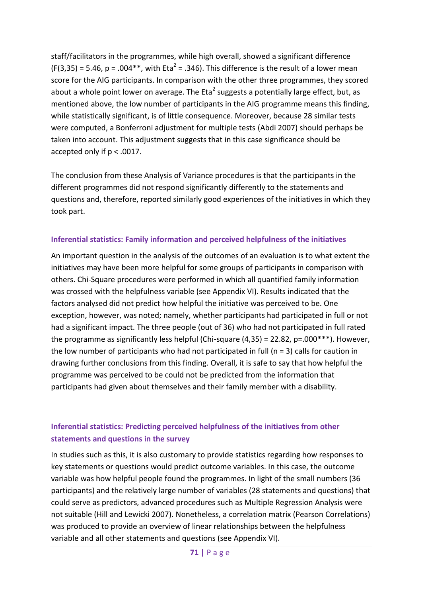staff/facilitators in the programmes, while high overall, showed a significant difference  $(F(3,35) = 5.46, p = .004**$ , with Eta<sup>2</sup> = .346). This difference is the result of a lower mean score for the AIG participants. In comparison with the other three programmes, they scored about a whole point lower on average. The Eta<sup>2</sup> suggests a potentially large effect, but, as mentioned above, the low number of participants in the AIG programme means this finding, while statistically significant, is of little consequence. Moreover, because 28 similar tests were computed, a Bonferroni adjustment for multiple tests (Abdi 2007) should perhaps be taken into account. This adjustment suggests that in this case significance should be accepted only if p < .0017.

The conclusion from these Analysis of Variance procedures is that the participants in the different programmes did not respond significantly differently to the statements and questions and, therefore, reported similarly good experiences of the initiatives in which they took part.

### **Inferential statistics: Family information and perceived helpfulness of the initiatives**

An important question in the analysis of the outcomes of an evaluation is to what extent the initiatives may have been more helpful for some groups of participants in comparison with others. Chi-Square procedures were performed in which all quantified family information was crossed with the helpfulness variable (see Appendix VI). Results indicated that the factors analysed did not predict how helpful the initiative was perceived to be. One exception, however, was noted; namely, whether participants had participated in full or not had a significant impact. The three people (out of 36) who had not participated in full rated the programme as significantly less helpful (Chi-square (4,35) = 22.82, p=.000\*\*\*). However, the low number of participants who had not participated in full ( $n = 3$ ) calls for caution in drawing further conclusions from this finding. Overall, it is safe to say that how helpful the programme was perceived to be could not be predicted from the information that participants had given about themselves and their family member with a disability.

## **Inferential statistics: Predicting perceived helpfulness of the initiatives from other statements and questions in the survey**

In studies such as this, it is also customary to provide statistics regarding how responses to key statements or questions would predict outcome variables. In this case, the outcome variable was how helpful people found the programmes. In light of the small numbers (36 participants) and the relatively large number of variables (28 statements and questions) that could serve as predictors, advanced procedures such as Multiple Regression Analysis were not suitable (Hill and Lewicki 2007). Nonetheless, a correlation matrix (Pearson Correlations) was produced to provide an overview of linear relationships between the helpfulness variable and all other statements and questions (see Appendix VI).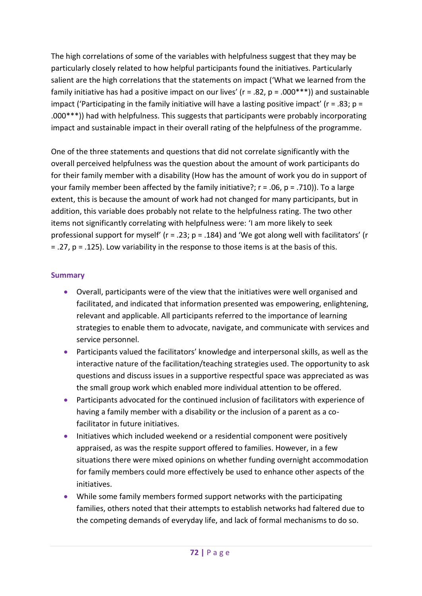The high correlations of some of the variables with helpfulness suggest that they may be particularly closely related to how helpful participants found the initiatives. Particularly salient are the high correlations that the statements on impact ('What we learned from the family initiative has had a positive impact on our lives' ( $r = .82$ ,  $p = .000***$ ) and sustainable impact ('Participating in the family initiative will have a lasting positive impact' ( $r = .83$ ;  $p =$ .000\*\*\*)) had with helpfulness. This suggests that participants were probably incorporating impact and sustainable impact in their overall rating of the helpfulness of the programme.

One of the three statements and questions that did not correlate significantly with the overall perceived helpfulness was the question about the amount of work participants do for their family member with a disability (How has the amount of work you do in support of your family member been affected by the family initiative?;  $r = .06$ ,  $p = .710$ )). To a large extent, this is because the amount of work had not changed for many participants, but in addition, this variable does probably not relate to the helpfulness rating. The two other items not significantly correlating with helpfulness were: 'I am more likely to seek professional support for myself' ( $r = 0.23$ ;  $p = 0.184$ ) and 'We got along well with facilitators' ( $r = 0.23$ ;  $p = 0.184$ ) and 'We got along well with facilitators' ( $r = 0.12$  $=$  .27,  $p = .125$ ). Low variability in the response to those items is at the basis of this.

### **Summary**

- Overall, participants were of the view that the initiatives were well organised and facilitated, and indicated that information presented was empowering, enlightening, relevant and applicable. All participants referred to the importance of learning strategies to enable them to advocate, navigate, and communicate with services and service personnel.
- Participants valued the facilitators' knowledge and interpersonal skills, as well as the interactive nature of the facilitation/teaching strategies used. The opportunity to ask questions and discuss issues in a supportive respectful space was appreciated as was the small group work which enabled more individual attention to be offered.
- Participants advocated for the continued inclusion of facilitators with experience of having a family member with a disability or the inclusion of a parent as a cofacilitator in future initiatives.
- Initiatives which included weekend or a residential component were positively appraised, as was the respite support offered to families. However, in a few situations there were mixed opinions on whether funding overnight accommodation for family members could more effectively be used to enhance other aspects of the initiatives.
- While some family members formed support networks with the participating families, others noted that their attempts to establish networks had faltered due to the competing demands of everyday life, and lack of formal mechanisms to do so.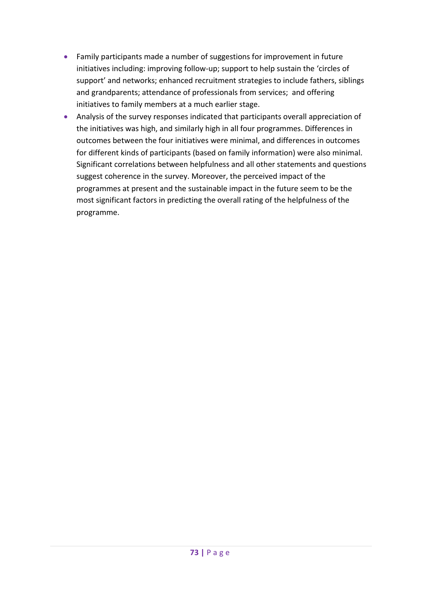- Family participants made a number of suggestions for improvement in future initiatives including: improving follow-up; support to help sustain the 'circles of support' and networks; enhanced recruitment strategies to include fathers, siblings and grandparents; attendance of professionals from services; and offering initiatives to family members at a much earlier stage.
- Analysis of the survey responses indicated that participants overall appreciation of the initiatives was high, and similarly high in all four programmes. Differences in outcomes between the four initiatives were minimal, and differences in outcomes for different kinds of participants (based on family information) were also minimal. Significant correlations between helpfulness and all other statements and questions suggest coherence in the survey. Moreover, the perceived impact of the programmes at present and the sustainable impact in the future seem to be the most significant factors in predicting the overall rating of the helpfulness of the programme.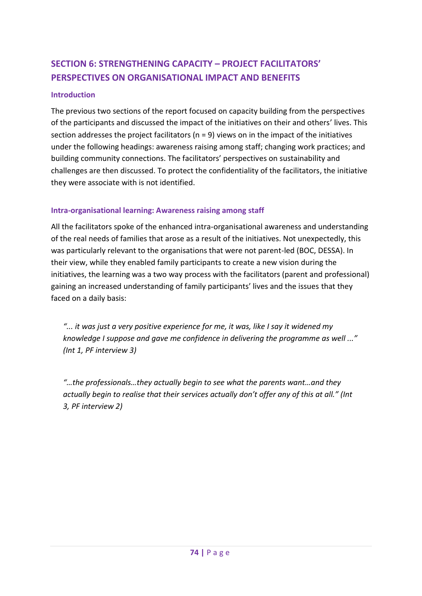# **SECTION 6: STRENGTHENING CAPACITY – PROJECT FACILITATORS' PERSPECTIVES ON ORGANISATIONAL IMPACT AND BENEFITS**

### **Introduction**

The previous two sections of the report focused on capacity building from the perspectives of the participants and discussed the impact of the initiatives on their and others' lives. This section addresses the project facilitators ( $n = 9$ ) views on in the impact of the initiatives under the following headings: awareness raising among staff; changing work practices; and building community connections. The facilitators' perspectives on sustainability and challenges are then discussed. To protect the confidentiality of the facilitators, the initiative they were associate with is not identified.

### **Intra-organisational learning: Awareness raising among staff**

All the facilitators spoke of the enhanced intra-organisational awareness and understanding of the real needs of families that arose as a result of the initiatives. Not unexpectedly, this was particularly relevant to the organisations that were not parent-led (BOC, DESSA). In their view, while they enabled family participants to create a new vision during the initiatives, the learning was a two way process with the facilitators (parent and professional) gaining an increased understanding of family participants' lives and the issues that they faced on a daily basis:

*"... it was just a very positive experience for me, it was, like I say it widened my knowledge I suppose and gave me confidence in delivering the programme as well ..." (Int 1, PF interview 3)*

*"…the professionals…they actually begin to see what the parents want…and they actually begin to realise that their services actually don't offer any of this at all." (Int 3, PF interview 2)*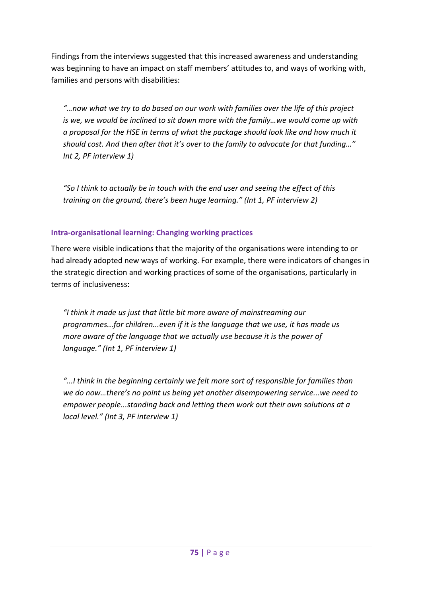Findings from the interviews suggested that this increased awareness and understanding was beginning to have an impact on staff members' attitudes to, and ways of working with, families and persons with disabilities:

*"…now what we try to do based on our work with families over the life of this project is we, we would be inclined to sit down more with the family…we would come up with a proposal for the HSE in terms of what the package should look like and how much it should cost. And then after that it's over to the family to advocate for that funding…" Int 2, PF interview 1)*

*"So I think to actually be in touch with the end user and seeing the effect of this training on the ground, there's been huge learning." (Int 1, PF interview 2)*

## **Intra-organisational learning: Changing working practices**

There were visible indications that the majority of the organisations were intending to or had already adopted new ways of working. For example, there were indicators of changes in the strategic direction and working practices of some of the organisations, particularly in terms of inclusiveness:

*"I think it made us just that little bit more aware of mainstreaming our programmes...for children...even if it is the language that we use, it has made us more aware of the language that we actually use because it is the power of language." (Int 1, PF interview 1)*

*"...I think in the beginning certainly we felt more sort of responsible for families than we do now…there's no point us being yet another disempowering service...we need to empower people...standing back and letting them work out their own solutions at a local level." (Int 3, PF interview 1)*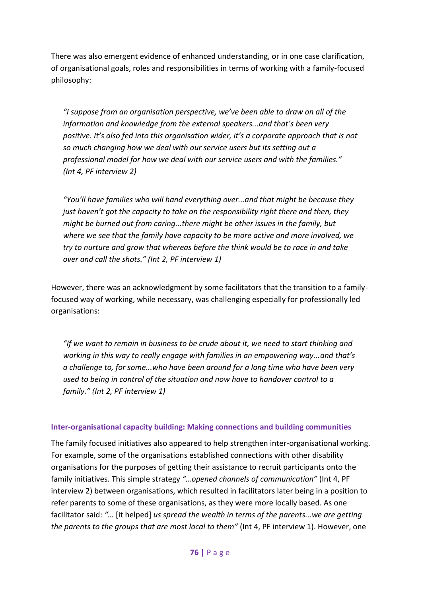There was also emergent evidence of enhanced understanding, or in one case clarification, of organisational goals, roles and responsibilities in terms of working with a family-focused philosophy:

*"I suppose from an organisation perspective, we've been able to draw on all of the information and knowledge from the external speakers...and that's been very positive. It's also fed into this organisation wider, it's a corporate approach that is not so much changing how we deal with our service users but its setting out a professional model for how we deal with our service users and with the families." (Int 4, PF interview 2)* 

*"You'll have families who will hand everything over...and that might be because they just haven't got the capacity to take on the responsibility right there and then, they might be burned out from caring...there might be other issues in the family, but where we see that the family have capacity to be more active and more involved, we try to nurture and grow that whereas before the think would be to race in and take over and call the shots." (Int 2, PF interview 1)*

However, there was an acknowledgment by some facilitators that the transition to a familyfocused way of working, while necessary, was challenging especially for professionally led organisations:

*"If we want to remain in business to be crude about it, we need to start thinking and working in this way to really engage with families in an empowering way...and that's a challenge to, for some...who have been around for a long time who have been very used to being in control of the situation and now have to handover control to a family." (Int 2, PF interview 1)*

### **Inter-organisational capacity building: Making connections and building communities**

The family focused initiatives also appeared to help strengthen inter-organisational working. For example, some of the organisations established connections with other disability organisations for the purposes of getting their assistance to recruit participants onto the family initiatives. This simple strategy *"…opened channels of communication"* (Int 4, PF interview 2) between organisations, which resulted in facilitators later being in a position to refer parents to some of these organisations, as they were more locally based. As one facilitator said: *"…* [it helped] *us spread the wealth in terms of the parents...we are getting the parents to the groups that are most local to them"* (Int 4, PF interview 1). However, one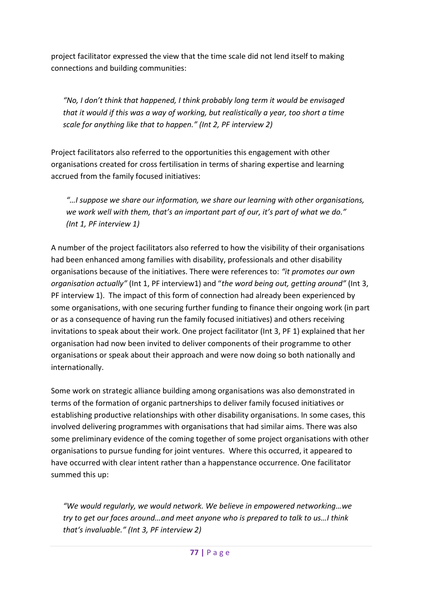project facilitator expressed the view that the time scale did not lend itself to making connections and building communities:

*"No, I don't think that happened, I think probably long term it would be envisaged that it would if this was a way of working, but realistically a year, too short a time scale for anything like that to happen." (Int 2, PF interview 2)*

Project facilitators also referred to the opportunities this engagement with other organisations created for cross fertilisation in terms of sharing expertise and learning accrued from the family focused initiatives:

*"…I suppose we share our information, we share our learning with other organisations, we work well with them, that's an important part of our, it's part of what we do." (Int 1, PF interview 1)*

A number of the project facilitators also referred to how the visibility of their organisations had been enhanced among families with disability, professionals and other disability organisations because of the initiatives. There were references to: *"it promotes our own organisation actually"* (Int 1, PF interview1) and "*the word being out, getting around"* (Int 3, PF interview 1). The impact of this form of connection had already been experienced by some organisations, with one securing further funding to finance their ongoing work (in part or as a consequence of having run the family focused initiatives) and others receiving invitations to speak about their work. One project facilitator (Int 3, PF 1) explained that her organisation had now been invited to deliver components of their programme to other organisations or speak about their approach and were now doing so both nationally and internationally.

Some work on strategic alliance building among organisations was also demonstrated in terms of the formation of organic partnerships to deliver family focused initiatives or establishing productive relationships with other disability organisations. In some cases, this involved delivering programmes with organisations that had similar aims. There was also some preliminary evidence of the coming together of some project organisations with other organisations to pursue funding for joint ventures. Where this occurred, it appeared to have occurred with clear intent rather than a happenstance occurrence. One facilitator summed this up:

*"We would regularly, we would network. We believe in empowered networking…we try to get our faces around…and meet anyone who is prepared to talk to us…I think that's invaluable." (Int 3, PF interview 2)*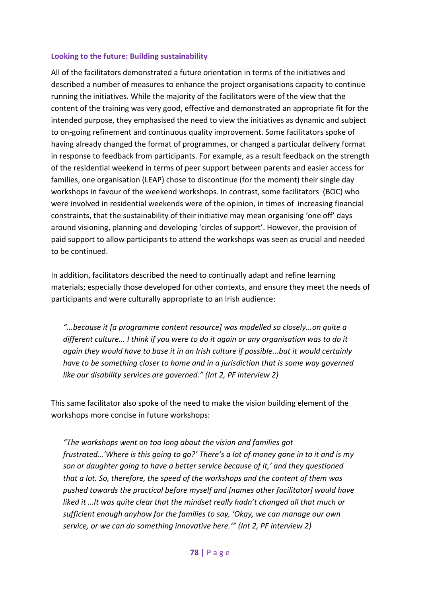### **Looking to the future: Building sustainability**

All of the facilitators demonstrated a future orientation in terms of the initiatives and described a number of measures to enhance the project organisations capacity to continue running the initiatives. While the majority of the facilitators were of the view that the content of the training was very good, effective and demonstrated an appropriate fit for the intended purpose, they emphasised the need to view the initiatives as dynamic and subject to on-going refinement and continuous quality improvement. Some facilitators spoke of having already changed the format of programmes, or changed a particular delivery format in response to feedback from participants. For example, as a result feedback on the strength of the residential weekend in terms of peer support between parents and easier access for families, one organisation (LEAP) chose to discontinue (for the moment) their single day workshops in favour of the weekend workshops. In contrast, some facilitators (BOC) who were involved in residential weekends were of the opinion, in times of increasing financial constraints, that the sustainability of their initiative may mean organising 'one off' days around visioning, planning and developing 'circles of support'. However, the provision of paid support to allow participants to attend the workshops was seen as crucial and needed to be continued.

In addition, facilitators described the need to continually adapt and refine learning materials; especially those developed for other contexts, and ensure they meet the needs of participants and were culturally appropriate to an Irish audience:

*"...because it [a programme content resource] was modelled so closely...on quite a different culture... I think if you were to do it again or any organisation was to do it again they would have to base it in an Irish culture if possible...but it would certainly have to be something closer to home and in a jurisdiction that is some way governed like our disability services are governed." (Int 2, PF interview 2)*

This same facilitator also spoke of the need to make the vision building element of the workshops more concise in future workshops:

*"The workshops went on too long about the vision and families got frustrated…'Where is this going to go?' There's a lot of money gone in to it and is my son or daughter going to have a better service because of it,' and they questioned that a lot. So, therefore, the speed of the workshops and the content of them was pushed towards the practical before myself and [names other facilitator] would have liked it …It was quite clear that the mindset really hadn't changed all that much or sufficient enough anyhow for the families to say, 'Okay, we can manage our own service, or we can do something innovative here.'" (Int 2, PF interview 2)*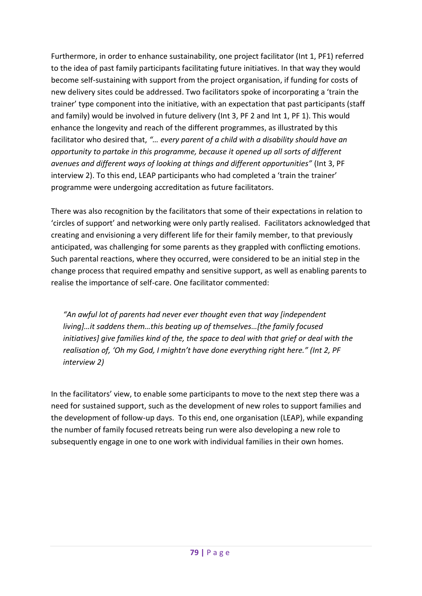Furthermore, in order to enhance sustainability, one project facilitator (Int 1, PF1) referred to the idea of past family participants facilitating future initiatives. In that way they would become self-sustaining with support from the project organisation, if funding for costs of new delivery sites could be addressed. Two facilitators spoke of incorporating a 'train the trainer' type component into the initiative, with an expectation that past participants (staff and family) would be involved in future delivery (Int 3, PF 2 and Int 1, PF 1). This would enhance the longevity and reach of the different programmes, as illustrated by this facilitator who desired that, *"… every parent of a child with a disability should have an opportunity to partake in this programme, because it opened up all sorts of different avenues and different ways of looking at things and different opportunities"* (Int 3, PF interview 2). To this end, LEAP participants who had completed a 'train the trainer' programme were undergoing accreditation as future facilitators.

There was also recognition by the facilitators that some of their expectations in relation to 'circles of support' and networking were only partly realised. Facilitators acknowledged that creating and envisioning a very different life for their family member, to that previously anticipated, was challenging for some parents as they grappled with conflicting emotions. Such parental reactions, where they occurred, were considered to be an initial step in the change process that required empathy and sensitive support, as well as enabling parents to realise the importance of self-care. One facilitator commented:

*"An awful lot of parents had never ever thought even that way [independent living]…it saddens them…this beating up of themselves…[the family focused initiatives] give families kind of the, the space to deal with that grief or deal with the realisation of, 'Oh my God, I mightn't have done everything right here." (Int 2, PF interview 2)*

In the facilitators' view, to enable some participants to move to the next step there was a need for sustained support, such as the development of new roles to support families and the development of follow-up days. To this end, one organisation (LEAP), while expanding the number of family focused retreats being run were also developing a new role to subsequently engage in one to one work with individual families in their own homes.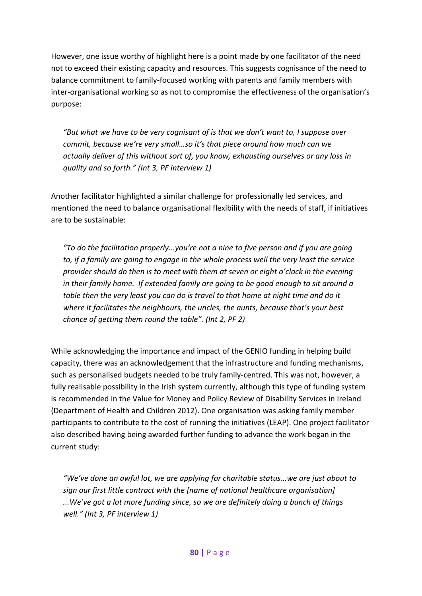However, one issue worthy of highlight here is a point made by one facilitator of the need not to exceed their existing capacity and resources. This suggests cognisance of the need to balance commitment to family-focused working with parents and family members with inter-organisational working so as not to compromise the effectiveness of the organisation's purpose:

*"But what we have to be very cognisant of is that we don't want to, I suppose over commit, because we're very small…so it's that piece around how much can we actually deliver of this without sort of, you know, exhausting ourselves or any loss in quality and so forth." (Int 3, PF interview 1)*

Another facilitator highlighted a similar challenge for professionally led services, and mentioned the need to balance organisational flexibility with the needs of staff, if initiatives are to be sustainable:

*"To do the facilitation properly...you're not a nine to five person and if you are going to, if a family are going to engage in the whole process well the very least the service provider should do then is to meet with them at seven or eight o'clock in the evening in their family home. If extended family are going to be good enough to sit around a table then the very least you can do is travel to that home at night time and do it where it facilitates the neighbours, the uncles, the aunts, because that's your best chance of getting them round the table". (Int 2, PF 2)* 

While acknowledging the importance and impact of the GENIO funding in helping build capacity, there was an acknowledgement that the infrastructure and funding mechanisms, such as personalised budgets needed to be truly family-centred. This was not, however, a fully realisable possibility in the Irish system currently, although this type of funding system is recommended in the Value for Money and Policy Review of Disability Services in Ireland (Department of Health and Children 2012). One organisation was asking family member participants to contribute to the cost of running the initiatives (LEAP). One project facilitator also described having being awarded further funding to advance the work began in the current study:

*"We've done an awful lot, we are applying for charitable status...we are just about to sign our first little contract with the [name of national healthcare organisation] ...We've got a lot more funding since, so we are definitely doing a bunch of things well." (Int 3, PF interview 1)*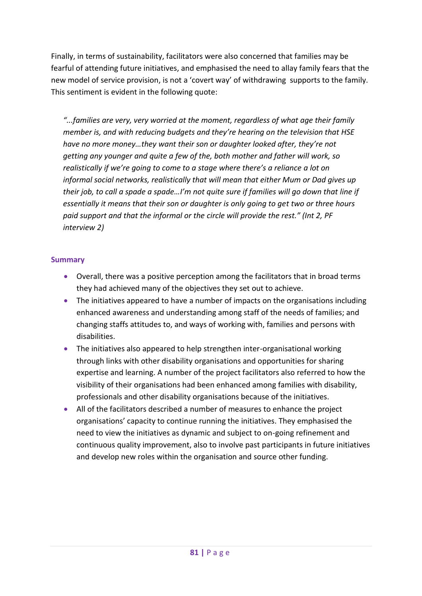Finally, in terms of sustainability, facilitators were also concerned that families may be fearful of attending future initiatives, and emphasised the need to allay family fears that the new model of service provision, is not a 'covert way' of withdrawing supports to the family. This sentiment is evident in the following quote:

*"...families are very, very worried at the moment, regardless of what age their family member is, and with reducing budgets and they're hearing on the television that HSE have no more money…they want their son or daughter looked after, they're not getting any younger and quite a few of the, both mother and father will work, so realistically if we're going to come to a stage where there's a reliance a lot on informal social networks, realistically that will mean that either Mum or Dad gives up their job, to call a spade a spade…I'm not quite sure if families will go down that line if essentially it means that their son or daughter is only going to get two or three hours paid support and that the informal or the circle will provide the rest." (Int 2, PF interview 2)*

### **Summary**

- Overall, there was a positive perception among the facilitators that in broad terms they had achieved many of the objectives they set out to achieve.
- The initiatives appeared to have a number of impacts on the organisations including enhanced awareness and understanding among staff of the needs of families; and changing staffs attitudes to, and ways of working with, families and persons with disabilities.
- The initiatives also appeared to help strengthen inter-organisational working through links with other disability organisations and opportunities for sharing expertise and learning. A number of the project facilitators also referred to how the visibility of their organisations had been enhanced among families with disability, professionals and other disability organisations because of the initiatives.
- All of the facilitators described a number of measures to enhance the project organisations' capacity to continue running the initiatives. They emphasised the need to view the initiatives as dynamic and subject to on-going refinement and continuous quality improvement, also to involve past participants in future initiatives and develop new roles within the organisation and source other funding.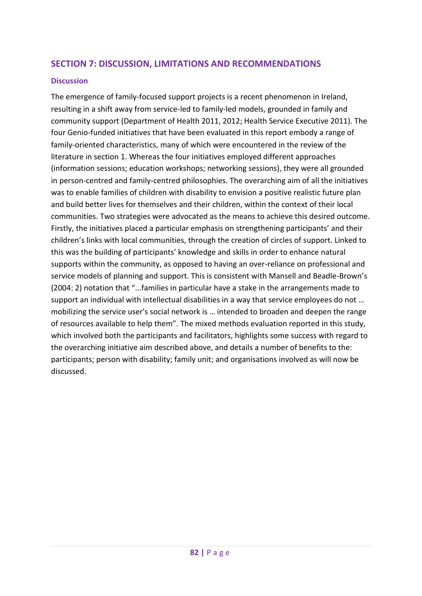## **SECTION 7: DISCUSSION, LIMITATIONS AND RECOMMENDATIONS**

### **Discussion**

The emergence of family-focused support projects is a recent phenomenon in Ireland, resulting in a shift away from service-led to family-led models, grounded in family and community support (Department of Health 2011, 2012; Health Service Executive 2011). The four Genio-funded initiatives that have been evaluated in this report embody a range of family-oriented characteristics, many of which were encountered in the review of the literature in section 1. Whereas the four initiatives employed different approaches (information sessions; education workshops; networking sessions), they were all grounded in person-centred and family-centred philosophies. The overarching aim of all the initiatives was to enable families of children with disability to envision a positive realistic future plan and build better lives for themselves and their children, within the context of their local communities. Two strategies were advocated as the means to achieve this desired outcome. Firstly, the initiatives placed a particular emphasis on strengthening participants' and their children's links with local communities, through the creation of circles of support. Linked to this was the building of participants' knowledge and skills in order to enhance natural supports within the community, as opposed to having an over-reliance on professional and service models of planning and support. This is consistent with Mansell and Beadle-Brown's (2004: 2) notation that "...families in particular have a stake in the arrangements made to support an individual with intellectual disabilities in a way that service employees do not … mobilizing the service user's social network is … intended to broaden and deepen the range of resources available to help them". The mixed methods evaluation reported in this study, which involved both the participants and facilitators, highlights some success with regard to the overarching initiative aim described above, and details a number of benefits to the: participants; person with disability; family unit; and organisations involved as will now be discussed.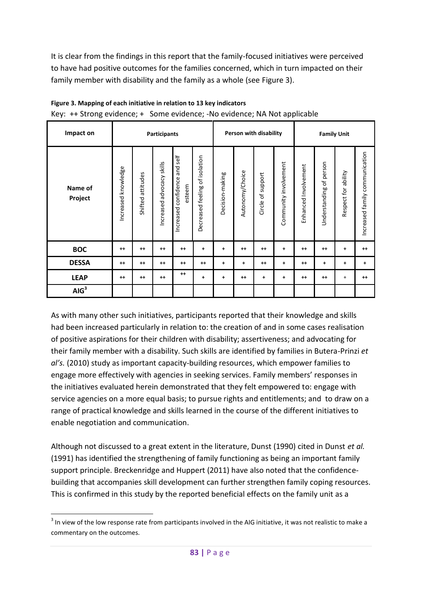It is clear from the findings in this report that the family-focused initiatives were perceived to have had positive outcomes for the families concerned, which in turn impacted on their family member with disability and the family as a whole (see [Figure 3\)](#page-91-0).

| Impact on          | <b>Participants</b> |                      |                           |                                               | Person with disability            |                 |                 |                                     | <b>Family Unit</b>    |                      |                            |                     |                                |
|--------------------|---------------------|----------------------|---------------------------|-----------------------------------------------|-----------------------------------|-----------------|-----------------|-------------------------------------|-----------------------|----------------------|----------------------------|---------------------|--------------------------------|
| Name of<br>Project | Increased knowledge | attitudes<br>Shifted | Increased advocacy skills | and self<br>confidence<br>esteem<br>Increased | of isolation<br>Decreased feeling | Decision-making | Autonomy/Choice | support<br>$\mathfrak{b}$<br>Circle | Community involvement | Enhanced Involvement | of person<br>Understanding | Respect for ability | Increased family communication |
| <b>BOC</b>         | $++$                | $^{++}$              | $^{++}$                   | $++$                                          | ٠                                 | ٠               | $++$            | $++$                                | $\ddot{\phantom{1}}$  | $++$                 | $++$                       | ٠                   | $^{++}$                        |
| <b>DESSA</b>       | $++$                | $++$                 | $++$                      | $++$                                          | $++$                              | $\ddot{}$       | $+$             | $++$                                | $\ddotmark$           | $++$                 | $\ddot{}$                  | $+$                 | $+$                            |
| <b>LEAP</b>        | $++$                | $++$                 | $++$                      | $++$                                          | $\ddot{}$                         | $\ddot{}$       | $++$            | $\ddot{}$                           | $\ddotmark$           | $++$                 | $++$                       | $^{+}$              | $++$                           |
| AIG <sup>3</sup>   |                     |                      |                           |                                               |                                   |                 |                 |                                     |                       |                      |                            |                     |                                |

# <span id="page-91-0"></span>**Figure 3. Mapping of each initiative in relation to 13 key indicators**

Key: ++ Strong evidence; + Some evidence; -No evidence; NA Not applicable

As with many other such initiatives, participants reported that their knowledge and skills had been increased particularly in relation to: the creation of and in some cases realisation of positive aspirations for their children with disability; assertiveness; and advocating for their family member with a disability. Such skills are identified by families in Butera-Prinzi *et al's.* (2010) study as important capacity-building resources, which empower families to engage more effectively with agencies in seeking services. Family members' responses in the initiatives evaluated herein demonstrated that they felt empowered to: engage with service agencies on a more equal basis; to pursue rights and entitlements; and to draw on a range of practical knowledge and skills learned in the course of the different initiatives to enable negotiation and communication.

Although not discussed to a great extent in the literature, Dunst (1990) cited in Dunst *et al.* (1991) has identified the strengthening of family functioning as being an important family support principle. Breckenridge and Huppert (2011) have also noted that the confidencebuilding that accompanies skill development can further strengthen family coping resources. This is confirmed in this study by the reported beneficial effects on the family unit as a

<sup>-</sup> $3$  In view of the low response rate from participants involved in the AIG initiative, it was not realistic to make a commentary on the outcomes.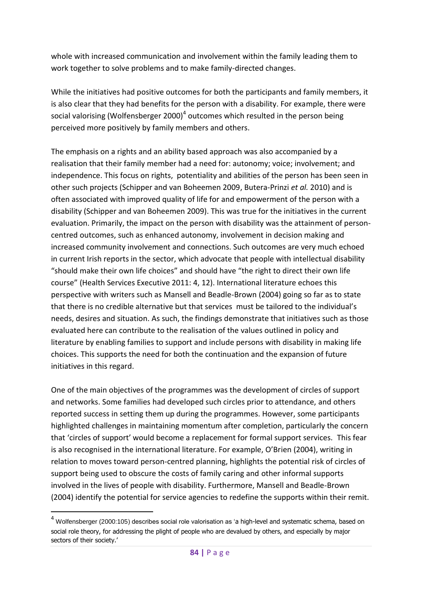whole with increased communication and involvement within the family leading them to work together to solve problems and to make family-directed changes.

While the initiatives had positive outcomes for both the participants and family members, it is also clear that they had benefits for the person with a disability. For example, there were social valorising (Wolfensberger 2000)<sup>4</sup> outcomes which resulted in the person being perceived more positively by family members and others.

The emphasis on a rights and an ability based approach was also accompanied by a realisation that their family member had a need for: autonomy; voice; involvement; and independence. This focus on rights, potentiality and abilities of the person has been seen in other such projects (Schipper and van Boheemen 2009, Butera-Prinzi *et al.* 2010) and is often associated with improved quality of life for and empowerment of the person with a disability (Schipper and van Boheemen 2009). This was true for the initiatives in the current evaluation. Primarily, the impact on the person with disability was the attainment of personcentred outcomes, such as enhanced autonomy, involvement in decision making and increased community involvement and connections. Such outcomes are very much echoed in current Irish reports in the sector, which advocate that people with intellectual disability "should make their own life choices" and should have "the right to direct their own life course" (Health Services Executive 2011: 4, 12). International literature echoes this perspective with writers such as Mansell and Beadle-Brown (2004) going so far as to state that there is no credible alternative but that services must be tailored to the individual's needs, desires and situation. As such, the findings demonstrate that initiatives such as those evaluated here can contribute to the realisation of the values outlined in policy and literature by enabling families to support and include persons with disability in making life choices. This supports the need for both the continuation and the expansion of future initiatives in this regard.

One of the main objectives of the programmes was the development of circles of support and networks. Some families had developed such circles prior to attendance, and others reported success in setting them up during the programmes. However, some participants highlighted challenges in maintaining momentum after completion, particularly the concern that 'circles of support' would become a replacement for formal support services. This fear is also recognised in the international literature. For example, O'Brien (2004), writing in relation to moves toward person-centred planning, highlights the potential risk of circles of support being used to obscure the costs of family caring and other informal supports involved in the lives of people with disability. Furthermore, Mansell and Beadle-Brown (2004) identify the potential for service agencies to redefine the supports within their remit.

<u>.</u>

 $4$  Wolfensberger (2000:105) describes social role valorisation as 'a high-level and systematic schema, based on social role theory, for addressing the plight of people who are devalued by others, and especially by major sectors of their society.'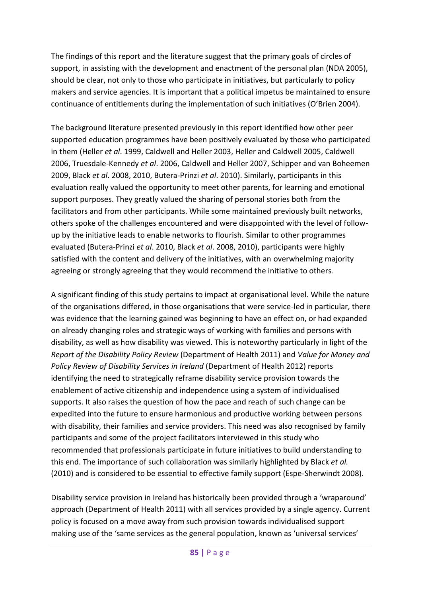The findings of this report and the literature suggest that the primary goals of circles of support, in assisting with the development and enactment of the personal plan (NDA 2005), should be clear, not only to those who participate in initiatives, but particularly to policy makers and service agencies. It is important that a political impetus be maintained to ensure continuance of entitlements during the implementation of such initiatives (O'Brien 2004).

The background literature presented previously in this report identified how other peer supported education programmes have been positively evaluated by those who participated in them (Heller *et al*. 1999, Caldwell and Heller 2003, Heller and Caldwell 2005, Caldwell 2006, Truesdale-Kennedy *et al*. 2006, Caldwell and Heller 2007, Schipper and van Boheemen 2009, Black *et al*. 2008, 2010, Butera-Prinzi *et al*. 2010). Similarly, participants in this evaluation really valued the opportunity to meet other parents, for learning and emotional support purposes. They greatly valued the sharing of personal stories both from the facilitators and from other participants. While some maintained previously built networks, others spoke of the challenges encountered and were disappointed with the level of followup by the initiative leads to enable networks to flourish. Similar to other programmes evaluated (Butera-Prinzi *et al*. 2010, Black *et al*. 2008, 2010), participants were highly satisfied with the content and delivery of the initiatives, with an overwhelming majority agreeing or strongly agreeing that they would recommend the initiative to others.

A significant finding of this study pertains to impact at organisational level. While the nature of the organisations differed, in those organisations that were service-led in particular, there was evidence that the learning gained was beginning to have an effect on, or had expanded on already changing roles and strategic ways of working with families and persons with disability, as well as how disability was viewed. This is noteworthy particularly in light of the *Report of the Disability Policy Review* (Department of Health 2011) and *Value for Money and Policy Review of Disability Services in Ireland* (Department of Health 2012) reports identifying the need to strategically reframe disability service provision towards the enablement of active citizenship and independence using a system of individualised supports. It also raises the question of how the pace and reach of such change can be expedited into the future to ensure harmonious and productive working between persons with disability, their families and service providers. This need was also recognised by family participants and some of the project facilitators interviewed in this study who recommended that professionals participate in future initiatives to build understanding to this end. The importance of such collaboration was similarly highlighted by Black *et al.* (2010) and is considered to be essential to effective family support (Espe-Sherwindt 2008).

Disability service provision in Ireland has historically been provided through a 'wraparound' approach (Department of Health 2011) with all services provided by a single agency. Current policy is focused on a move away from such provision towards individualised support making use of the 'same services as the general population, known as 'universal services'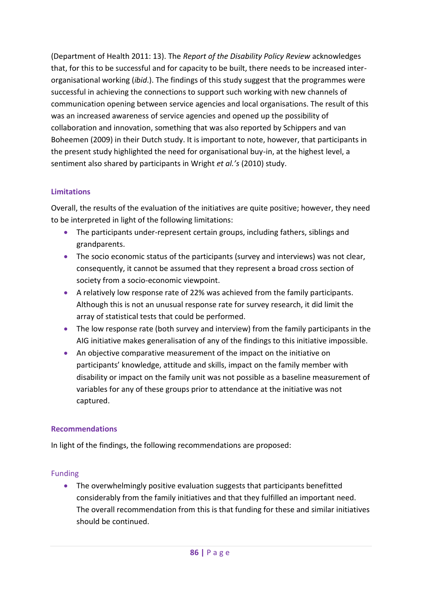(Department of Health 2011: 13). The *Report of the Disability Policy Review* acknowledges that, for this to be successful and for capacity to be built, there needs to be increased interorganisational working (*ibid*.). The findings of this study suggest that the programmes were successful in achieving the connections to support such working with new channels of communication opening between service agencies and local organisations. The result of this was an increased awareness of service agencies and opened up the possibility of collaboration and innovation, something that was also reported by Schippers and van Boheemen (2009) in their Dutch study. It is important to note, however, that participants in the present study highlighted the need for organisational buy-in, at the highest level, a sentiment also shared by participants in Wright *et al.'s* (2010) study.

## **Limitations**

Overall, the results of the evaluation of the initiatives are quite positive; however, they need to be interpreted in light of the following limitations:

- The participants under-represent certain groups, including fathers, siblings and grandparents.
- The socio economic status of the participants (survey and interviews) was not clear, consequently, it cannot be assumed that they represent a broad cross section of society from a socio-economic viewpoint.
- A relatively low response rate of 22% was achieved from the family participants. Although this is not an unusual response rate for survey research, it did limit the array of statistical tests that could be performed.
- The low response rate (both survey and interview) from the family participants in the AIG initiative makes generalisation of any of the findings to this initiative impossible.
- An objective comparative measurement of the impact on the initiative on participants' knowledge, attitude and skills, impact on the family member with disability or impact on the family unit was not possible as a baseline measurement of variables for any of these groups prior to attendance at the initiative was not captured.

## **Recommendations**

In light of the findings, the following recommendations are proposed:

### Funding

• The overwhelmingly positive evaluation suggests that participants benefitted considerably from the family initiatives and that they fulfilled an important need. The overall recommendation from this is that funding for these and similar initiatives should be continued.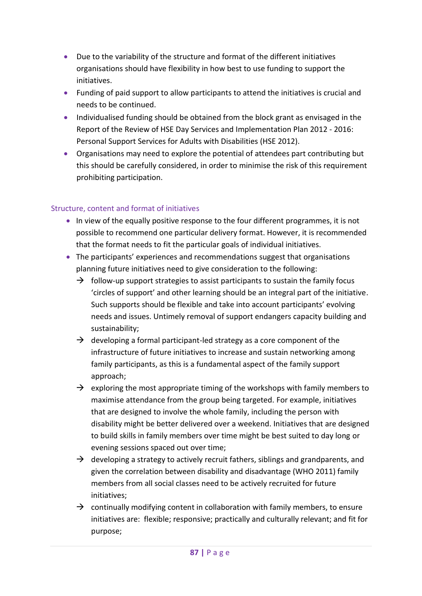- Due to the variability of the structure and format of the different initiatives organisations should have flexibility in how best to use funding to support the initiatives.
- Funding of paid support to allow participants to attend the initiatives is crucial and needs to be continued.
- Individualised funding should be obtained from the block grant as envisaged in the Report of the Review of HSE Day Services and Implementation Plan 2012 - 2016: Personal Support Services for Adults with Disabilities (HSE 2012).
- Organisations may need to explore the potential of attendees part contributing but this should be carefully considered, in order to minimise the risk of this requirement prohibiting participation.

## Structure, content and format of initiatives

- In view of the equally positive response to the four different programmes, it is not possible to recommend one particular delivery format. However, it is recommended that the format needs to fit the particular goals of individual initiatives.
- The participants' experiences and recommendations suggest that organisations planning future initiatives need to give consideration to the following:
	- $\rightarrow$  follow-up support strategies to assist participants to sustain the family focus 'circles of support' and other learning should be an integral part of the initiative. Such supports should be flexible and take into account participants' evolving needs and issues. Untimely removal of support endangers capacity building and sustainability;
	- $\rightarrow$  developing a formal participant-led strategy as a core component of the infrastructure of future initiatives to increase and sustain networking among family participants, as this is a fundamental aspect of the family support approach;
	- $\rightarrow$  exploring the most appropriate timing of the workshops with family members to maximise attendance from the group being targeted. For example, initiatives that are designed to involve the whole family, including the person with disability might be better delivered over a weekend. Initiatives that are designed to build skills in family members over time might be best suited to day long or evening sessions spaced out over time;
	- $\rightarrow$  developing a strategy to actively recruit fathers, siblings and grandparents, and given the correlation between disability and disadvantage (WHO 2011) family members from all social classes need to be actively recruited for future initiatives;
	- $\rightarrow$  continually modifying content in collaboration with family members, to ensure initiatives are: flexible; responsive; practically and culturally relevant; and fit for purpose;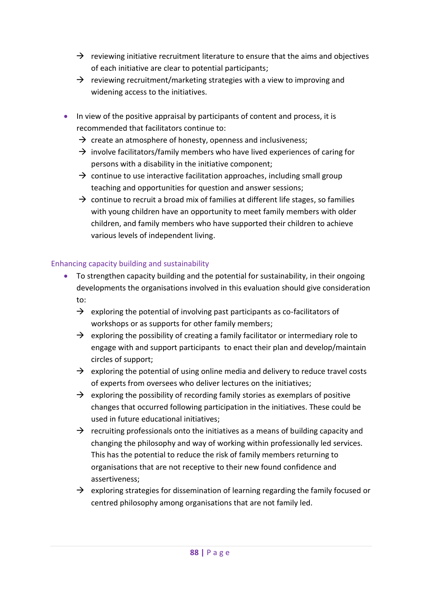- $\rightarrow$  reviewing initiative recruitment literature to ensure that the aims and objectives of each initiative are clear to potential participants;
- $\rightarrow$  reviewing recruitment/marketing strategies with a view to improving and widening access to the initiatives.
- In view of the positive appraisal by participants of content and process, it is recommended that facilitators continue to:
	- $\rightarrow$  create an atmosphere of honesty, openness and inclusiveness;
	- $\rightarrow$  involve facilitators/family members who have lived experiences of caring for persons with a disability in the initiative component;
	- $\rightarrow$  continue to use interactive facilitation approaches, including small group teaching and opportunities for question and answer sessions;
	- $\rightarrow$  continue to recruit a broad mix of families at different life stages, so families with young children have an opportunity to meet family members with older children, and family members who have supported their children to achieve various levels of independent living.

### Enhancing capacity building and sustainability

- To strengthen capacity building and the potential for sustainability, in their ongoing developments the organisations involved in this evaluation should give consideration to:
	- $\rightarrow$  exploring the potential of involving past participants as co-facilitators of workshops or as supports for other family members;
	- $\rightarrow$  exploring the possibility of creating a family facilitator or intermediary role to engage with and support participants to enact their plan and develop/maintain circles of support;
	- $\rightarrow$  exploring the potential of using online media and delivery to reduce travel costs of experts from oversees who deliver lectures on the initiatives;
	- $\rightarrow$  exploring the possibility of recording family stories as exemplars of positive changes that occurred following participation in the initiatives. These could be used in future educational initiatives;
	- $\rightarrow$  recruiting professionals onto the initiatives as a means of building capacity and changing the philosophy and way of working within professionally led services. This has the potential to reduce the risk of family members returning to organisations that are not receptive to their new found confidence and assertiveness;
	- $\rightarrow$  exploring strategies for dissemination of learning regarding the family focused or centred philosophy among organisations that are not family led.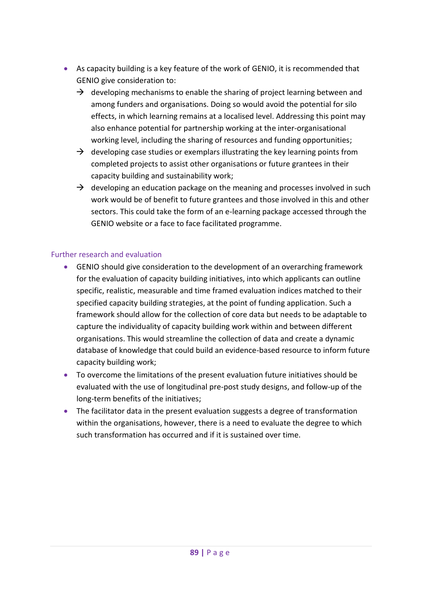- As capacity building is a key feature of the work of GENIO, it is recommended that GENIO give consideration to:
	- $\rightarrow$  developing mechanisms to enable the sharing of project learning between and among funders and organisations. Doing so would avoid the potential for silo effects, in which learning remains at a localised level. Addressing this point may also enhance potential for partnership working at the inter-organisational working level, including the sharing of resources and funding opportunities;
	- $\rightarrow$  developing case studies or exemplars illustrating the key learning points from completed projects to assist other organisations or future grantees in their capacity building and sustainability work;
	- $\rightarrow$  developing an education package on the meaning and processes involved in such work would be of benefit to future grantees and those involved in this and other sectors. This could take the form of an e-learning package accessed through the GENIO website or a face to face facilitated programme.

### Further research and evaluation

- GENIO should give consideration to the development of an overarching framework for the evaluation of capacity building initiatives, into which applicants can outline specific, realistic, measurable and time framed evaluation indices matched to their specified capacity building strategies, at the point of funding application. Such a framework should allow for the collection of core data but needs to be adaptable to capture the individuality of capacity building work within and between different organisations. This would streamline the collection of data and create a dynamic database of knowledge that could build an evidence-based resource to inform future capacity building work;
- To overcome the limitations of the present evaluation future initiatives should be evaluated with the use of longitudinal pre-post study designs, and follow-up of the long-term benefits of the initiatives;
- The facilitator data in the present evaluation suggests a degree of transformation within the organisations, however, there is a need to evaluate the degree to which such transformation has occurred and if it is sustained over time.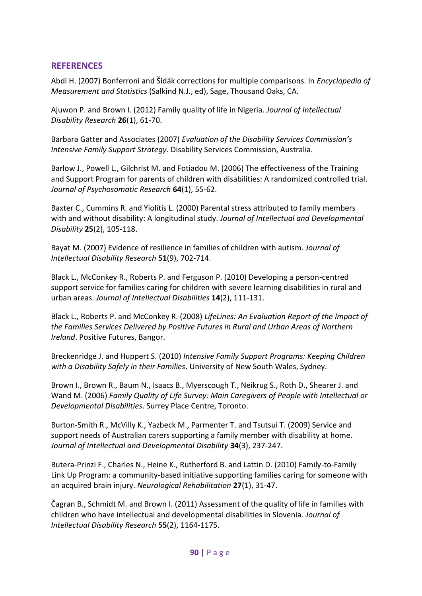## **REFERENCES**

Abdi H. (2007) Bonferroni and Šidák corrections for multiple comparisons. In *Encyclopedia of Measurement and Statistics* (Salkind N.J., ed), Sage, Thousand Oaks, CA.

Ajuwon P. and Brown I. (2012) Family quality of life in Nigeria. *Journal of Intellectual Disability Research* **26**(1), 61-70.

Barbara Gatter and Associates (2007) *Evaluation of the Disability Services Commission's Intensive Family Support Strategy*. Disability Services Commission, Australia.

Barlow J., Powell L., Gilchrist M. and Fotiadou M. (2006) The effectiveness of the Training and Support Program for parents of children with disabilities: A randomized controlled trial. *Journal of Psychosomatic Research* **64**(1), 55-62.

Baxter C., Cummins R. and Yiolitis L. (2000) Parental stress attributed to family members with and without disability: A longitudinal study. *Journal of Intellectual and Developmental Disability* **25**(2), 105-118.

Bayat M. (2007) Evidence of resilience in families of children with autism. *Journal of Intellectual Disability Research* **51**(9), 702-714.

Black L., McConkey R., Roberts P. and Ferguson P. (2010) Developing a person-centred support service for families caring for children with severe learning disabilities in rural and urban areas. *Journal of Intellectual Disabilities* **14**(2), 111-131.

Black L., Roberts P. and McConkey R. (2008) *LifeLines: An Evaluation Report of the Impact of the Families Services Delivered by Positive Futures in Rural and Urban Areas of Northern Ireland*. Positive Futures, Bangor.

Breckenridge J. and Huppert S. (2010) *Intensive Family Support Programs: Keeping Children with a Disability Safely in their Families*. University of New South Wales, Sydney.

Brown I., Brown R., Baum N., Isaacs B., Myerscough T., Neikrug S., Roth D., Shearer J. and Wand M. (2006) *Family Quality of Life Survey: Main Caregivers of People with Intellectual or Developmental Disabilities*. Surrey Place Centre, Toronto.

Burton-Smith R., McVilly K., Yazbeck M., Parmenter T. and Tsutsui T. (2009) Service and support needs of Australian carers supporting a family member with disability at home. *Journal of Intellectual and Developmental Disability* **34**(3), 237-247.

Butera-Prinzi F., Charles N., Heine K., Rutherford B. and Lattin D. (2010) Family-to-Family Link Up Program: a community-based initiative supporting families caring for someone with an acquired brain injury. *Neurological Rehabilitation* **27**(1), 31-47.

Čagran B., Schmidt M. and Brown I. (2011) Assessment of the quality of life in families with children who have intellectual and developmental disabilities in Slovenia. *Journal of Intellectual Disability Research* **55**(2), 1164-1175.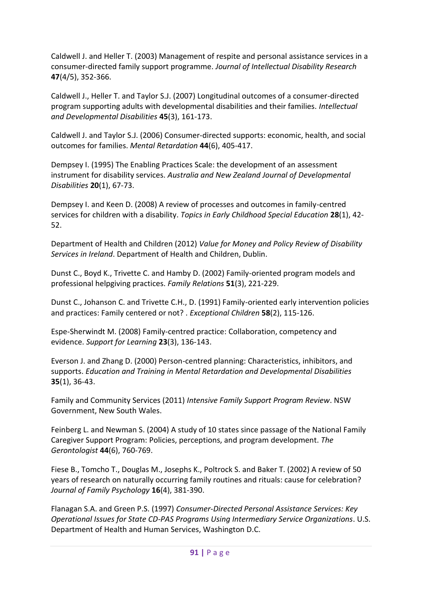Caldwell J. and Heller T. (2003) Management of respite and personal assistance services in a consumer-directed family support programme. *Journal of Intellectual Disability Research* **47**(4/5), 352-366.

Caldwell J., Heller T. and Taylor S.J. (2007) Longitudinal outcomes of a consumer-directed program supporting adults with developmental disabilities and their families. *Intellectual and Developmental Disabilities* **45**(3), 161-173.

Caldwell J. and Taylor S.J. (2006) Consumer-directed supports: economic, health, and social outcomes for families. *Mental Retardation* **44**(6), 405-417.

Dempsey I. (1995) The Enabling Practices Scale: the development of an assessment instrument for disability services. *Australia and New Zealand Journal of Developmental Disabilities* **20**(1), 67-73.

Dempsey I. and Keen D. (2008) A review of processes and outcomes in family-centred services for children with a disability. *Topics in Early Childhood Special Education* **28**(1), 42- 52.

Department of Health and Children (2012) *Value for Money and Policy Review of Disability Services in Ireland*. Department of Health and Children, Dublin.

Dunst C., Boyd K., Trivette C. and Hamby D. (2002) Family-oriented program models and professional helpgiving practices. *Family Relations* **51**(3), 221-229.

Dunst C., Johanson C. and Trivette C.H., D. (1991) Family-oriented early intervention policies and practices: Family centered or not? . *Exceptional Children* **58**(2), 115-126.

Espe-Sherwindt M. (2008) Family-centred practice: Collaboration, competency and evidence. *Support for Learning* **23**(3), 136-143.

Everson J. and Zhang D. (2000) Person-centred planning: Characteristics, inhibitors, and supports. *Education and Training in Mental Retardation and Developmental Disabilities* **35**(1), 36-43.

Family and Community Services (2011) *Intensive Family Support Program Review*. NSW Government, New South Wales.

Feinberg L. and Newman S. (2004) A study of 10 states since passage of the National Family Caregiver Support Program: Policies, perceptions, and program development. *The Gerontologist* **44**(6), 760-769.

Fiese B., Tomcho T., Douglas M., Josephs K., Poltrock S. and Baker T. (2002) A review of 50 years of research on naturally occurring family routines and rituals: cause for celebration? *Journal of Family Psychology* **16**(4), 381-390.

Flanagan S.A. and Green P.S. (1997) *Consumer-Directed Personal Assistance Services: Key Operational Issues for State CD-PAS Programs Using Intermediary Service Organizations*. U.S. Department of Health and Human Services, Washington D.C.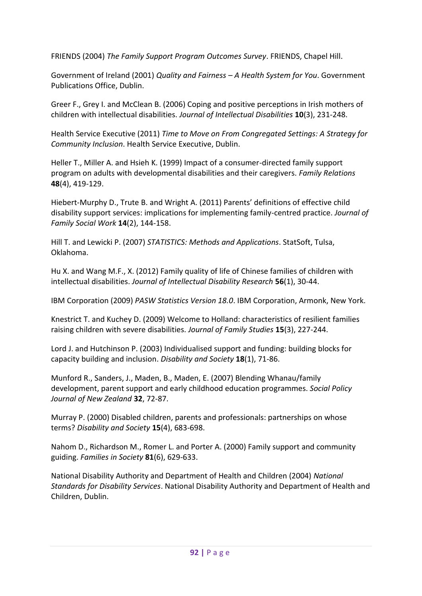FRIENDS (2004) *The Family Support Program Outcomes Survey*. FRIENDS, Chapel Hill.

Government of Ireland (2001) *Quality and Fairness – A Health System for You*. Government Publications Office, Dublin.

Greer F., Grey I. and McClean B. (2006) Coping and positive perceptions in Irish mothers of children with intellectual disabilities. *Journal of Intellectual Disabilities* **10**(3), 231-248.

Health Service Executive (2011) *Time to Move on From Congregated Settings: A Strategy for Community Inclusion*. Health Service Executive, Dublin.

Heller T., Miller A. and Hsieh K. (1999) Impact of a consumer-directed family support program on adults with developmental disabilities and their caregivers. *Family Relations* **48**(4), 419-129.

Hiebert-Murphy D., Trute B. and Wright A. (2011) Parents' definitions of effective child disability support services: implications for implementing family-centred practice. *Journal of Family Social Work* **14**(2), 144-158.

Hill T. and Lewicki P. (2007) *STATISTICS: Methods and Applications*. StatSoft, Tulsa, Oklahoma.

Hu X. and Wang M.F., X. (2012) Family quality of life of Chinese families of children with intellectual disabilities. *Journal of Intellectual Disability Research* **56**(1), 30-44.

IBM Corporation (2009) *PASW Statistics Version 18.0*. IBM Corporation, Armonk, New York.

Knestrict T. and Kuchey D. (2009) Welcome to Holland: characteristics of resilient families raising children with severe disabilities. *Journal of Family Studies* **15**(3), 227-244.

Lord J. and Hutchinson P. (2003) Individualised support and funding: building blocks for capacity building and inclusion. *Disability and Society* **18**(1), 71-86.

Munford R., Sanders, J., Maden, B., Maden, E. (2007) Blending Whanau/family development, parent support and early childhood education programmes. *Social Policy Journal of New Zealand* **32**, 72-87.

Murray P. (2000) Disabled children, parents and professionals: partnerships on whose terms? *Disability and Society* **15**(4), 683-698.

Nahom D., Richardson M., Romer L. and Porter A. (2000) Family support and community guiding. *Families in Society* **81**(6), 629-633.

National Disability Authority and Department of Health and Children (2004) *National Standards for Disability Services*. National Disability Authority and Department of Health and Children, Dublin.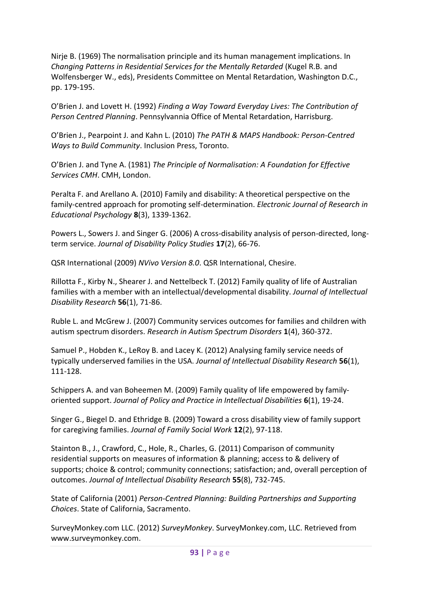Nirje B. (1969) The normalisation principle and its human management implications. In *Changing Patterns in Residential Services for the Mentally Retarded* (Kugel R.B. and Wolfensberger W., eds), Presidents Committee on Mental Retardation, Washington D.C., pp. 179-195.

O'Brien J. and Lovett H. (1992) *Finding a Way Toward Everyday Lives: The Contribution of Person Centred Planning*. Pennsylvannia Office of Mental Retardation, Harrisburg.

O'Brien J., Pearpoint J. and Kahn L. (2010) *The PATH & MAPS Handbook: Person-Centred Ways to Build Community*. Inclusion Press, Toronto.

O'Brien J. and Tyne A. (1981) *The Principle of Normalisation: A Foundation for Effective Services CMH*. CMH, London.

Peralta F. and Arellano A. (2010) Family and disability: A theoretical perspective on the family-centred approach for promoting self-determination. *Electronic Journal of Research in Educational Psychology* **8**(3), 1339-1362.

Powers L., Sowers J. and Singer G. (2006) A cross-disability analysis of person-directed, longterm service. *Journal of Disability Policy Studies* **17**(2), 66-76.

QSR International (2009) *NVivo Version 8.0*. QSR International, Chesire.

Rillotta F., Kirby N., Shearer J. and Nettelbeck T. (2012) Family quality of life of Australian families with a member with an intellectual/developmental disability. *Journal of Intellectual Disability Research* **56**(1), 71-86.

Ruble L. and McGrew J. (2007) Community services outcomes for families and children with autism spectrum disorders. *Research in Autism Spectrum Disorders* **1**(4), 360-372.

Samuel P., Hobden K., LeRoy B. and Lacey K. (2012) Analysing family service needs of typically underserved families in the USA. *Journal of Intellectual Disability Research* **56**(1), 111-128.

Schippers A. and van Boheemen M. (2009) Family quality of life empowered by familyoriented support. *Journal of Policy and Practice in Intellectual Disabilities* **6**(1), 19-24.

Singer G., Biegel D. and Ethridge B. (2009) Toward a cross disability view of family support for caregiving families. *Journal of Family Social Work* **12**(2), 97-118.

Stainton B., J., Crawford, C., Hole, R., Charles, G. (2011) Comparison of community residential supports on measures of information & planning; access to & delivery of supports; choice & control; community connections; satisfaction; and, overall perception of outcomes. *Journal of Intellectual Disability Research* **55**(8), 732-745.

State of California (2001) *Person-Centred Planning: Building Partnerships and Supporting Choices*. State of California, Sacramento.

SurveyMonkey.com LLC. (2012) *SurveyMonkey*. SurveyMonkey.com, LLC. Retrieved from www.surveymonkey.com.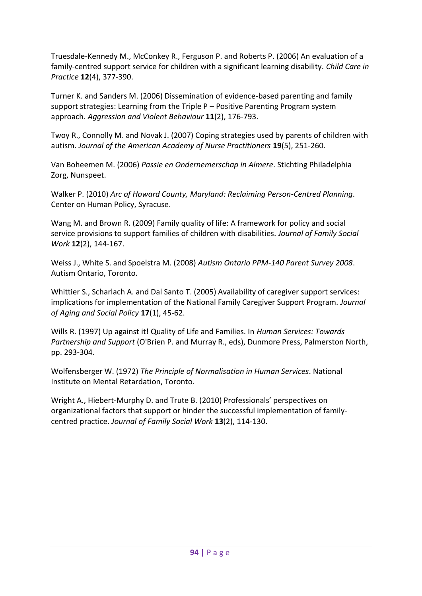Truesdale-Kennedy M., McConkey R., Ferguson P. and Roberts P. (2006) An evaluation of a family-centred support service for children with a significant learning disability. *Child Care in Practice* **12**(4), 377-390.

Turner K. and Sanders M. (2006) Dissemination of evidence-based parenting and family support strategies: Learning from the Triple P – Positive Parenting Program system approach. *Aggression and Violent Behaviour* **11**(2), 176-793.

Twoy R., Connolly M. and Novak J. (2007) Coping strategies used by parents of children with autism. *Journal of the American Academy of Nurse Practitioners* **19**(5), 251-260.

Van Boheemen M. (2006) *Passie en Ondernemerschap in Almere*. Stichting Philadelphia Zorg, Nunspeet.

Walker P. (2010) *Arc of Howard County, Maryland: Reclaiming Person-Centred Planning*. Center on Human Policy, Syracuse.

Wang M. and Brown R. (2009) Family quality of life: A framework for policy and social service provisions to support families of children with disabilities. *Journal of Family Social Work* **12**(2), 144-167.

Weiss J., White S. and Spoelstra M. (2008) *Autism Ontario PPM-140 Parent Survey 2008*. Autism Ontario, Toronto.

Whittier S., Scharlach A. and Dal Santo T. (2005) Availability of caregiver support services: implications for implementation of the National Family Caregiver Support Program. *Journal of Aging and Social Policy* **17**(1), 45-62.

Wills R. (1997) Up against it! Quality of Life and Families. In *Human Services: Towards Partnership and Support* (O'Brien P. and Murray R., eds), Dunmore Press, Palmerston North, pp. 293-304.

Wolfensberger W. (1972) *The Principle of Normalisation in Human Services*. National Institute on Mental Retardation, Toronto.

Wright A., Hiebert-Murphy D. and Trute B. (2010) Professionals' perspectives on organizational factors that support or hinder the successful implementation of familycentred practice. *Journal of Family Social Work* **13**(2), 114-130.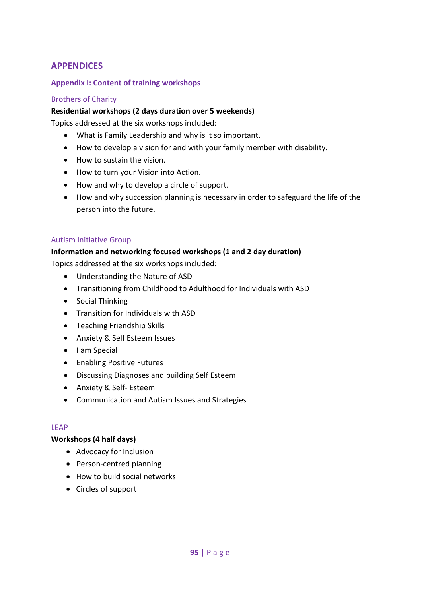## **APPENDICES**

### **Appendix I: Content of training workshops**

#### Brothers of Charity

#### **Residential workshops (2 days duration over 5 weekends)**

Topics addressed at the six workshops included:

- What is Family Leadership and why is it so important.
- How to develop a vision for and with your family member with disability.
- How to sustain the vision.
- How to turn your Vision into Action.
- How and why to develop a circle of support.
- How and why succession planning is necessary in order to safeguard the life of the person into the future.

#### Autism Initiative Group

#### **Information and networking focused workshops (1 and 2 day duration)**

Topics addressed at the six workshops included:

- Understanding the Nature of ASD
- Transitioning from Childhood to Adulthood for Individuals with ASD
- Social Thinking
- Transition for Individuals with ASD
- **•** Teaching Friendship Skills
- Anxiety & Self Esteem Issues
- I am Special
- Enabling Positive Futures
- Discussing Diagnoses and building Self Esteem
- Anxiety & Self- Esteem
- Communication and Autism Issues and Strategies

#### LEAP

#### **Workshops (4 half days)**

- Advocacy for Inclusion
- Person-centred planning
- How to build social networks
- Circles of support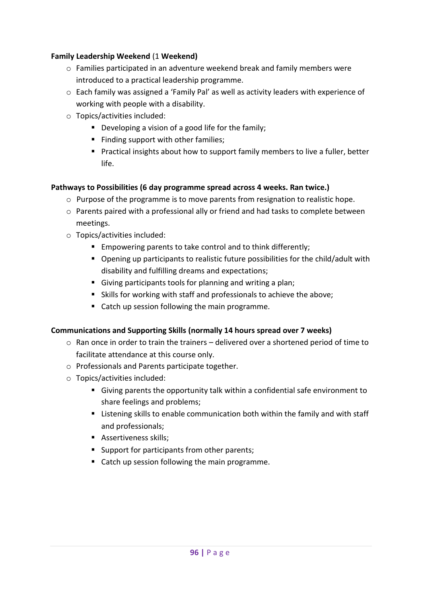### **Family Leadership Weekend** (1 **Weekend)**

- o Families participated in an adventure weekend break and family members were introduced to a practical leadership programme.
- o Each family was assigned a 'Family Pal' as well as activity leaders with experience of working with people with a disability.
- o Topics/activities included:
	- Developing a vision of a good life for the family;
	- Finding support with other families;
	- **Practical insights about how to support family members to live a fuller, better** life.

### **Pathways to Possibilities (6 day programme spread across 4 weeks. Ran twice.)**

- $\circ$  Purpose of the programme is to move parents from resignation to realistic hope.
- o Parents paired with a professional ally or friend and had tasks to complete between meetings.
- o Topics/activities included:
	- **Empowering parents to take control and to think differently;**
	- Opening up participants to realistic future possibilities for the child/adult with disability and fulfilling dreams and expectations;
	- Giving participants tools for planning and writing a plan;
	- Skills for working with staff and professionals to achieve the above;
	- Catch up session following the main programme.

### **Communications and Supporting Skills (normally 14 hours spread over 7 weeks)**

- $\circ$  Ran once in order to train the trainers delivered over a shortened period of time to facilitate attendance at this course only.
- o Professionals and Parents participate together.
- o Topics/activities included:
	- Giving parents the opportunity talk within a confidential safe environment to share feelings and problems;
	- **EXTE:** Listening skills to enable communication both within the family and with staff and professionals;
	- **Assertiveness skills;**
	- **Support for participants from other parents;**
	- Catch up session following the main programme.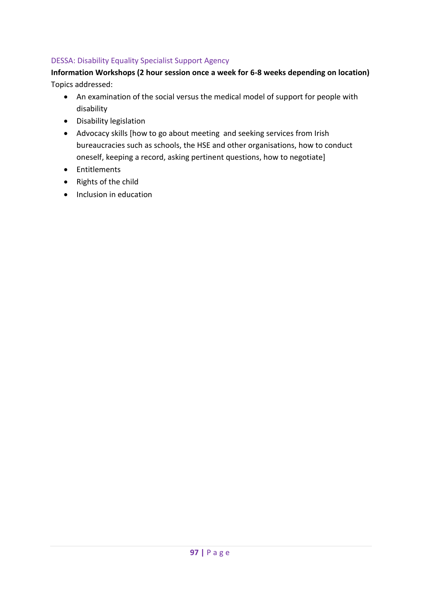## DESSA: Disability Equality Specialist Support Agency

## **Information Workshops (2 hour session once a week for 6-8 weeks depending on location)** Topics addressed:

- An examination of the social versus the medical model of support for people with disability
- Disability legislation
- Advocacy skills [how to go about meeting and seeking services from Irish bureaucracies such as schools, the HSE and other organisations, how to conduct oneself, keeping a record, asking pertinent questions, how to negotiate]
- Entitlements
- Rights of the child
- Inclusion in education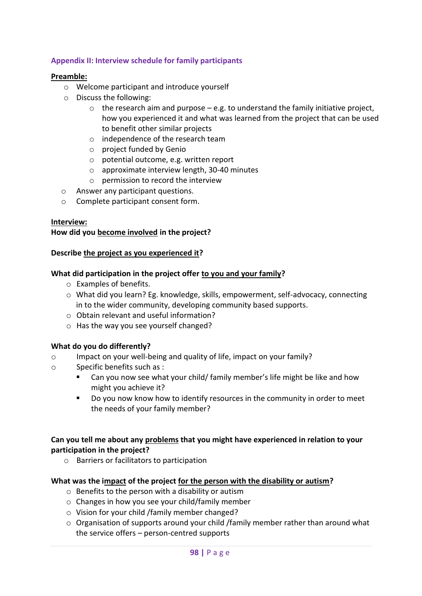### **Appendix II: Interview schedule for family participants**

### **Preamble:**

- o Welcome participant and introduce yourself
- o Discuss the following:
	- $\circ$  the research aim and purpose e.g. to understand the family initiative project, how you experienced it and what was learned from the project that can be used to benefit other similar projects
	- o independence of the research team
	- o project funded by Genio
	- o potential outcome, e.g. written report
	- o approximate interview length, 30-40 minutes
	- o permission to record the interview
- o Answer any participant questions.
- o Complete participant consent form.

### **Interview:**

### **How did you become involved in the project?**

#### **Describe the project as you experienced it?**

### **What did participation in the project offer to you and your family?**

- o Examples of benefits.
- o What did you learn? Eg. knowledge, skills, empowerment, self-advocacy, connecting in to the wider community, developing community based supports.
- o Obtain relevant and useful information?
- o Has the way you see yourself changed?

### **What do you do differently?**

- o Impact on your well-being and quality of life, impact on your family?
- o Specific benefits such as :
	- Can you now see what your child/ family member's life might be like and how might you achieve it?
	- Do you now know how to identify resources in the community in order to meet the needs of your family member?

### **Can you tell me about any problems that you might have experienced in relation to your participation in the project?**

o Barriers or facilitators to participation

### **What was the impact of the project for the person with the disability or autism?**

- o Benefits to the person with a disability or autism
- o Changes in how you see your child/family member
- o Vision for your child /family member changed?
- $\circ$  Organisation of supports around your child /family member rather than around what the service offers – person-centred supports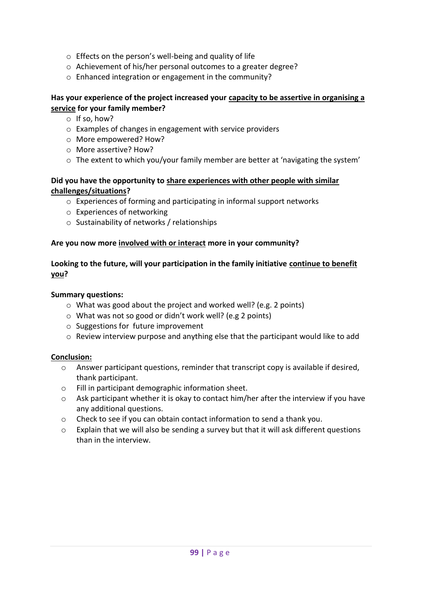- o Effects on the person's well-being and quality of life
- o Achievement of his/her personal outcomes to a greater degree?
- o Enhanced integration or engagement in the community?

### **Has your experience of the project increased your capacity to be assertive in organising a service for your family member?**

- o If so, how?
- o Examples of changes in engagement with service providers
- o More empowered? How?
- o More assertive? How?
- $\circ$  The extent to which you/your family member are better at 'navigating the system'

### **Did you have the opportunity to share experiences with other people with similar challenges/situations?**

- o Experiences of forming and participating in informal support networks
- o Experiences of networking
- o Sustainability of networks / relationships

## **Are you now more involved with or interact more in your community?**

## **Looking to the future, will your participation in the family initiative continue to benefit you?**

### **Summary questions:**

- o What was good about the project and worked well? (e.g. 2 points)
- o What was not so good or didn't work well? (e.g 2 points)
- o Suggestions for future improvement
- o Review interview purpose and anything else that the participant would like to add

### **Conclusion:**

- o Answer participant questions, reminder that transcript copy is available if desired, thank participant.
- o Fill in participant demographic information sheet.
- o Ask participant whether it is okay to contact him/her after the interview if you have any additional questions.
- o Check to see if you can obtain contact information to send a thank you.
- $\circ$  Explain that we will also be sending a survey but that it will ask different questions than in the interview.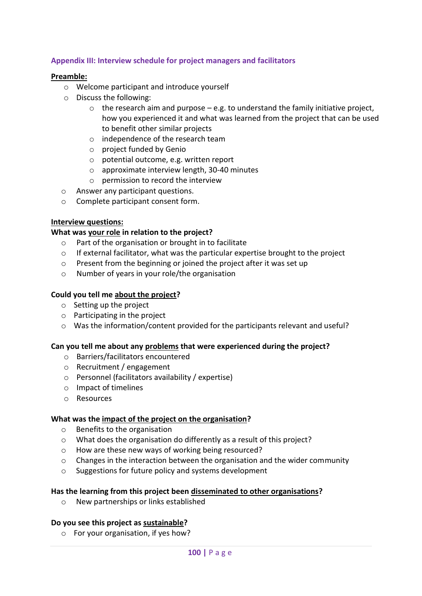## **Appendix III: Interview schedule for project managers and facilitators**

#### **Preamble:**

- o Welcome participant and introduce yourself
- o Discuss the following:
	- $\circ$  the research aim and purpose e.g. to understand the family initiative project, how you experienced it and what was learned from the project that can be used to benefit other similar projects
	- o independence of the research team
	- o project funded by Genio
	- o potential outcome, e.g. written report
	- o approximate interview length, 30-40 minutes
	- o permission to record the interview
- o Answer any participant questions.
- o Complete participant consent form.

### **Interview questions:**

### **What was your role in relation to the project?**

- o Part of the organisation or brought in to facilitate
- $\circ$  If external facilitator, what was the particular expertise brought to the project
- o Present from the beginning or joined the project after it was set up
- o Number of years in your role/the organisation

## **Could you tell me about the project?**

- o Setting up the project
- o Participating in the project
- o Was the information/content provided for the participants relevant and useful?

### **Can you tell me about any problems that were experienced during the project?**

- o Barriers/facilitators encountered
- o Recruitment / engagement
- o Personnel (facilitators availability / expertise)
- o Impact of timelines
- o Resources

### **What was the impact of the project on the organisation?**

- o Benefits to the organisation
- o What does the organisation do differently as a result of this project?
- o How are these new ways of working being resourced?
- o Changes in the interaction between the organisation and the wider community
- o Suggestions for future policy and systems development

### **Has the learning from this project been disseminated to other organisations?**

o New partnerships or links established

### **Do you see this project as sustainable?**

o For your organisation, if yes how?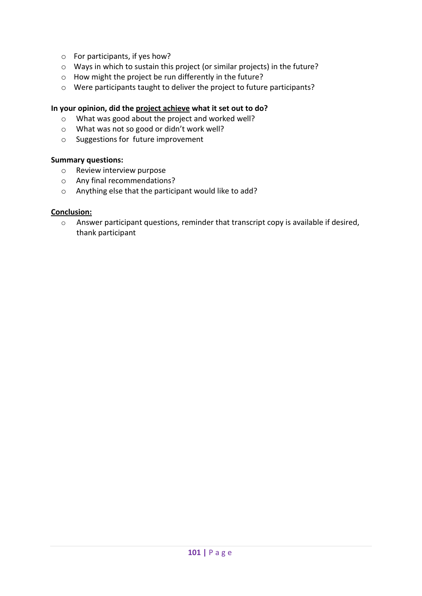- o For participants, if yes how?
- o Ways in which to sustain this project (or similar projects) in the future?
- o How might the project be run differently in the future?
- o Were participants taught to deliver the project to future participants?

## **In your opinion, did the project achieve what it set out to do?**

- o What was good about the project and worked well?
- o What was not so good or didn't work well?
- o Suggestions for future improvement

### **Summary questions:**

- o Review interview purpose
- o Any final recommendations?
- o Anything else that the participant would like to add?

#### **Conclusion:**

o Answer participant questions, reminder that transcript copy is available if desired, thank participant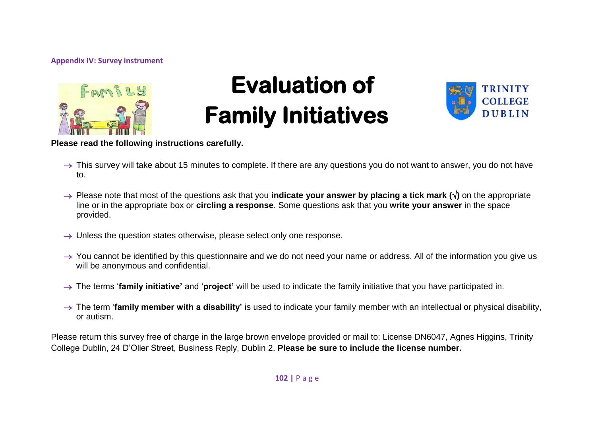#### **Appendix IV: Survey instrument**



# **Evaluation of Family Initiatives**



**Please read the following instructions carefully.**

- $\rightarrow$  This survey will take about 15 minutes to complete. If there are any questions you do not want to answer, you do not have to.
- → Please note that most of the questions ask that you **indicate your answer by placing a tick mark (** $\sqrt{$ **)** on the appropriate line or in the appropriate box or **circling a response**. Some questions ask that you **write your answer** in the space provided.
- $\rightarrow$  Unless the question states otherwise, please select only one response.
- $\rightarrow$  You cannot be identified by this questionnaire and we do not need your name or address. All of the information you give us will be anonymous and confidential.
- → The terms **'family initiative'** and '**project'** will be used to indicate the family initiative that you have participated in.
- $\rightarrow$  The term '**family member with a disability'** is used to indicate your family member with an intellectual or physical disability. or autism.

Please return this survey free of charge in the large brown envelope provided or mail to: License DN6047, Agnes Higgins, Trinity College Dublin, 24 D'Olier Street, Business Reply, Dublin 2. **Please be sure to include the license number.**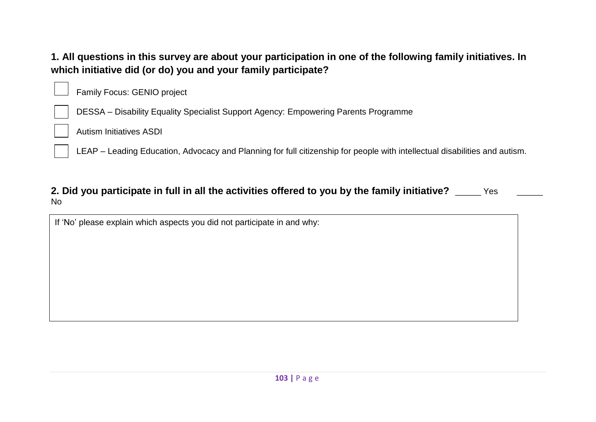## **1. All questions in this survey are about your participation in one of the following family initiatives. In which initiative did (or do) you and your family participate?**

Family Focus: GENIO project

DESSA – Disability Equality Specialist Support Agency: Empowering Parents Programme

Autism Initiatives ASDI

LEAP – Leading Education, Advocacy and Planning for full citizenship for people with intellectual disabilities and autism.

## **2. Did you participate in full in all the activities offered to you by the family initiative?** \_\_\_\_\_\_ Yes No

If 'No' please explain which aspects you did not participate in and why: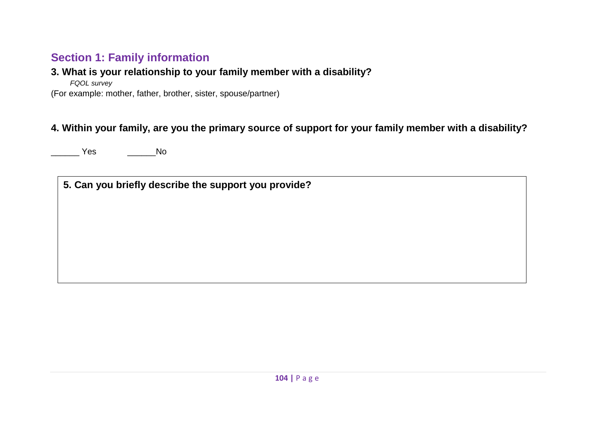## **Section 1: Family information**

## **3. What is your relationship to your family member with a disability?**

*FQOL survey*

(For example: mother, father, brother, sister, spouse/partner)

## **4. Within your family, are you the primary source of support for your family member with a disability?**

Yes No

**5. Can you briefly describe the support you provide?**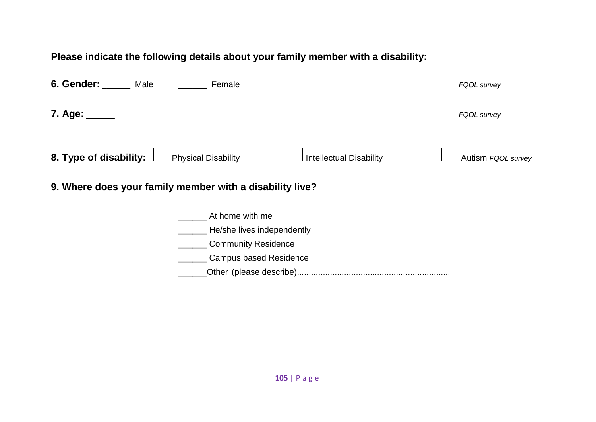**Please indicate the following details about your family member with a disability:**

| 7. Age:<br>FQOL survey                                                                                       |  |
|--------------------------------------------------------------------------------------------------------------|--|
| 8. Type of disability:<br><b>Physical Disability</b><br><b>Intellectual Disability</b><br>Autism FQOL survey |  |
| 9. Where does your family member with a disability live?                                                     |  |
| At home with me                                                                                              |  |
| He/she lives independently                                                                                   |  |
| <b>Community Residence</b>                                                                                   |  |
| <b>Campus based Residence</b>                                                                                |  |
|                                                                                                              |  |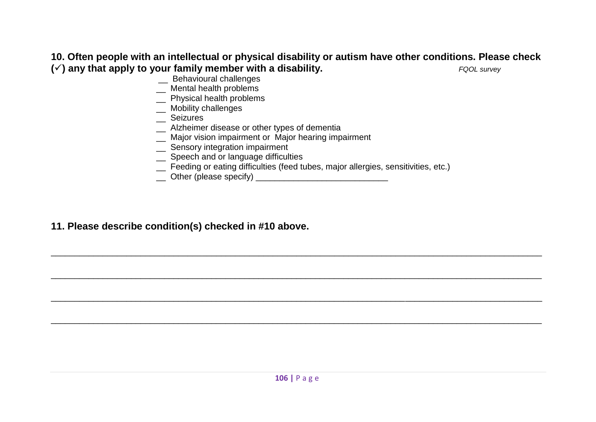## **10. Often people with an intellectual or physical disability or autism have other conditions. Please check**   $(\checkmark)$  any that apply to your family member with a disability.

- \_\_ Behavioural challenges
- \_\_ Mental health problems
- \_\_ Physical health problems
- \_\_ Mobility challenges
- \_\_ Seizures
- \_\_ Alzheimer disease or other types of dementia
- \_\_ Major vision impairment or Major hearing impairment
- \_ Sensory integration impairment
- \_\_ Speech and or language difficulties
- \_\_ Feeding or eating difficulties (feed tubes, major allergies, sensitivities, etc.)

\_\_\_\_\_\_\_\_\_\_\_\_\_\_\_\_\_\_\_\_\_\_\_\_\_\_\_\_\_\_\_\_\_\_\_\_\_\_\_\_\_\_\_\_\_\_\_\_\_\_\_\_\_\_\_\_\_\_\_\_\_\_\_\_\_\_\_\_\_\_\_\_\_\_\_\_\_\_\_\_\_\_\_\_\_\_\_\_\_\_\_\_\_\_\_\_\_\_\_\_\_\_\_\_

\_\_\_\_\_\_\_\_\_\_\_\_\_\_\_\_\_\_\_\_\_\_\_\_\_\_\_\_\_\_\_\_\_\_\_\_\_\_\_\_\_\_\_\_\_\_\_\_\_\_\_\_\_\_\_\_\_\_\_\_\_\_\_\_\_\_\_\_\_\_\_\_\_\_\_\_\_\_\_\_\_\_\_\_\_\_\_\_\_\_\_\_\_\_\_\_\_\_\_\_\_\_\_\_

\_\_\_\_\_\_\_\_\_\_\_\_\_\_\_\_\_\_\_\_\_\_\_\_\_\_\_\_\_\_\_\_\_\_\_\_\_\_\_\_\_\_\_\_\_\_\_\_\_\_\_\_\_\_\_\_\_\_\_\_\_\_\_\_\_\_\_\_\_\_\_\_\_\_\_\_\_\_\_\_\_\_\_\_\_\_\_\_\_\_\_\_\_\_\_\_\_\_\_\_\_\_\_\_

\_\_\_\_\_\_\_\_\_\_\_\_\_\_\_\_\_\_\_\_\_\_\_\_\_\_\_\_\_\_\_\_\_\_\_\_\_\_\_\_\_\_\_\_\_\_\_\_\_\_\_\_\_\_\_\_\_\_\_\_\_\_\_\_\_\_\_\_\_\_\_\_\_\_\_\_\_\_\_\_\_\_\_\_\_\_\_\_\_\_\_\_\_\_\_\_\_\_\_\_\_\_\_\_

\_\_ Other (please specify) \_\_\_\_\_\_\_\_\_\_\_\_\_\_\_\_\_\_\_\_\_\_\_\_\_\_\_\_

## **11. Please describe condition(s) checked in #10 above.**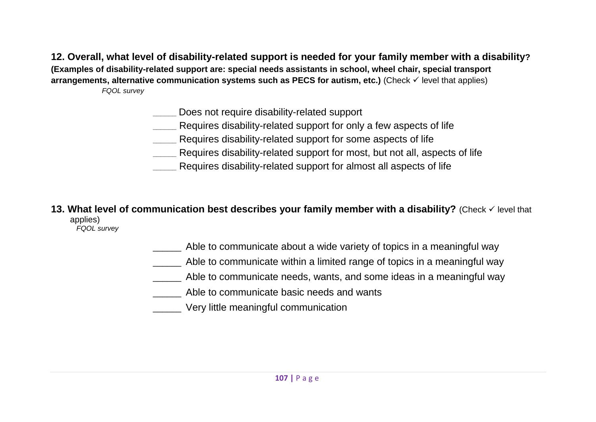**12. Overall, what level of disability-related support is needed for your family member with a disability?**

**(Examples of disability-related support are: special needs assistants in school, wheel chair, special transport** 

**arrangements, alternative communication systems such as PECS for autism, etc.)** (Check  $\checkmark$  level that applies) *FQOL survey*

**\_\_\_\_\_\_** Does not require disability-related support

- **\_\_\_\_\_\_** Requires disability-related support for only a few aspects of life
- **\_\_\_\_\_\_** Requires disability-related support for some aspects of life

**\_\_\_\_\_\_** Requires disability-related support for most, but not all, aspects of life

**\_\_\_\_\_\_** Requires disability-related support for almost all aspects of life

**13. What level of communication best describes your family member with a disability?** (Check  $\checkmark$  level that applies) *FQOL survey*

- Able to communicate about a wide variety of topics in a meaningful way
- Able to communicate within a limited range of topics in a meaningful way
- Able to communicate needs, wants, and some ideas in a meaningful way
- Able to communicate basic needs and wants
- \_\_\_\_\_\_ Very little meaningful communication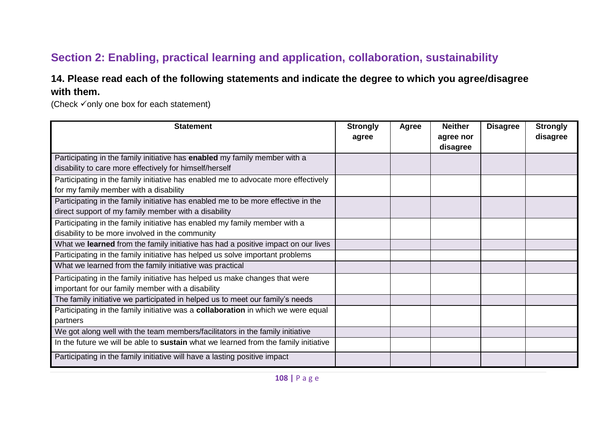## **Section 2: Enabling, practical learning and application, collaboration, sustainability**

## **14. Please read each of the following statements and indicate the degree to which you agree/disagree with them.**

(Check  $\checkmark$  only one box for each statement)

| <b>Statement</b>                                                                    | <b>Strongly</b> | Agree | <b>Neither</b> | <b>Disagree</b> | <b>Strongly</b> |
|-------------------------------------------------------------------------------------|-----------------|-------|----------------|-----------------|-----------------|
|                                                                                     | agree           |       | agree nor      |                 | disagree        |
|                                                                                     |                 |       | disagree       |                 |                 |
| Participating in the family initiative has enabled my family member with a          |                 |       |                |                 |                 |
| disability to care more effectively for himself/herself                             |                 |       |                |                 |                 |
| Participating in the family initiative has enabled me to advocate more effectively  |                 |       |                |                 |                 |
| for my family member with a disability                                              |                 |       |                |                 |                 |
| Participating in the family initiative has enabled me to be more effective in the   |                 |       |                |                 |                 |
| direct support of my family member with a disability                                |                 |       |                |                 |                 |
| Participating in the family initiative has enabled my family member with a          |                 |       |                |                 |                 |
| disability to be more involved in the community                                     |                 |       |                |                 |                 |
| What we learned from the family initiative has had a positive impact on our lives   |                 |       |                |                 |                 |
| Participating in the family initiative has helped us solve important problems       |                 |       |                |                 |                 |
| What we learned from the family initiative was practical                            |                 |       |                |                 |                 |
| Participating in the family initiative has helped us make changes that were         |                 |       |                |                 |                 |
| important for our family member with a disability                                   |                 |       |                |                 |                 |
| The family initiative we participated in helped us to meet our family's needs       |                 |       |                |                 |                 |
| Participating in the family initiative was a collaboration in which we were equal   |                 |       |                |                 |                 |
| partners                                                                            |                 |       |                |                 |                 |
| We got along well with the team members/facilitators in the family initiative       |                 |       |                |                 |                 |
| In the future we will be able to sustain what we learned from the family initiative |                 |       |                |                 |                 |
| Participating in the family initiative will have a lasting positive impact          |                 |       |                |                 |                 |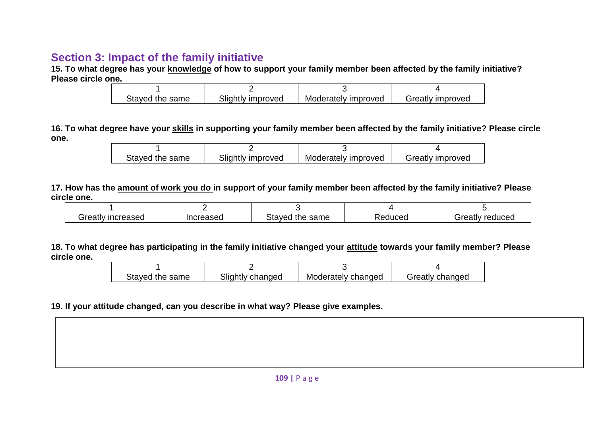## **Section 3: Impact of the family initiative**

**15. To what degree has your knowledge of how to support your family member been affected by the family initiative? Please circle one.**

| Stayed the same | Slightly improved | Moderately improved | Greatly improved |
|-----------------|-------------------|---------------------|------------------|

**16. To what degree have your skills in supporting your family member been affected by the family initiative? Please circle one.**

| Stayed the same | Slightly improved | Moderately improved | Greatly improved |
|-----------------|-------------------|---------------------|------------------|

**17. How has the amount of work you do in support of your family member been affected by the family initiative? Please circle one.**

| ' increased<br>Greatly | ncreased | Staved<br>l the same | Reduced | ⊤reduced<br>reatlyٺ |  |
|------------------------|----------|----------------------|---------|---------------------|--|

**18. To what degree has participating in the family initiative changed your attitude towards your family member? Please circle one.**

| Stayed the same | Slightly changed | Moderately changed | Greatly changed |
|-----------------|------------------|--------------------|-----------------|

**19. If your attitude changed, can you describe in what way? Please give examples.**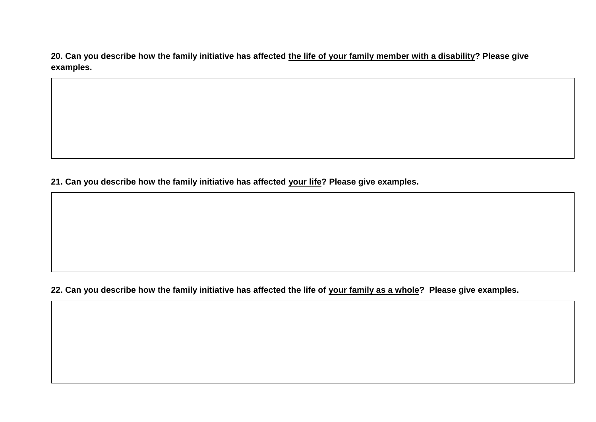**20. Can you describe how the family initiative has affected the life of your family member with a disability? Please give examples.**

**21. Can you describe how the family initiative has affected your life? Please give examples.**

**22. Can you describe how the family initiative has affected the life of your family as a whole? Please give examples.**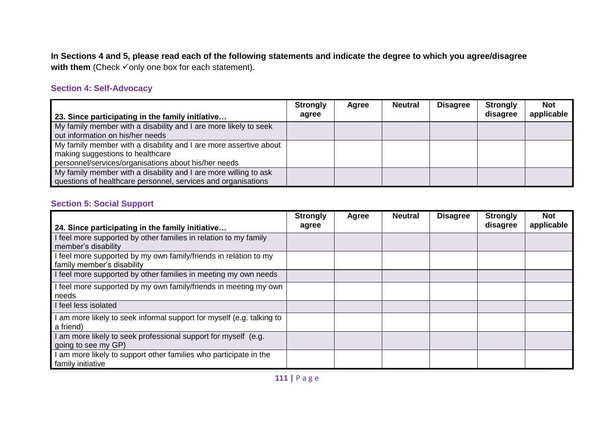**In Sections 4 and 5, please read each of the following statements and indicate the degree to which you agree/disagree**  with them (Check  $\checkmark$  only one box for each statement).

## **Section 4: Self-Advocacy**

| 23. Since participating in the family initiative                                                                                                              | <b>Strongly</b><br>agree | Agree | <b>Neutral</b> | <b>Disagree</b> | <b>Strongly</b><br>disagree | Not <b>No</b><br>applicable |
|---------------------------------------------------------------------------------------------------------------------------------------------------------------|--------------------------|-------|----------------|-----------------|-----------------------------|-----------------------------|
| My family member with a disability and I are more likely to seek<br>out information on his/her needs                                                          |                          |       |                |                 |                             |                             |
| My family member with a disability and I are more assertive about<br>making suggestions to healthcare<br>personnel/services/organisations about his/her needs |                          |       |                |                 |                             |                             |
| My family member with a disability and I are more willing to ask<br>questions of healthcare personnel, services and organisations                             |                          |       |                |                 |                             |                             |

## **Section 5: Social Support**

| 24. Since participating in the family initiative                                               | <b>Strongly</b><br>agree | Agree | <b>Neutral</b> | <b>Disagree</b> | <b>Strongly</b><br>disagree | <b>Not</b><br>applicable |
|------------------------------------------------------------------------------------------------|--------------------------|-------|----------------|-----------------|-----------------------------|--------------------------|
| I feel more supported by other families in relation to my family<br>member's disability        |                          |       |                |                 |                             |                          |
| I feel more supported by my own family/friends in relation to my<br>family member's disability |                          |       |                |                 |                             |                          |
| I feel more supported by other families in meeting my own needs                                |                          |       |                |                 |                             |                          |
| I feel more supported by my own family/friends in meeting my own<br>needs                      |                          |       |                |                 |                             |                          |
| I feel less isolated                                                                           |                          |       |                |                 |                             |                          |
| am more likely to seek informal support for myself (e.g. talking to<br>a friend)               |                          |       |                |                 |                             |                          |
| am more likely to seek professional support for myself (e.g.<br>going to see my GP)            |                          |       |                |                 |                             |                          |
| am more likely to support other families who participate in the<br>family initiative           |                          |       |                |                 |                             |                          |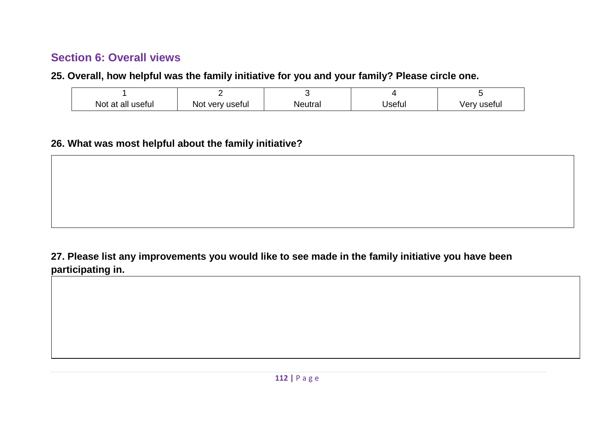## **Section 6: Overall views**

**25. Overall, how helpful was the family initiative for you and your family? Please circle one.**

| Not at all useful | very useful<br>NO. | Neutral | ∃lsefu∟ | ⊺usefu.<br>'erv |
|-------------------|--------------------|---------|---------|-----------------|

## **26. What was most helpful about the family initiative?**

## **27. Please list any improvements you would like to see made in the family initiative you have been participating in.**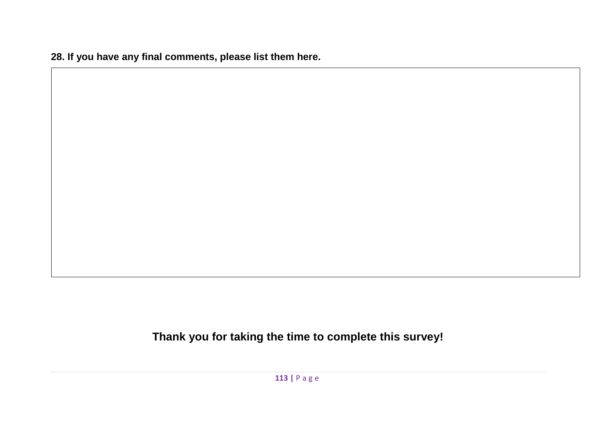**28. If you have any final comments, please list them here.**

**Thank you for taking the time to complete this survey!**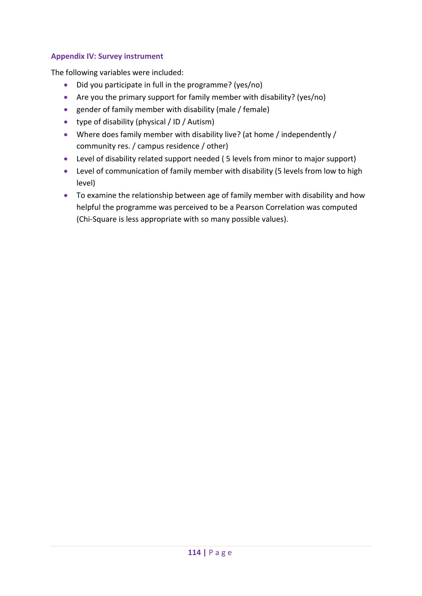## **Appendix IV: Survey instrument**

The following variables were included:

- Did you participate in full in the programme? (yes/no)
- Are you the primary support for family member with disability? (yes/no)
- gender of family member with disability (male / female)
- type of disability (physical / ID / Autism)
- Where does family member with disability live? (at home / independently / community res. / campus residence / other)
- Level of disability related support needed ( 5 levels from minor to major support)
- Level of communication of family member with disability (5 levels from low to high level)
- To examine the relationship between age of family member with disability and how helpful the programme was perceived to be a Pearson Correlation was computed (Chi-Square is less appropriate with so many possible values).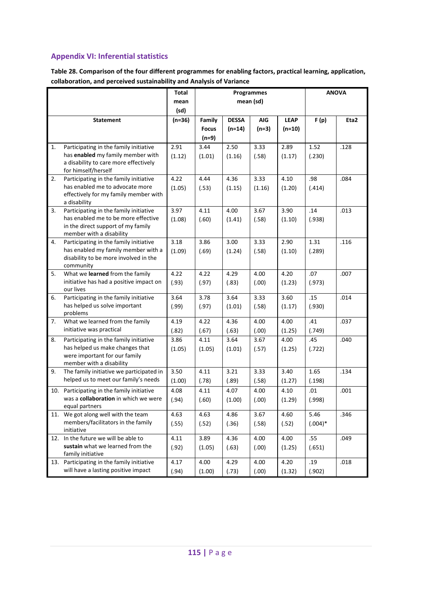## **Appendix VI: Inferential statistics**

**Table 28. Comparison of the four different programmes for enabling factors, practical learning, application, collaboration, and perceived sustainability and Analysis of Variance**

|     |                                                                              | Total        |              |              | <b>Programmes</b> |             |           | <b>ANOVA</b> |
|-----|------------------------------------------------------------------------------|--------------|--------------|--------------|-------------------|-------------|-----------|--------------|
|     |                                                                              | mean<br>(sd) |              |              | mean (sd)         |             |           |              |
|     | <b>Statement</b>                                                             | $(n=36)$     | Family       | <b>DESSA</b> | <b>AIG</b>        | <b>LEAP</b> | F(p)      | Eta2         |
|     |                                                                              |              | <b>Focus</b> | $(n=14)$     | $(n=3)$           | $(n=10)$    |           |              |
|     |                                                                              |              | $(n=9)$      |              |                   |             |           |              |
| 1.  | Participating in the family initiative                                       | 2.91         | 3.44         | 2.50         | 3.33              | 2.89        | 1.52      | .128         |
|     | has enabled my family member with<br>a disability to care more effectively   | (1.12)       | (1.01)       | (1.16)       | (.58)             | (1.17)      | (.230)    |              |
|     | for himself/herself                                                          |              |              |              |                   |             |           |              |
| 2.  | Participating in the family initiative                                       | 4.22         | 4.44         | 4.36         | 3.33              | 4.10        | .98       | .084         |
|     | has enabled me to advocate more<br>effectively for my family member with     | (1.05)       | (.53)        | (1.15)       | (1.16)            | (1.20)      | (.414)    |              |
|     | a disability                                                                 |              |              |              |                   |             |           |              |
| 3.  | Participating in the family initiative                                       | 3.97         | 4.11         | 4.00         | 3.67              | 3.90        | .14       | .013         |
|     | has enabled me to be more effective<br>in the direct support of my family    | (1.08)       | (.60)        | (1.41)       | (.58)             | (1.10)      | (.938)    |              |
|     | member with a disability                                                     |              |              |              |                   |             |           |              |
| 4.  | Participating in the family initiative                                       | 3.18         | 3.86         | 3.00         | 3.33              | 2.90        | 1.31      | .116         |
|     | has enabled my family member with a<br>disability to be more involved in the | (1.09)       | (.69)        | (1.24)       | (.58)             | (1.10)      | (.289)    |              |
|     | community                                                                    |              |              |              |                   |             |           |              |
| 5.  | What we learned from the family                                              | 4.22         | 4.22         | 4.29         | 4.00              | 4.20        | .07       | .007         |
|     | initiative has had a positive impact on<br>our lives                         | (.93)        | (.97)        | (.83)        | (.00)             | (1.23)      | (.973)    |              |
| 6.  | Participating in the family initiative                                       | 3.64         | 3.78         | 3.64         | 3.33              | 3.60        | .15       | .014         |
|     | has helped us solve important                                                | (.99)        | (.97)        | (1.01)       | (.58)             | (1.17)      | (.930)    |              |
| 7.  | problems<br>What we learned from the family                                  | 4.19         | 4.22         | 4.36         | 4.00              | 4.00        | .41       | .037         |
|     | initiative was practical                                                     | (.82)        | (.67)        | (.63)        | (.00)             | (1.25)      | (.749)    |              |
| 8.  | Participating in the family initiative                                       | 3.86         | 4.11         | 3.64         | 3.67              | 4.00        | .45       | .040         |
|     | has helped us make changes that                                              | (1.05)       | (1.05)       | (1.01)       | (.57)             | (1.25)      | (.722)    |              |
|     | were important for our family<br>member with a disability                    |              |              |              |                   |             |           |              |
| 9.  | The family initiative we participated in                                     | 3.50         | 4.11         | 3.21         | 3.33              | 3.40        | 1.65      | .134         |
|     | helped us to meet our family's needs                                         | (1.00)       | (.78)        | (.89)        | (.58)             | (1.27)      | (.198)    |              |
| 10. | Participating in the family initiative                                       | 4.08         | 4.11         | 4.07         | 4.00              | 4.10        | .01       | .001         |
|     | was a collaboration in which we were<br>equal partners                       | (.94)        | (.60)        | (1.00)       | (.00)             | (1.29)      | (.998)    |              |
|     | 11. We got along well with the team                                          | 4.63         | 4.63         | 4.86         | 3.67              | 4.60        | 5.46      | .346         |
|     | members/facilitators in the family                                           | (.55)        | (.52)        | (.36)        | (.58)             | (.52)       | $(.004)*$ |              |
| 12. | initiative<br>In the future we will be able to                               | 4.11         | 3.89         | 4.36         | 4.00              | 4.00        | .55       | .049         |
|     | sustain what we learned from the                                             | (.92)        | (1.05)       | (.63)        | (.00)             | (1.25)      | (.651)    |              |
|     | family initiative                                                            |              |              |              |                   |             |           |              |
|     | 13. Participating in the family initiative                                   | 4.17         | 4.00         | 4.29         | 4.00              | 4.20        | .19       | .018         |
|     | will have a lasting positive impact                                          | (.94)        | (1.00)       | (.73)        | (.00)             | (1.32)      | (.902)    |              |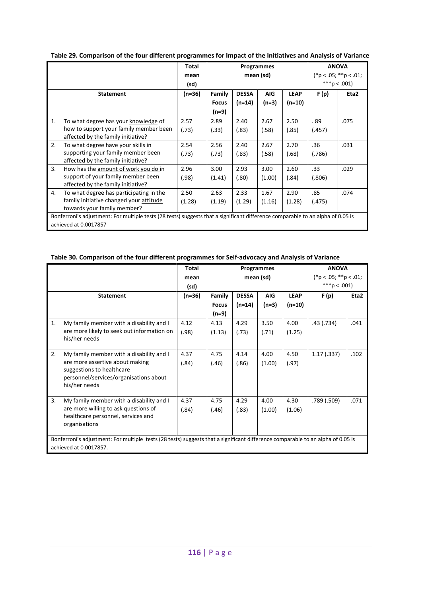|    |                                                                                                                                 | Total    |              |              | Programmes |             |              | <b>ANOVA</b>            |
|----|---------------------------------------------------------------------------------------------------------------------------------|----------|--------------|--------------|------------|-------------|--------------|-------------------------|
|    |                                                                                                                                 | mean     |              |              | mean (sd)  |             |              | $(*p < .05; **p < .01;$ |
|    |                                                                                                                                 | (sd)     |              |              |            |             | ***p < .001) |                         |
|    | <b>Statement</b>                                                                                                                | $(n=36)$ | Family       | <b>DESSA</b> | <b>AIG</b> | <b>LEAP</b> | F(p)         | Eta2                    |
|    |                                                                                                                                 |          | <b>Focus</b> | $(n=14)$     | $(n=3)$    | (n=10)      |              |                         |
|    |                                                                                                                                 |          | (n=9)        |              |            |             |              |                         |
| 1. | To what degree has your knowledge of                                                                                            | 2.57     | 2.89         | 2.40         | 2.67       | 2.50        | .89          | .075                    |
|    | how to support your family member been                                                                                          | (.73)    | (.33)        | (.83)        | (.58)      | (.85)       | (.457)       |                         |
|    | affected by the family initiative?                                                                                              |          |              |              |            |             |              |                         |
| 2. | To what degree have your skills in                                                                                              | 2.54     | 2.56         | 2.40         | 2.67       | 2.70        | .36          | .031                    |
|    | supporting your family member been                                                                                              | (.73)    | (.73)        | (.83)        | (.58)      | (.68)       | (.786)       |                         |
|    | affected by the family initiative?                                                                                              |          |              |              |            |             |              |                         |
| 3. | How has the amount of work you do in                                                                                            | 2.96     | 3.00         | 2.93         | 3.00       | 2.60        | .33          | .029                    |
|    | support of your family member been                                                                                              | (.98)    | (1.41)       | (.80)        | (1.00)     | (.84)       | (.806)       |                         |
|    | affected by the family initiative?                                                                                              |          |              |              |            |             |              |                         |
| 4. | To what degree has participating in the                                                                                         | 2.50     | 2.63         | 2.33         | 1.67       | 2.90        | .85          | .074                    |
|    | family initiative changed your attitude                                                                                         | (1.28)   | (1.19)       | (1.29)       | (1.16)     | (1.28)      | (.475)       |                         |
|    | towards your family member?                                                                                                     |          |              |              |            |             |              |                         |
|    | Bonferroni's adjustment: For multiple tests (28 tests) suggests that a significant difference comparable to an alpha of 0.05 is |          |              |              |            |             |              |                         |
|    | achieved at 0.0017857                                                                                                           |          |              |              |            |             |              |                         |

#### **Table 30. Comparison of the four different programmes for Self-advocacy and Analysis of Variance**

|                                                                                                                                 |                                            | <b>Total</b> | Programmes   |              |            | <b>ANOVA</b>            |              |      |
|---------------------------------------------------------------------------------------------------------------------------------|--------------------------------------------|--------------|--------------|--------------|------------|-------------------------|--------------|------|
|                                                                                                                                 |                                            | mean         | mean (sd)    |              |            | $(*p < .05; **p < .01;$ |              |      |
|                                                                                                                                 |                                            | (sd)         |              |              |            |                         | ***p < .001) |      |
|                                                                                                                                 | <b>Statement</b>                           | $(n=36)$     | Family       | <b>DESSA</b> | <b>AIG</b> | <b>LEAP</b>             | F(p)         | Eta2 |
|                                                                                                                                 |                                            |              | <b>Focus</b> | $(n=14)$     | $(n=3)$    | $(n=10)$                |              |      |
|                                                                                                                                 |                                            |              | $(n=9)$      |              |            |                         |              |      |
| 1.                                                                                                                              | My family member with a disability and I   | 4.12         | 4.13         | 4.29         | 3.50       | 4.00                    | .43 (.734)   | .041 |
|                                                                                                                                 | are more likely to seek out information on | (.98)        | (1.13)       | (.73)        | (.71)      | (1.25)                  |              |      |
|                                                                                                                                 | his/her needs                              |              |              |              |            |                         |              |      |
| 2.                                                                                                                              | My family member with a disability and I   | 4.37         | 4.75         | 4.14         | 4.00       | 4.50                    | 1.17(0.337)  | .102 |
|                                                                                                                                 | are more assertive about making            |              |              |              |            |                         |              |      |
|                                                                                                                                 | suggestions to healthcare                  | (.84)        | (.46)        | (.86)        | (1.00)     | (.97)                   |              |      |
|                                                                                                                                 | personnel/services/organisations about     |              |              |              |            |                         |              |      |
|                                                                                                                                 | his/her needs                              |              |              |              |            |                         |              |      |
|                                                                                                                                 |                                            |              |              |              |            |                         |              |      |
| 3.                                                                                                                              | My family member with a disability and I   | 4.37         | 4.75         | 4.29         | 4.00       | 4.30                    | .789 (.509)  | .071 |
|                                                                                                                                 | are more willing to ask questions of       | (.84)        | (.46)        | (.83)        | (1.00)     | (1.06)                  |              |      |
|                                                                                                                                 | healthcare personnel, services and         |              |              |              |            |                         |              |      |
|                                                                                                                                 | organisations                              |              |              |              |            |                         |              |      |
|                                                                                                                                 |                                            |              |              |              |            |                         |              |      |
| Bonferroni's adjustment: For multiple tests (28 tests) suggests that a significant difference comparable to an alpha of 0.05 is |                                            |              |              |              |            |                         |              |      |
| achieved at 0.0017857.                                                                                                          |                                            |              |              |              |            |                         |              |      |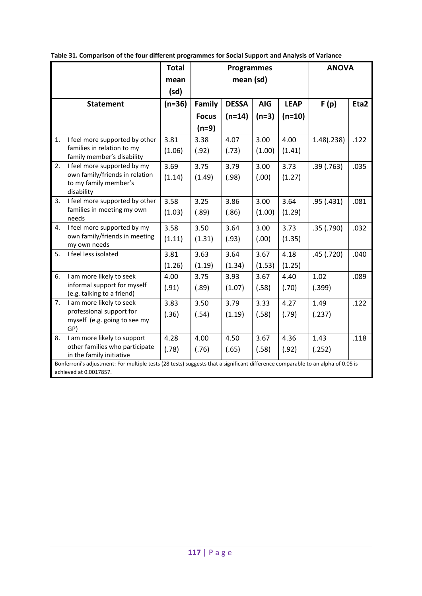|                        |                                                                                                                                                             | <b>Total</b> | <b>Programmes</b> |              |            |             | <b>ANOVA</b> |      |
|------------------------|-------------------------------------------------------------------------------------------------------------------------------------------------------------|--------------|-------------------|--------------|------------|-------------|--------------|------|
|                        |                                                                                                                                                             | mean         | mean (sd)         |              |            |             |              |      |
|                        |                                                                                                                                                             | (sd)         |                   |              |            |             |              |      |
|                        | <b>Statement</b>                                                                                                                                            | $(n=36)$     | Family            | <b>DESSA</b> | <b>AIG</b> | <b>LEAP</b> | F(p)         | Eta2 |
|                        |                                                                                                                                                             |              | <b>Focus</b>      | $(n=14)$     | $(n=3)$    | $(n=10)$    |              |      |
|                        |                                                                                                                                                             |              | $(n=9)$           |              |            |             |              |      |
| 1.                     | I feel more supported by other                                                                                                                              | 3.81         | 3.38              | 4.07         | 3.00       | 4.00        | 1.48(.238)   | .122 |
|                        | families in relation to my<br>family member's disability                                                                                                    | (1.06)       | (.92)             | (.73)        | (1.00)     | (1.41)      |              |      |
| 2.                     | I feel more supported by my                                                                                                                                 | 3.69         | 3.75              | 3.79         | 3.00       | 3.73        | .39(.763)    | .035 |
|                        | own family/friends in relation<br>to my family member's                                                                                                     | (1.14)       | (1.49)            | (.98)        | (.00)      | (1.27)      |              |      |
|                        | disability                                                                                                                                                  |              |                   |              |            |             |              |      |
| 3.                     | I feel more supported by other                                                                                                                              | 3.58         | 3.25              | 3.86         | 3.00       | 3.64        | .95(0.431)   | .081 |
|                        | families in meeting my own<br>needs                                                                                                                         | (1.03)       | (.89)             | (.86)        | (1.00)     | (1.29)      |              |      |
| 4.                     | I feel more supported by my                                                                                                                                 | 3.58         | 3.50              | 3.64         | 3.00       | 3.73        | .35(.790)    | .032 |
|                        | own family/friends in meeting<br>my own needs                                                                                                               | (1.11)       | (1.31)            | (.93)        | (.00)      | (1.35)      |              |      |
| 5.                     | I feel less isolated                                                                                                                                        | 3.81         | 3.63              | 3.64         | 3.67       | 4.18        | .45(.720)    | .040 |
|                        |                                                                                                                                                             | (1.26)       | (1.19)            | (1.34)       | (1.53)     | (1.25)      |              |      |
| 6.                     | I am more likely to seek                                                                                                                                    | 4.00         | 3.75              | 3.93         | 3.67       | 4.40        | 1.02         | .089 |
|                        | informal support for myself<br>(e.g. talking to a friend)                                                                                                   | (.91)        | (.89)             | (1.07)       | (.58)      | (.70)       | (.399)       |      |
| 7.                     | I am more likely to seek                                                                                                                                    | 3.83         | 3.50              | 3.79         | 3.33       | 4.27        | 1.49         | .122 |
|                        | professional support for<br>myself (e.g. going to see my                                                                                                    | (.36)        | (.54)             | (1.19)       | (.58)      | (.79)       | (.237)       |      |
|                        | GP)                                                                                                                                                         |              |                   |              |            |             |              |      |
| 8.                     | I am more likely to support                                                                                                                                 | 4.28         | 4.00              | 4.50         | 3.67       | 4.36        | 1.43         | .118 |
|                        | other families who participate                                                                                                                              | (.78)        | (.76)             | (.65)        | (.58)      | (.92)       | (.252)       |      |
|                        | in the family initiative<br>Bonferroni's adjustment: For multiple tests (28 tests) suggests that a significant difference comparable to an alpha of 0.05 is |              |                   |              |            |             |              |      |
| achieved at 0.0017857. |                                                                                                                                                             |              |                   |              |            |             |              |      |

**Table 31. Comparison of the four different programmes for Social Support and Analysis of Variance**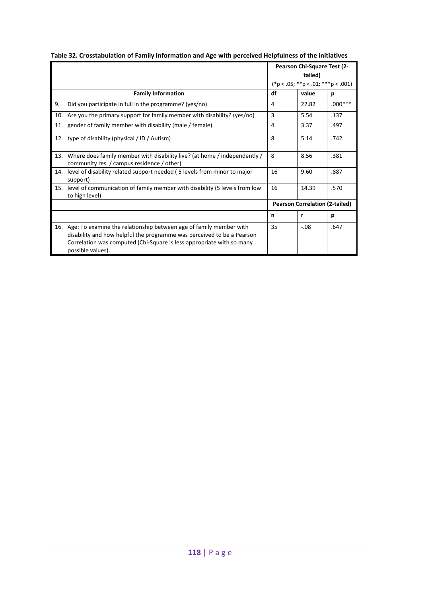|     |                                                                                                                                                                                                                                                | <b>Pearson Chi-Square Test (2-</b><br>tailed) |        |           |
|-----|------------------------------------------------------------------------------------------------------------------------------------------------------------------------------------------------------------------------------------------------|-----------------------------------------------|--------|-----------|
|     |                                                                                                                                                                                                                                                |                                               |        |           |
|     |                                                                                                                                                                                                                                                | $(*p < .05; **p < .01; **p < .001)$           |        |           |
|     | <b>Family Information</b>                                                                                                                                                                                                                      | df                                            | value  | p         |
| 9.  | Did you participate in full in the programme? (yes/no)                                                                                                                                                                                         | 4                                             | 22.82  | $.000***$ |
| 10. | Are you the primary support for family member with disability? (yes/no)                                                                                                                                                                        | 3                                             | 5.54   | .137      |
|     | 11. gender of family member with disability (male / female)                                                                                                                                                                                    | 4                                             | 3.37   | .497      |
|     | 12. type of disability (physical / ID / Autism)                                                                                                                                                                                                | 8                                             | 5.14   | .742      |
| 13. | Where does family member with disability live? (at home / independently /<br>community res. / campus residence / other)                                                                                                                        | $\mathsf{R}$                                  | 8.56   | .381      |
| 14. | level of disability related support needed (5 levels from minor to major<br>support)                                                                                                                                                           | 16                                            | 9.60   | .887      |
| 15. | level of communication of family member with disability (5 levels from low<br>to high level)                                                                                                                                                   | 16                                            | 14.39  | .570      |
|     |                                                                                                                                                                                                                                                | <b>Pearson Correlation (2-tailed)</b>         |        |           |
|     |                                                                                                                                                                                                                                                | n                                             | r      | р         |
|     | 16. Age: To examine the relationship between age of family member with<br>disability and how helpful the programme was perceived to be a Pearson<br>Correlation was computed (Chi-Square is less appropriate with so many<br>possible values). | 35                                            | $-.08$ | .647      |

## **Table 32. Crosstabulation of Family Information and Age with perceived Helpfulness of the initiatives**